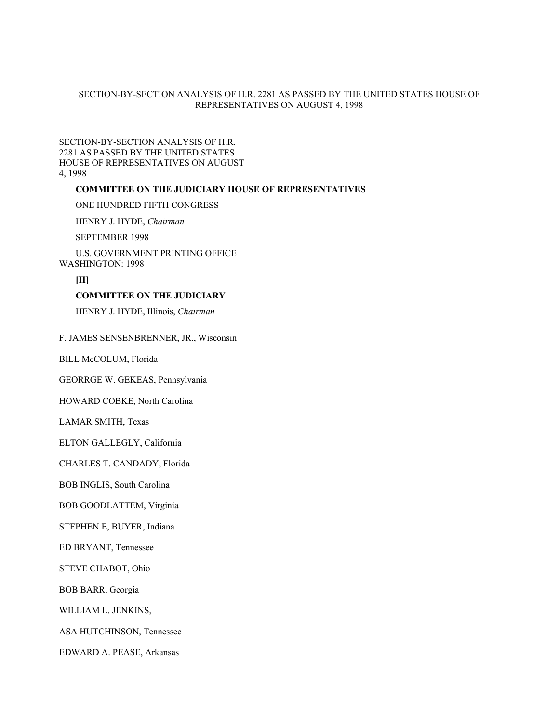# SECTION-BY-SECTION ANALYSIS OF H.R. 2281 AS PASSED BY THE UNITED STATES HOUSE OF REPRESENTATIVES ON AUGUST 4, 1998

SECTION-BY-SECTION ANALYSIS OF H.R. 2281 AS PASSED BY THE UNITED STATES HOUSE OF REPRESENTATIVES ON AUGUST 4, 1998

# **COMMITTEE ON THE JUDICIARY HOUSE OF REPRESENTATIVES**

ONE HUNDRED FIFTH CONGRESS

HENRY J. HYDE, *Chairman*

SEPTEMBER 1998

U.S. GOVERNMENT PRINTING OFFICE WASHINGTON: 1998

**[II]**

# **COMMITTEE ON THE JUDICIARY**

HENRY J. HYDE, Illinois, *Chairman*

F. JAMES SENSENBRENNER, JR., Wisconsin

BILL McCOLUM, Florida

GEORRGE W. GEKEAS, Pennsylvania

HOWARD COBKE, North Carolina

LAMAR SMITH, Texas

ELTON GALLEGLY, California

CHARLES T. CANDADY, Florida

BOB INGLIS, South Carolina

BOB GOODLATTEM, Virginia

STEPHEN E, BUYER, Indiana

ED BRYANT, Tennessee

STEVE CHABOT, Ohio

BOB BARR, Georgia

WILLIAM L. JENKINS,

ASA HUTCHINSON, Tennessee

EDWARD A. PEASE, Arkansas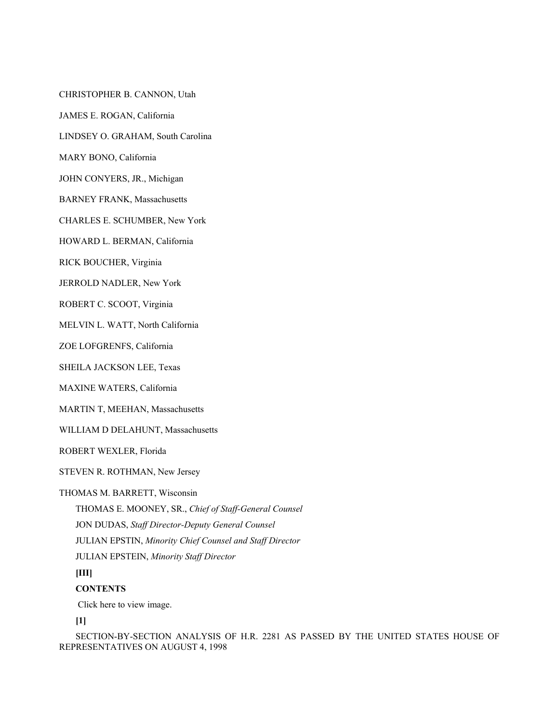CHRISTOPHER B. CANNON, Utah

JAMES E. ROGAN, California

LINDSEY O. GRAHAM, South Carolina

MARY BONO, California

JOHN CONYERS, JR., Michigan

BARNEY FRANK, Massachusetts

CHARLES E. SCHUMBER, New York

HOWARD L. BERMAN, California

RICK BOUCHER, Virginia

JERROLD NADLER, New York

ROBERT C. SCOOT, Virginia

MELVIN L. WATT, North California

ZOE LOFGRENFS, California

SHEILA JACKSON LEE, Texas

MAXINE WATERS, California

MARTIN T, MEEHAN, Massachusetts

WILLIAM D DELAHUNT, Massachusetts

ROBERT WEXLER, Florida

STEVEN R. ROTHMAN, New Jersey

THOMAS M. BARRETT, Wisconsin

THOMAS E. MOONEY, SR., *Chief of Staff-General Counsel*

JON DUDAS, *Staff Director-Deputy General Counsel*

JULIAN EPSTIN, *Minority Chief Counsel and Staff Director*

JULIAN EPSTEIN, *Minority Staff Director*

**[III]**

# **CONTENTS**

Click here to view image.

**[1]**

SECTION-BY-SECTION ANALYSIS OF H.R. 2281 AS PASSED BY THE UNITED STATES HOUSE OF REPRESENTATIVES ON AUGUST 4, 1998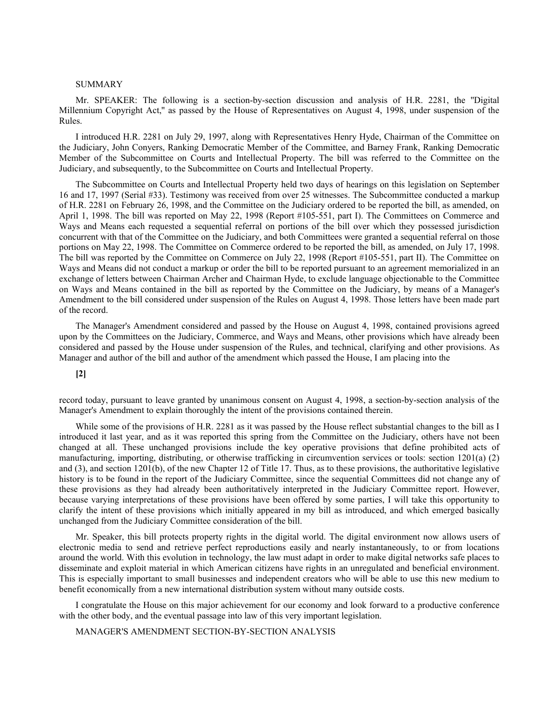#### SUMMARY

Mr. SPEAKER: The following is a section-by-section discussion and analysis of H.R. 2281, the ''Digital Millennium Copyright Act,'' as passed by the House of Representatives on August 4, 1998, under suspension of the Rules.

I introduced H.R. 2281 on July 29, 1997, along with Representatives Henry Hyde, Chairman of the Committee on the Judiciary, John Conyers, Ranking Democratic Member of the Committee, and Barney Frank, Ranking Democratic Member of the Subcommittee on Courts and Intellectual Property. The bill was referred to the Committee on the Judiciary, and subsequently, to the Subcommittee on Courts and Intellectual Property.

The Subcommittee on Courts and Intellectual Property held two days of hearings on this legislation on September 16 and 17, 1997 (Serial #33). Testimony was received from over 25 witnesses. The Subcommittee conducted a markup of H.R. 2281 on February 26, 1998, and the Committee on the Judiciary ordered to be reported the bill, as amended, on April 1, 1998. The bill was reported on May 22, 1998 (Report #105-551, part I). The Committees on Commerce and Ways and Means each requested a sequential referral on portions of the bill over which they possessed jurisdiction concurrent with that of the Committee on the Judiciary, and both Committees were granted a sequential referral on those portions on May 22, 1998. The Committee on Commerce ordered to be reported the bill, as amended, on July 17, 1998. The bill was reported by the Committee on Commerce on July 22, 1998 (Report #105-551, part II). The Committee on Ways and Means did not conduct a markup or order the bill to be reported pursuant to an agreement memorialized in an exchange of letters between Chairman Archer and Chairman Hyde, to exclude language objectionable to the Committee on Ways and Means contained in the bill as reported by the Committee on the Judiciary, by means of a Manager's Amendment to the bill considered under suspension of the Rules on August 4, 1998. Those letters have been made part of the record.

The Manager's Amendment considered and passed by the House on August 4, 1998, contained provisions agreed upon by the Committees on the Judiciary, Commerce, and Ways and Means, other provisions which have already been considered and passed by the House under suspension of the Rules, and technical, clarifying and other provisions. As Manager and author of the bill and author of the amendment which passed the House, I am placing into the

**[2]**

record today, pursuant to leave granted by unanimous consent on August 4, 1998, a section-by-section analysis of the Manager's Amendment to explain thoroughly the intent of the provisions contained therein.

While some of the provisions of H.R. 2281 as it was passed by the House reflect substantial changes to the bill as I introduced it last year, and as it was reported this spring from the Committee on the Judiciary, others have not been changed at all. These unchanged provisions include the key operative provisions that define prohibited acts of manufacturing, importing, distributing, or otherwise trafficking in circumvention services or tools: section 1201(a) (2) and (3), and section 1201(b), of the new Chapter 12 of Title 17. Thus, as to these provisions, the authoritative legislative history is to be found in the report of the Judiciary Committee, since the sequential Committees did not change any of these provisions as they had already been authoritatively interpreted in the Judiciary Committee report. However, because varying interpretations of these provisions have been offered by some parties, I will take this opportunity to clarify the intent of these provisions which initially appeared in my bill as introduced, and which emerged basically unchanged from the Judiciary Committee consideration of the bill.

Mr. Speaker, this bill protects property rights in the digital world. The digital environment now allows users of electronic media to send and retrieve perfect reproductions easily and nearly instantaneously, to or from locations around the world. With this evolution in technology, the law must adapt in order to make digital networks safe places to disseminate and exploit material in which American citizens have rights in an unregulated and beneficial environment. This is especially important to small businesses and independent creators who will be able to use this new medium to benefit economically from a new international distribution system without many outside costs.

I congratulate the House on this major achievement for our economy and look forward to a productive conference with the other body, and the eventual passage into law of this very important legislation.

MANAGER'S AMENDMENT SECTION-BY-SECTION ANALYSIS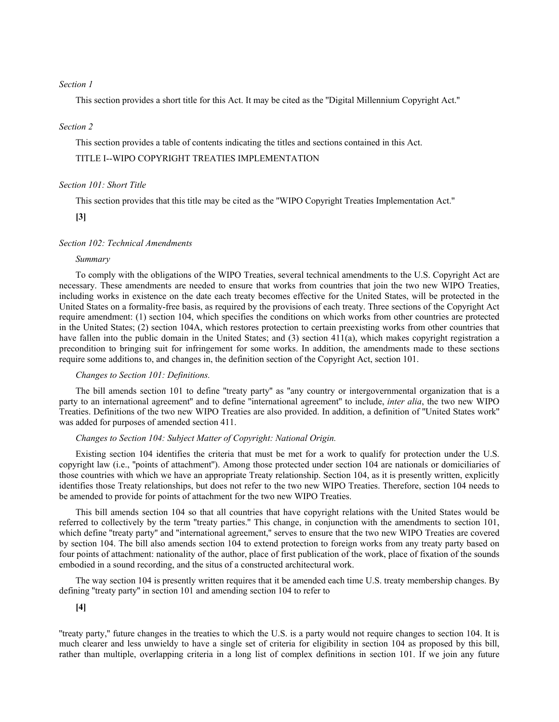### *Section 1*

This section provides a short title for this Act. It may be cited as the ''Digital Millennium Copyright Act.''

## *Section 2*

This section provides a table of contents indicating the titles and sections contained in this Act.

### TITLE I--WIPO COPYRIGHT TREATIES IMPLEMENTATION

## *Section 101: Short Title*

This section provides that this title may be cited as the ''WIPO Copyright Treaties Implementation Act.''

# **[3]**

#### *Section 102: Technical Amendments*

#### *Summary*

To comply with the obligations of the WIPO Treaties, several technical amendments to the U.S. Copyright Act are necessary. These amendments are needed to ensure that works from countries that join the two new WIPO Treaties, including works in existence on the date each treaty becomes effective for the United States, will be protected in the United States on a formality-free basis, as required by the provisions of each treaty. Three sections of the Copyright Act require amendment: (1) section 104, which specifies the conditions on which works from other countries are protected in the United States; (2) section 104A, which restores protection to certain preexisting works from other countries that have fallen into the public domain in the United States; and (3) section 411(a), which makes copyright registration a precondition to bringing suit for infringement for some works. In addition, the amendments made to these sections require some additions to, and changes in, the definition section of the Copyright Act, section 101.

#### *Changes to Section 101: Definitions.*

The bill amends section 101 to define ''treaty party'' as ''any country or intergovernmental organization that is a party to an international agreement'' and to define ''international agreement'' to include, *inter alia*, the two new WIPO Treaties. Definitions of the two new WIPO Treaties are also provided. In addition, a definition of ''United States work'' was added for purposes of amended section 411.

### *Changes to Section 104: Subject Matter of Copyright: National Origin.*

Existing section 104 identifies the criteria that must be met for a work to qualify for protection under the U.S. copyright law (i.e., ''points of attachment''). Among those protected under section 104 are nationals or domiciliaries of those countries with which we have an appropriate Treaty relationship. Section 104, as it is presently written, explicitly identifies those Treaty relationships, but does not refer to the two new WIPO Treaties. Therefore, section 104 needs to be amended to provide for points of attachment for the two new WIPO Treaties.

This bill amends section 104 so that all countries that have copyright relations with the United States would be referred to collectively by the term ''treaty parties.'' This change, in conjunction with the amendments to section 101, which define ''treaty party'' and ''international agreement,'' serves to ensure that the two new WIPO Treaties are covered by section 104. The bill also amends section 104 to extend protection to foreign works from any treaty party based on four points of attachment: nationality of the author, place of first publication of the work, place of fixation of the sounds embodied in a sound recording, and the situs of a constructed architectural work.

The way section 104 is presently written requires that it be amended each time U.S. treaty membership changes. By defining ''treaty party'' in section 101 and amending section 104 to refer to

**[4]**

''treaty party,'' future changes in the treaties to which the U.S. is a party would not require changes to section 104. It is much clearer and less unwieldy to have a single set of criteria for eligibility in section 104 as proposed by this bill, rather than multiple, overlapping criteria in a long list of complex definitions in section 101. If we join any future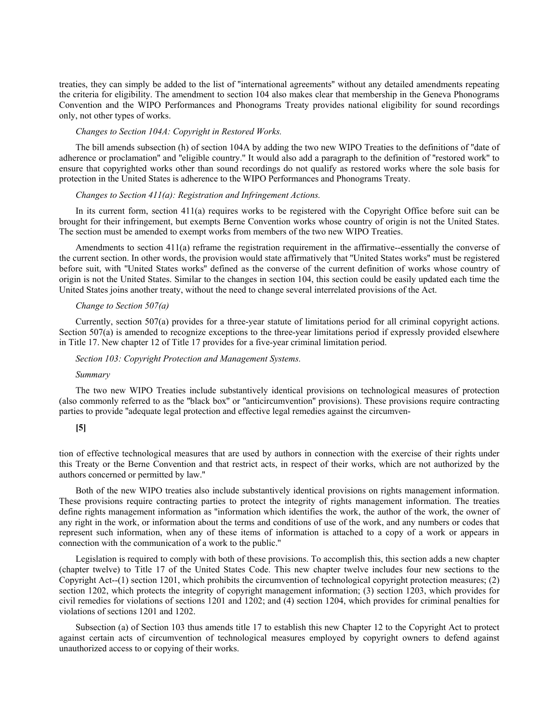treaties, they can simply be added to the list of ''international agreements'' without any detailed amendments repeating the criteria for eligibility. The amendment to section 104 also makes clear that membership in the Geneva Phonograms Convention and the WIPO Performances and Phonograms Treaty provides national eligibility for sound recordings only, not other types of works.

# *Changes to Section 104A: Copyright in Restored Works.*

The bill amends subsection (h) of section 104A by adding the two new WIPO Treaties to the definitions of ''date of adherence or proclamation'' and ''eligible country.'' It would also add a paragraph to the definition of ''restored work'' to ensure that copyrighted works other than sound recordings do not qualify as restored works where the sole basis for protection in the United States is adherence to the WIPO Performances and Phonograms Treaty.

## *Changes to Section 411(a): Registration and Infringement Actions.*

In its current form, section 411(a) requires works to be registered with the Copyright Office before suit can be brought for their infringement, but exempts Berne Convention works whose country of origin is not the United States. The section must be amended to exempt works from members of the two new WIPO Treaties.

Amendments to section 411(a) reframe the registration requirement in the affirmative--essentially the converse of the current section. In other words, the provision would state affirmatively that ''United States works'' must be registered before suit, with ''United States works'' defined as the converse of the current definition of works whose country of origin is not the United States. Similar to the changes in section 104, this section could be easily updated each time the United States joins another treaty, without the need to change several interrelated provisions of the Act.

## *Change to Section 507(a)*

Currently, section 507(a) provides for a three-year statute of limitations period for all criminal copyright actions. Section 507(a) is amended to recognize exceptions to the three-year limitations period if expressly provided elsewhere in Title 17. New chapter 12 of Title 17 provides for a five-year criminal limitation period.

*Section 103: Copyright Protection and Management Systems.*

#### *Summary*

The two new WIPO Treaties include substantively identical provisions on technological measures of protection (also commonly referred to as the ''black box'' or ''anticircumvention'' provisions). These provisions require contracting parties to provide ''adequate legal protection and effective legal remedies against the circumven-

#### **[5]**

tion of effective technological measures that are used by authors in connection with the exercise of their rights under this Treaty or the Berne Convention and that restrict acts, in respect of their works, which are not authorized by the authors concerned or permitted by law.''

Both of the new WIPO treaties also include substantively identical provisions on rights management information. These provisions require contracting parties to protect the integrity of rights management information. The treaties define rights management information as ''information which identifies the work, the author of the work, the owner of any right in the work, or information about the terms and conditions of use of the work, and any numbers or codes that represent such information, when any of these items of information is attached to a copy of a work or appears in connection with the communication of a work to the public.''

Legislation is required to comply with both of these provisions. To accomplish this, this section adds a new chapter (chapter twelve) to Title 17 of the United States Code. This new chapter twelve includes four new sections to the Copyright Act--(1) section 1201, which prohibits the circumvention of technological copyright protection measures; (2) section 1202, which protects the integrity of copyright management information; (3) section 1203, which provides for civil remedies for violations of sections 1201 and 1202; and (4) section 1204, which provides for criminal penalties for violations of sections 1201 and 1202.

Subsection (a) of Section 103 thus amends title 17 to establish this new Chapter 12 to the Copyright Act to protect against certain acts of circumvention of technological measures employed by copyright owners to defend against unauthorized access to or copying of their works.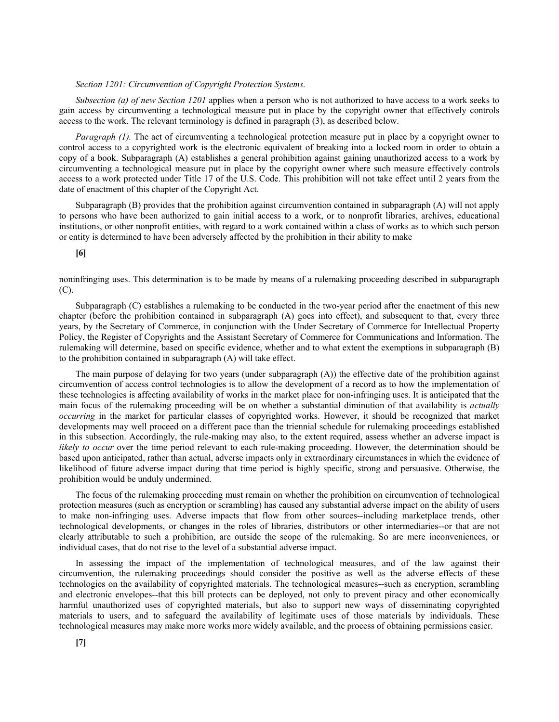#### *Section 1201: Circumvention of Copyright Protection Systems.*

*Subsection (a) of new Section 1201* applies when a person who is not authorized to have access to a work seeks to gain access by circumventing a technological measure put in place by the copyright owner that effectively controls access to the work. The relevant terminology is defined in paragraph (3), as described below.

*Paragraph (1)*. The act of circumventing a technological protection measure put in place by a copyright owner to control access to a copyrighted work is the electronic equivalent of breaking into a locked room in order to obtain a copy of a book. Subparagraph (A) establishes a general prohibition against gaining unauthorized access to a work by circumventing a technological measure put in place by the copyright owner where such measure effectively controls access to a work protected under Title 17 of the U.S. Code. This prohibition will not take effect until 2 years from the date of enactment of this chapter of the Copyright Act.

Subparagraph (B) provides that the prohibition against circumvention contained in subparagraph (A) will not apply to persons who have been authorized to gain initial access to a work, or to nonprofit libraries, archives, educational institutions, or other nonprofit entities, with regard to a work contained within a class of works as to which such person or entity is determined to have been adversely affected by the prohibition in their ability to make

**[6]**

noninfringing uses. This determination is to be made by means of a rulemaking proceeding described in subparagraph (C).

Subparagraph (C) establishes a rulemaking to be conducted in the two-year period after the enactment of this new chapter (before the prohibition contained in subparagraph (A) goes into effect), and subsequent to that, every three years, by the Secretary of Commerce, in conjunction with the Under Secretary of Commerce for Intellectual Property Policy, the Register of Copyrights and the Assistant Secretary of Commerce for Communications and Information. The rulemaking will determine, based on specific evidence, whether and to what extent the exemptions in subparagraph (B) to the prohibition contained in subparagraph (A) will take effect.

The main purpose of delaying for two years (under subparagraph (A)) the effective date of the prohibition against circumvention of access control technologies is to allow the development of a record as to how the implementation of these technologies is affecting availability of works in the market place for non-infringing uses. It is anticipated that the main focus of the rulemaking proceeding will be on whether a substantial diminution of that availability is *actually occurring* in the market for particular classes of copyrighted works. However, it should be recognized that market developments may well proceed on a different pace than the triennial schedule for rulemaking proceedings established in this subsection. Accordingly, the rule-making may also, to the extent required, assess whether an adverse impact is *likely to occur* over the time period relevant to each rule-making proceeding. However, the determination should be based upon anticipated, rather than actual, adverse impacts only in extraordinary circumstances in which the evidence of likelihood of future adverse impact during that time period is highly specific, strong and persuasive. Otherwise, the prohibition would be unduly undermined.

The focus of the rulemaking proceeding must remain on whether the prohibition on circumvention of technological protection measures (such as encryption or scrambling) has caused any substantial adverse impact on the ability of users to make non-infringing uses. Adverse impacts that flow from other sources--including marketplace trends, other technological developments, or changes in the roles of libraries, distributors or other intermediaries--or that are not clearly attributable to such a prohibition, are outside the scope of the rulemaking. So are mere inconveniences, or individual cases, that do not rise to the level of a substantial adverse impact.

In assessing the impact of the implementation of technological measures, and of the law against their circumvention, the rulemaking proceedings should consider the positive as well as the adverse effects of these technologies on the availability of copyrighted materials. The technological measures--such as encryption, scrambling and electronic envelopes--that this bill protects can be deployed, not only to prevent piracy and other economically harmful unauthorized uses of copyrighted materials, but also to support new ways of disseminating copyrighted materials to users, and to safeguard the availability of legitimate uses of those materials by individuals. These technological measures may make more works more widely available, and the process of obtaining permissions easier.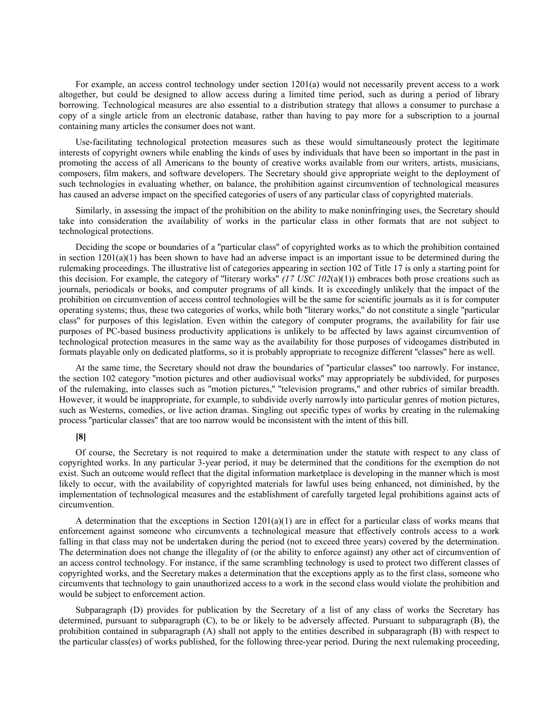For example, an access control technology under section 1201(a) would not necessarily prevent access to a work altogether, but could be designed to allow access during a limited time period, such as during a period of library borrowing. Technological measures are also essential to a distribution strategy that allows a consumer to purchase a copy of a single article from an electronic database, rather than having to pay more for a subscription to a journal containing many articles the consumer does not want.

Use-facilitating technological protection measures such as these would simultaneously protect the legitimate interests of copyright owners while enabling the kinds of uses by individuals that have been so important in the past in promoting the access of all Americans to the bounty of creative works available from our writers, artists, musicians, composers, film makers, and software developers. The Secretary should give appropriate weight to the deployment of such technologies in evaluating whether, on balance, the prohibition against circumvention of technological measures has caused an adverse impact on the specified categories of users of any particular class of copyrighted materials.

Similarly, in assessing the impact of the prohibition on the ability to make noninfringing uses, the Secretary should take into consideration the availability of works in the particular class in other formats that are not subject to technological protections.

Deciding the scope or boundaries of a ''particular class'' of copyrighted works as to which the prohibition contained in section  $1201(a)(1)$  has been shown to have had an adverse impact is an important issue to be determined during the rulemaking proceedings. The illustrative list of categories appearing in section 102 of Title 17 is only a starting point for this decision. For example, the category of ''literary works'' *(17 USC 102*(a)(1)) embraces both prose creations such as journals, periodicals or books, and computer programs of all kinds. It is exceedingly unlikely that the impact of the prohibition on circumvention of access control technologies will be the same for scientific journals as it is for computer operating systems; thus, these two categories of works, while both ''literary works,'' do not constitute a single ''particular class'' for purposes of this legislation. Even within the category of computer programs, the availability for fair use purposes of PC-based business productivity applications is unlikely to be affected by laws against circumvention of technological protection measures in the same way as the availability for those purposes of videogames distributed in formats playable only on dedicated platforms, so it is probably appropriate to recognize different ''classes'' here as well.

At the same time, the Secretary should not draw the boundaries of ''particular classes'' too narrowly. For instance, the section 102 category ''motion pictures and other audiovisual works'' may appropriately be subdivided, for purposes of the rulemaking, into classes such as ''motion pictures,'' ''television programs,'' and other rubrics of similar breadth. However, it would be inappropriate, for example, to subdivide overly narrowly into particular genres of motion pictures, such as Westerns, comedies, or live action dramas. Singling out specific types of works by creating in the rulemaking process ''particular classes'' that are too narrow would be inconsistent with the intent of this bill.

# **[8]**

Of course, the Secretary is not required to make a determination under the statute with respect to any class of copyrighted works. In any particular 3-year period, it may be determined that the conditions for the exemption do not exist. Such an outcome would reflect that the digital information marketplace is developing in the manner which is most likely to occur, with the availability of copyrighted materials for lawful uses being enhanced, not diminished, by the implementation of technological measures and the establishment of carefully targeted legal prohibitions against acts of circumvention.

A determination that the exceptions in Section  $1201(a)(1)$  are in effect for a particular class of works means that enforcement against someone who circumvents a technological measure that effectively controls access to a work falling in that class may not be undertaken during the period (not to exceed three years) covered by the determination. The determination does not change the illegality of (or the ability to enforce against) any other act of circumvention of an access control technology. For instance, if the same scrambling technology is used to protect two different classes of copyrighted works, and the Secretary makes a determination that the exceptions apply as to the first class, someone who circumvents that technology to gain unauthorized access to a work in the second class would violate the prohibition and would be subject to enforcement action.

Subparagraph (D) provides for publication by the Secretary of a list of any class of works the Secretary has determined, pursuant to subparagraph (C), to be or likely to be adversely affected. Pursuant to subparagraph (B), the prohibition contained in subparagraph (A) shall not apply to the entities described in subparagraph (B) with respect to the particular class(es) of works published, for the following three-year period. During the next rulemaking proceeding,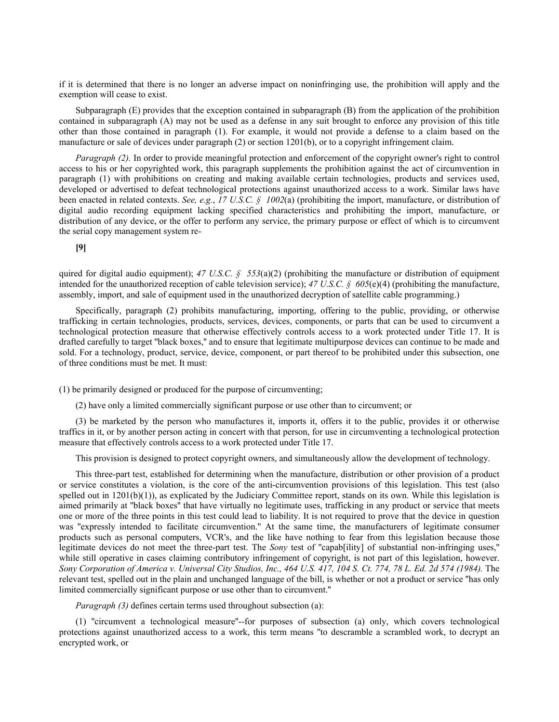if it is determined that there is no longer an adverse impact on noninfringing use, the prohibition will apply and the exemption will cease to exist.

Subparagraph (E) provides that the exception contained in subparagraph (B) from the application of the prohibition contained in subparagraph (A) may not be used as a defense in any suit brought to enforce any provision of this title other than those contained in paragraph (1). For example, it would not provide a defense to a claim based on the manufacture or sale of devices under paragraph (2) or section 1201(b), or to a copyright infringement claim.

*Paragraph (2).* In order to provide meaningful protection and enforcement of the copyright owner's right to control access to his or her copyrighted work, this paragraph supplements the prohibition against the act of circumvention in paragraph (1) with prohibitions on creating and making available certain technologies, products and services used, developed or advertised to defeat technological protections against unauthorized access to a work. Similar laws have been enacted in related contexts. *See, e.g.*, *17 U.S.C. § 1002*(a) (prohibiting the import, manufacture, or distribution of digital audio recording equipment lacking specified characteristics and prohibiting the import, manufacture, or distribution of any device, or the offer to perform any service, the primary purpose or effect of which is to circumvent the serial copy management system re-

**[9]**

quired for digital audio equipment); *47 U.S.C.*  $\oint$  553(a)(2) (prohibiting the manufacture or distribution of equipment intended for the unauthorized reception of cable television service); *47 U.S.C. § 605*(e)(4) (prohibiting the manufacture, assembly, import, and sale of equipment used in the unauthorized decryption of satellite cable programming.)

Specifically, paragraph (2) prohibits manufacturing, importing, offering to the public, providing, or otherwise trafficking in certain technologies, products, services, devices, components, or parts that can be used to circumvent a technological protection measure that otherwise effectively controls access to a work protected under Title 17. It is drafted carefully to target ''black boxes,'' and to ensure that legitimate multipurpose devices can continue to be made and sold. For a technology, product, service, device, component, or part thereof to be prohibited under this subsection, one of three conditions must be met. It must:

(1) be primarily designed or produced for the purpose of circumventing;

(2) have only a limited commercially significant purpose or use other than to circumvent; or

(3) be marketed by the person who manufactures it, imports it, offers it to the public, provides it or otherwise traffics in it, or by another person acting in concert with that person, for use in circumventing a technological protection measure that effectively controls access to a work protected under Title 17.

This provision is designed to protect copyright owners, and simultaneously allow the development of technology.

This three-part test, established for determining when the manufacture, distribution or other provision of a product or service constitutes a violation, is the core of the anti-circumvention provisions of this legislation. This test (also spelled out in  $1201(b)(1)$ , as explicated by the Judiciary Committee report, stands on its own. While this legislation is aimed primarily at ''black boxes'' that have virtually no legitimate uses, trafficking in any product or service that meets one or more of the three points in this test could lead to liability. It is not required to prove that the device in question was ''expressly intended to facilitate circumvention.'' At the same time, the manufacturers of legitimate consumer products such as personal computers, VCR's, and the like have nothing to fear from this legislation because those legitimate devices do not meet the three-part test. The *Sony* test of ''capab[ility] of substantial non-infringing uses,'' while still operative in cases claiming contributory infringement of copyright, is not part of this legislation, however. *Sony Corporation of America v. Universal City Studios, Inc., 464 U.S. 417, 104 S. Ct. 774, 78 L. Ed. 2d 574 (1984).* The relevant test, spelled out in the plain and unchanged language of the bill, is whether or not a product or service ''has only limited commercially significant purpose or use other than to circumvent.''

*Paragraph (3)* defines certain terms used throughout subsection (a):

(1) ''circumvent a technological measure''--for purposes of subsection (a) only, which covers technological protections against unauthorized access to a work, this term means ''to descramble a scrambled work, to decrypt an encrypted work, or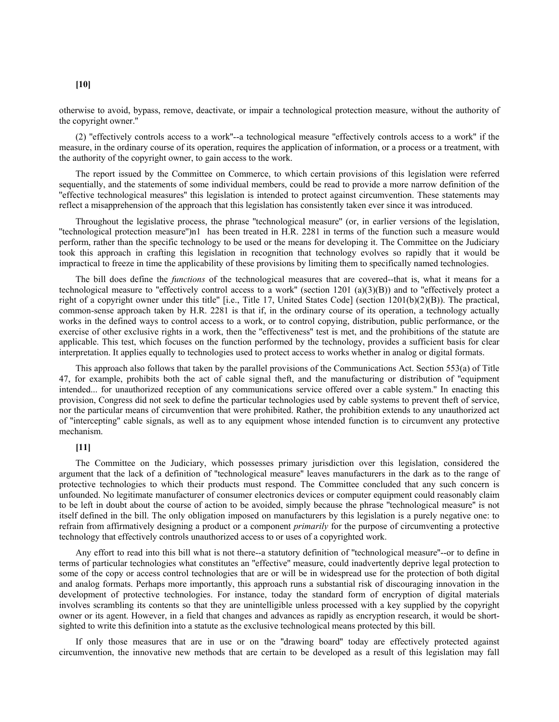otherwise to avoid, bypass, remove, deactivate, or impair a technological protection measure, without the authority of the copyright owner.''

(2) ''effectively controls access to a work''--a technological measure ''effectively controls access to a work'' if the measure, in the ordinary course of its operation, requires the application of information, or a process or a treatment, with the authority of the copyright owner, to gain access to the work.

The report issued by the Committee on Commerce, to which certain provisions of this legislation were referred sequentially, and the statements of some individual members, could be read to provide a more narrow definition of the ''effective technological measures'' this legislation is intended to protect against circumvention. These statements may reflect a misapprehension of the approach that this legislation has consistently taken ever since it was introduced.

Throughout the legislative process, the phrase ''technological measure'' (or, in earlier versions of the legislation, ''technological protection measure'')n1 has been treated in H.R. 2281 in terms of the function such a measure would perform, rather than the specific technology to be used or the means for developing it. The Committee on the Judiciary took this approach in crafting this legislation in recognition that technology evolves so rapidly that it would be impractical to freeze in time the applicability of these provisions by limiting them to specifically named technologies.

The bill does define the *functions* of the technological measures that are covered--that is, what it means for a technological measure to "effectively control access to a work" (section 1201 (a)(3)(B)) and to "effectively protect a right of a copyright owner under this title'' [i.e., Title 17, United States Code] (section 1201(b)(2)(B)). The practical, common-sense approach taken by H.R. 2281 is that if, in the ordinary course of its operation, a technology actually works in the defined ways to control access to a work, or to control copying, distribution, public performance, or the exercise of other exclusive rights in a work, then the ''effectiveness'' test is met, and the prohibitions of the statute are applicable. This test, which focuses on the function performed by the technology, provides a sufficient basis for clear interpretation. It applies equally to technologies used to protect access to works whether in analog or digital formats.

This approach also follows that taken by the parallel provisions of the Communications Act. Section 553(a) of Title 47, for example, prohibits both the act of cable signal theft, and the manufacturing or distribution of ''equipment intended... for unauthorized reception of any communications service offered over a cable system.'' In enacting this provision, Congress did not seek to define the particular technologies used by cable systems to prevent theft of service, nor the particular means of circumvention that were prohibited. Rather, the prohibition extends to any unauthorized act of ''intercepting'' cable signals, as well as to any equipment whose intended function is to circumvent any protective mechanism.

## **[11]**

The Committee on the Judiciary, which possesses primary jurisdiction over this legislation, considered the argument that the lack of a definition of ''technological measure'' leaves manufacturers in the dark as to the range of protective technologies to which their products must respond. The Committee concluded that any such concern is unfounded. No legitimate manufacturer of consumer electronics devices or computer equipment could reasonably claim to be left in doubt about the course of action to be avoided, simply because the phrase ''technological measure'' is not itself defined in the bill. The only obligation imposed on manufacturers by this legislation is a purely negative one: to refrain from affirmatively designing a product or a component *primarily* for the purpose of circumventing a protective technology that effectively controls unauthorized access to or uses of a copyrighted work.

Any effort to read into this bill what is not there--a statutory definition of ''technological measure''--or to define in terms of particular technologies what constitutes an ''effective'' measure, could inadvertently deprive legal protection to some of the copy or access control technologies that are or will be in widespread use for the protection of both digital and analog formats. Perhaps more importantly, this approach runs a substantial risk of discouraging innovation in the development of protective technologies. For instance, today the standard form of encryption of digital materials involves scrambling its contents so that they are unintelligible unless processed with a key supplied by the copyright owner or its agent. However, in a field that changes and advances as rapidly as encryption research, it would be shortsighted to write this definition into a statute as the exclusive technological means protected by this bill.

If only those measures that are in use or on the ''drawing board'' today are effectively protected against circumvention, the innovative new methods that are certain to be developed as a result of this legislation may fall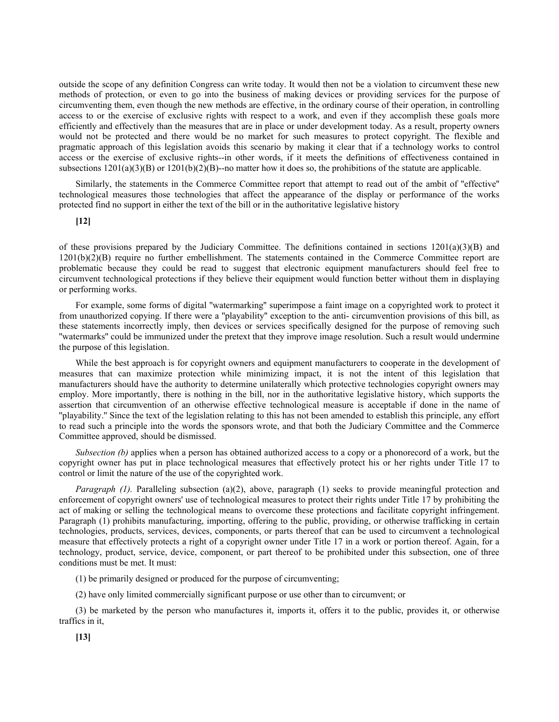outside the scope of any definition Congress can write today. It would then not be a violation to circumvent these new methods of protection, or even to go into the business of making devices or providing services for the purpose of circumventing them, even though the new methods are effective, in the ordinary course of their operation, in controlling access to or the exercise of exclusive rights with respect to a work, and even if they accomplish these goals more efficiently and effectively than the measures that are in place or under development today. As a result, property owners would not be protected and there would be no market for such measures to protect copyright. The flexible and pragmatic approach of this legislation avoids this scenario by making it clear that if a technology works to control access or the exercise of exclusive rights--in other words, if it meets the definitions of effectiveness contained in subsections  $1201(a)(3)(B)$  or  $1201(b)(2)(B)$ --no matter how it does so, the prohibitions of the statute are applicable.

Similarly, the statements in the Commerce Committee report that attempt to read out of the ambit of ''effective'' technological measures those technologies that affect the appearance of the display or performance of the works protected find no support in either the text of the bill or in the authoritative legislative history

## **[12]**

of these provisions prepared by the Judiciary Committee. The definitions contained in sections  $1201(a)(3)(B)$  and 1201(b)(2)(B) require no further embellishment. The statements contained in the Commerce Committee report are problematic because they could be read to suggest that electronic equipment manufacturers should feel free to circumvent technological protections if they believe their equipment would function better without them in displaying or performing works.

For example, some forms of digital ''watermarking'' superimpose a faint image on a copyrighted work to protect it from unauthorized copying. If there were a ''playability'' exception to the anti- circumvention provisions of this bill, as these statements incorrectly imply, then devices or services specifically designed for the purpose of removing such ''watermarks'' could be immunized under the pretext that they improve image resolution. Such a result would undermine the purpose of this legislation.

While the best approach is for copyright owners and equipment manufacturers to cooperate in the development of measures that can maximize protection while minimizing impact, it is not the intent of this legislation that manufacturers should have the authority to determine unilaterally which protective technologies copyright owners may employ. More importantly, there is nothing in the bill, nor in the authoritative legislative history, which supports the assertion that circumvention of an otherwise effective technological measure is acceptable if done in the name of ''playability.'' Since the text of the legislation relating to this has not been amended to establish this principle, any effort to read such a principle into the words the sponsors wrote, and that both the Judiciary Committee and the Commerce Committee approved, should be dismissed.

*Subsection (b)* applies when a person has obtained authorized access to a copy or a phonorecord of a work, but the copyright owner has put in place technological measures that effectively protect his or her rights under Title 17 to control or limit the nature of the use of the copyrighted work.

*Paragraph (1).* Paralleling subsection (a)(2), above, paragraph (1) seeks to provide meaningful protection and enforcement of copyright owners' use of technological measures to protect their rights under Title 17 by prohibiting the act of making or selling the technological means to overcome these protections and facilitate copyright infringement. Paragraph (1) prohibits manufacturing, importing, offering to the public, providing, or otherwise trafficking in certain technologies, products, services, devices, components, or parts thereof that can be used to circumvent a technological measure that effectively protects a right of a copyright owner under Title 17 in a work or portion thereof. Again, for a technology, product, service, device, component, or part thereof to be prohibited under this subsection, one of three conditions must be met. It must:

(1) be primarily designed or produced for the purpose of circumventing;

(2) have only limited commercially significant purpose or use other than to circumvent; or

(3) be marketed by the person who manufactures it, imports it, offers it to the public, provides it, or otherwise traffics in it,

**[13]**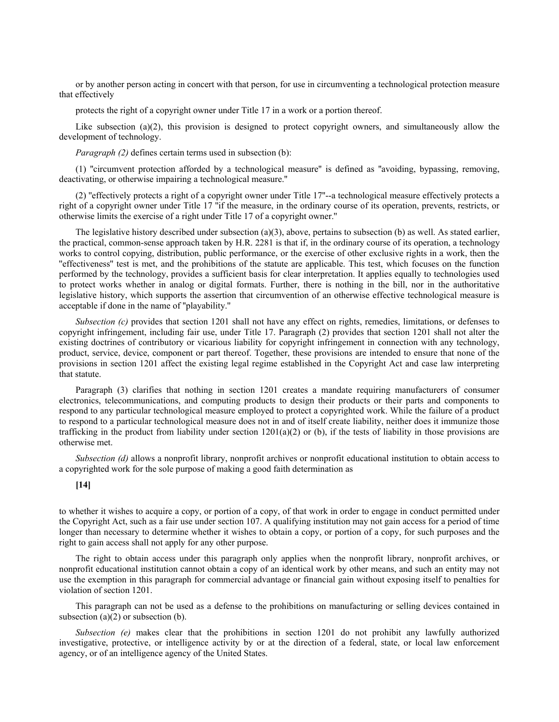or by another person acting in concert with that person, for use in circumventing a technological protection measure that effectively

protects the right of a copyright owner under Title 17 in a work or a portion thereof.

Like subsection (a)(2), this provision is designed to protect copyright owners, and simultaneously allow the development of technology.

*Paragraph (2)* defines certain terms used in subsection (b):

(1) ''circumvent protection afforded by a technological measure'' is defined as ''avoiding, bypassing, removing, deactivating, or otherwise impairing a technological measure.''

(2) ''effectively protects a right of a copyright owner under Title 17''--a technological measure effectively protects a right of a copyright owner under Title 17 ''if the measure, in the ordinary course of its operation, prevents, restricts, or otherwise limits the exercise of a right under Title 17 of a copyright owner.''

The legislative history described under subsection (a)(3), above, pertains to subsection (b) as well. As stated earlier, the practical, common-sense approach taken by H.R. 2281 is that if, in the ordinary course of its operation, a technology works to control copying, distribution, public performance, or the exercise of other exclusive rights in a work, then the ''effectiveness'' test is met, and the prohibitions of the statute are applicable. This test, which focuses on the function performed by the technology, provides a sufficient basis for clear interpretation. It applies equally to technologies used to protect works whether in analog or digital formats. Further, there is nothing in the bill, nor in the authoritative legislative history, which supports the assertion that circumvention of an otherwise effective technological measure is acceptable if done in the name of ''playability.''

*Subsection (c)* provides that section 1201 shall not have any effect on rights, remedies, limitations, or defenses to copyright infringement, including fair use, under Title 17. Paragraph (2) provides that section 1201 shall not alter the existing doctrines of contributory or vicarious liability for copyright infringement in connection with any technology, product, service, device, component or part thereof. Together, these provisions are intended to ensure that none of the provisions in section 1201 affect the existing legal regime established in the Copyright Act and case law interpreting that statute.

Paragraph (3) clarifies that nothing in section 1201 creates a mandate requiring manufacturers of consumer electronics, telecommunications, and computing products to design their products or their parts and components to respond to any particular technological measure employed to protect a copyrighted work. While the failure of a product to respond to a particular technological measure does not in and of itself create liability, neither does it immunize those trafficking in the product from liability under section  $1201(a)(2)$  or (b), if the tests of liability in those provisions are otherwise met.

*Subsection (d)* allows a nonprofit library, nonprofit archives or nonprofit educational institution to obtain access to a copyrighted work for the sole purpose of making a good faith determination as

# **[14]**

to whether it wishes to acquire a copy, or portion of a copy, of that work in order to engage in conduct permitted under the Copyright Act, such as a fair use under section 107. A qualifying institution may not gain access for a period of time longer than necessary to determine whether it wishes to obtain a copy, or portion of a copy, for such purposes and the right to gain access shall not apply for any other purpose.

The right to obtain access under this paragraph only applies when the nonprofit library, nonprofit archives, or nonprofit educational institution cannot obtain a copy of an identical work by other means, and such an entity may not use the exemption in this paragraph for commercial advantage or financial gain without exposing itself to penalties for violation of section 1201.

This paragraph can not be used as a defense to the prohibitions on manufacturing or selling devices contained in subsection  $(a)(2)$  or subsection  $(b)$ .

*Subsection (e)* makes clear that the prohibitions in section 1201 do not prohibit any lawfully authorized investigative, protective, or intelligence activity by or at the direction of a federal, state, or local law enforcement agency, or of an intelligence agency of the United States.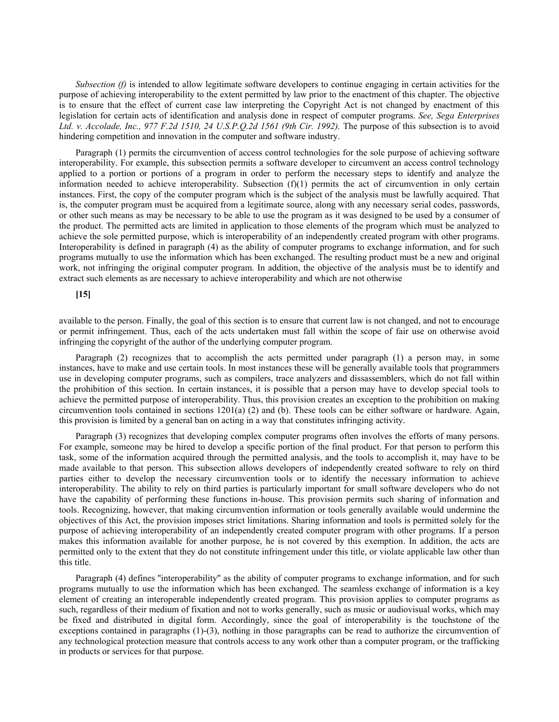*Subsection (f)* is intended to allow legitimate software developers to continue engaging in certain activities for the purpose of achieving interoperability to the extent permitted by law prior to the enactment of this chapter. The objective is to ensure that the effect of current case law interpreting the Copyright Act is not changed by enactment of this legislation for certain acts of identification and analysis done in respect of computer programs. *See, Sega Enterprises Ltd. v. Accolade, Inc., 977 F.2d 1510, 24 U.S.P.Q.2d 1561 (9th Cir. 1992).* The purpose of this subsection is to avoid hindering competition and innovation in the computer and software industry.

Paragraph (1) permits the circumvention of access control technologies for the sole purpose of achieving software interoperability. For example, this subsection permits a software developer to circumvent an access control technology applied to a portion or portions of a program in order to perform the necessary steps to identify and analyze the information needed to achieve interoperability. Subsection (f)(1) permits the act of circumvention in only certain instances. First, the copy of the computer program which is the subject of the analysis must be lawfully acquired. That is, the computer program must be acquired from a legitimate source, along with any necessary serial codes, passwords, or other such means as may be necessary to be able to use the program as it was designed to be used by a consumer of the product. The permitted acts are limited in application to those elements of the program which must be analyzed to achieve the sole permitted purpose, which is interoperability of an independently created program with other programs. Interoperability is defined in paragraph (4) as the ability of computer programs to exchange information, and for such programs mutually to use the information which has been exchanged. The resulting product must be a new and original work, not infringing the original computer program. In addition, the objective of the analysis must be to identify and extract such elements as are necessary to achieve interoperability and which are not otherwise

# **[15]**

available to the person. Finally, the goal of this section is to ensure that current law is not changed, and not to encourage or permit infringement. Thus, each of the acts undertaken must fall within the scope of fair use on otherwise avoid infringing the copyright of the author of the underlying computer program.

Paragraph (2) recognizes that to accomplish the acts permitted under paragraph (1) a person may, in some instances, have to make and use certain tools. In most instances these will be generally available tools that programmers use in developing computer programs, such as compilers, trace analyzers and dissassemblers, which do not fall within the prohibition of this section. In certain instances, it is possible that a person may have to develop special tools to achieve the permitted purpose of interoperability. Thus, this provision creates an exception to the prohibition on making circumvention tools contained in sections 1201(a) (2) and (b). These tools can be either software or hardware. Again, this provision is limited by a general ban on acting in a way that constitutes infringing activity.

Paragraph (3) recognizes that developing complex computer programs often involves the efforts of many persons. For example, someone may be hired to develop a specific portion of the final product. For that person to perform this task, some of the information acquired through the permitted analysis, and the tools to accomplish it, may have to be made available to that person. This subsection allows developers of independently created software to rely on third parties either to develop the necessary circumvention tools or to identify the necessary information to achieve interoperability. The ability to rely on third parties is particularly important for small software developers who do not have the capability of performing these functions in-house. This provision permits such sharing of information and tools. Recognizing, however, that making circumvention information or tools generally available would undermine the objectives of this Act, the provision imposes strict limitations. Sharing information and tools is permitted solely for the purpose of achieving interoperability of an independently created computer program with other programs. If a person makes this information available for another purpose, he is not covered by this exemption. In addition, the acts are permitted only to the extent that they do not constitute infringement under this title, or violate applicable law other than this title.

Paragraph (4) defines "interoperability" as the ability of computer programs to exchange information, and for such programs mutually to use the information which has been exchanged. The seamless exchange of information is a key element of creating an interoperable independently created program. This provision applies to computer programs as such, regardless of their medium of fixation and not to works generally, such as music or audiovisual works, which may be fixed and distributed in digital form. Accordingly, since the goal of interoperability is the touchstone of the exceptions contained in paragraphs (1)-(3), nothing in those paragraphs can be read to authorize the circumvention of any technological protection measure that controls access to any work other than a computer program, or the trafficking in products or services for that purpose.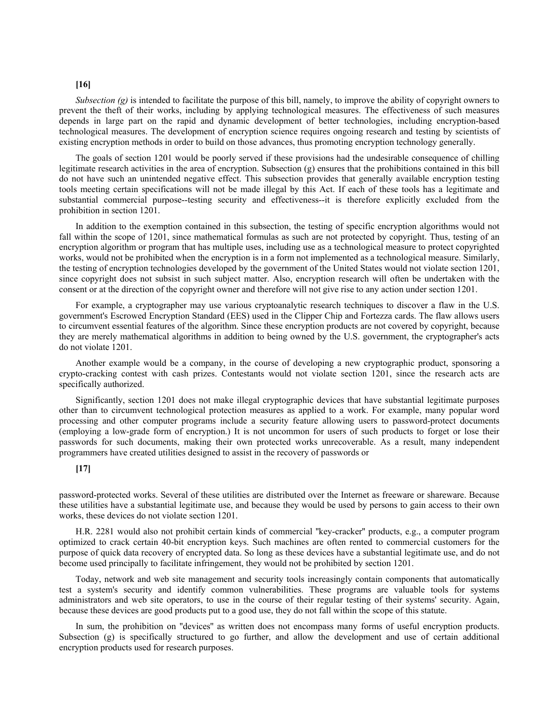# **[16]**

*Subsection (g)* is intended to facilitate the purpose of this bill, namely, to improve the ability of copyright owners to prevent the theft of their works, including by applying technological measures. The effectiveness of such measures depends in large part on the rapid and dynamic development of better technologies, including encryption-based technological measures. The development of encryption science requires ongoing research and testing by scientists of existing encryption methods in order to build on those advances, thus promoting encryption technology generally.

The goals of section 1201 would be poorly served if these provisions had the undesirable consequence of chilling legitimate research activities in the area of encryption. Subsection (g) ensures that the prohibitions contained in this bill do not have such an unintended negative effect. This subsection provides that generally available encryption testing tools meeting certain specifications will not be made illegal by this Act. If each of these tools has a legitimate and substantial commercial purpose--testing security and effectiveness--it is therefore explicitly excluded from the prohibition in section 1201.

In addition to the exemption contained in this subsection, the testing of specific encryption algorithms would not fall within the scope of 1201, since mathematical formulas as such are not protected by copyright. Thus, testing of an encryption algorithm or program that has multiple uses, including use as a technological measure to protect copyrighted works, would not be prohibited when the encryption is in a form not implemented as a technological measure. Similarly, the testing of encryption technologies developed by the government of the United States would not violate section 1201, since copyright does not subsist in such subject matter. Also, encryption research will often be undertaken with the consent or at the direction of the copyright owner and therefore will not give rise to any action under section 1201.

For example, a cryptographer may use various cryptoanalytic research techniques to discover a flaw in the U.S. government's Escrowed Encryption Standard (EES) used in the Clipper Chip and Fortezza cards. The flaw allows users to circumvent essential features of the algorithm. Since these encryption products are not covered by copyright, because they are merely mathematical algorithms in addition to being owned by the U.S. government, the cryptographer's acts do not violate 1201.

Another example would be a company, in the course of developing a new cryptographic product, sponsoring a crypto-cracking contest with cash prizes. Contestants would not violate section 1201, since the research acts are specifically authorized.

Significantly, section 1201 does not make illegal cryptographic devices that have substantial legitimate purposes other than to circumvent technological protection measures as applied to a work. For example, many popular word processing and other computer programs include a security feature allowing users to password-protect documents (employing a low-grade form of encryption.) It is not uncommon for users of such products to forget or lose their passwords for such documents, making their own protected works unrecoverable. As a result, many independent programmers have created utilities designed to assist in the recovery of passwords or

#### **[17]**

password-protected works. Several of these utilities are distributed over the Internet as freeware or shareware. Because these utilities have a substantial legitimate use, and because they would be used by persons to gain access to their own works, these devices do not violate section 1201.

H.R. 2281 would also not prohibit certain kinds of commercial ''key-cracker'' products, e.g., a computer program optimized to crack certain 40-bit encryption keys. Such machines are often rented to commercial customers for the purpose of quick data recovery of encrypted data. So long as these devices have a substantial legitimate use, and do not become used principally to facilitate infringement, they would not be prohibited by section 1201.

Today, network and web site management and security tools increasingly contain components that automatically test a system's security and identify common vulnerabilities. These programs are valuable tools for systems administrators and web site operators, to use in the course of their regular testing of their systems' security. Again, because these devices are good products put to a good use, they do not fall within the scope of this statute.

In sum, the prohibition on ''devices'' as written does not encompass many forms of useful encryption products. Subsection (g) is specifically structured to go further, and allow the development and use of certain additional encryption products used for research purposes.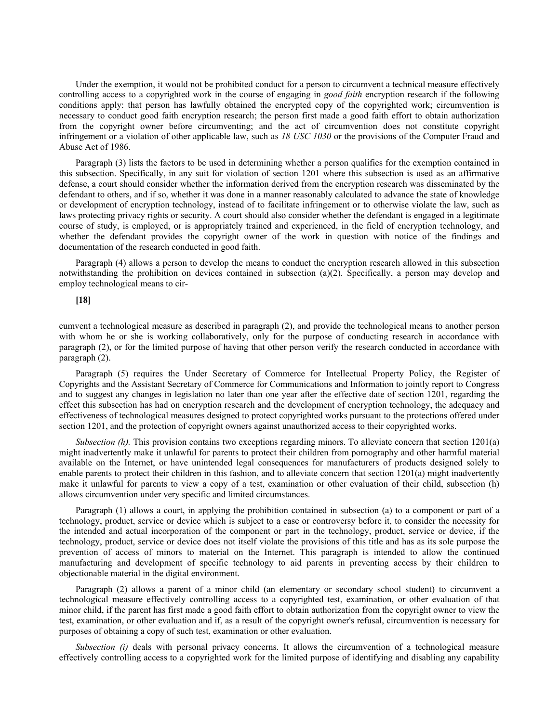Under the exemption, it would not be prohibited conduct for a person to circumvent a technical measure effectively controlling access to a copyrighted work in the course of engaging in *good faith* encryption research if the following conditions apply: that person has lawfully obtained the encrypted copy of the copyrighted work; circumvention is necessary to conduct good faith encryption research; the person first made a good faith effort to obtain authorization from the copyright owner before circumventing; and the act of circumvention does not constitute copyright infringement or a violation of other applicable law, such as *18 USC 1030* or the provisions of the Computer Fraud and Abuse Act of 1986.

Paragraph (3) lists the factors to be used in determining whether a person qualifies for the exemption contained in this subsection. Specifically, in any suit for violation of section 1201 where this subsection is used as an affirmative defense, a court should consider whether the information derived from the encryption research was disseminated by the defendant to others, and if so, whether it was done in a manner reasonably calculated to advance the state of knowledge or development of encryption technology, instead of to facilitate infringement or to otherwise violate the law, such as laws protecting privacy rights or security. A court should also consider whether the defendant is engaged in a legitimate course of study, is employed, or is appropriately trained and experienced, in the field of encryption technology, and whether the defendant provides the copyright owner of the work in question with notice of the findings and documentation of the research conducted in good faith.

Paragraph (4) allows a person to develop the means to conduct the encryption research allowed in this subsection notwithstanding the prohibition on devices contained in subsection (a)(2). Specifically, a person may develop and employ technological means to cir-

# **[18]**

cumvent a technological measure as described in paragraph (2), and provide the technological means to another person with whom he or she is working collaboratively, only for the purpose of conducting research in accordance with paragraph (2), or for the limited purpose of having that other person verify the research conducted in accordance with paragraph (2).

Paragraph (5) requires the Under Secretary of Commerce for Intellectual Property Policy, the Register of Copyrights and the Assistant Secretary of Commerce for Communications and Information to jointly report to Congress and to suggest any changes in legislation no later than one year after the effective date of section 1201, regarding the effect this subsection has had on encryption research and the development of encryption technology, the adequacy and effectiveness of technological measures designed to protect copyrighted works pursuant to the protections offered under section 1201, and the protection of copyright owners against unauthorized access to their copyrighted works.

*Subsection (h).* This provision contains two exceptions regarding minors. To alleviate concern that section 1201(a) might inadvertently make it unlawful for parents to protect their children from pornography and other harmful material available on the Internet, or have unintended legal consequences for manufacturers of products designed solely to enable parents to protect their children in this fashion, and to alleviate concern that section 1201(a) might inadvertently make it unlawful for parents to view a copy of a test, examination or other evaluation of their child, subsection (h) allows circumvention under very specific and limited circumstances.

Paragraph (1) allows a court, in applying the prohibition contained in subsection (a) to a component or part of a technology, product, service or device which is subject to a case or controversy before it, to consider the necessity for the intended and actual incorporation of the component or part in the technology, product, service or device, if the technology, product, service or device does not itself violate the provisions of this title and has as its sole purpose the prevention of access of minors to material on the Internet. This paragraph is intended to allow the continued manufacturing and development of specific technology to aid parents in preventing access by their children to objectionable material in the digital environment.

Paragraph (2) allows a parent of a minor child (an elementary or secondary school student) to circumvent a technological measure effectively controlling access to a copyrighted test, examination, or other evaluation of that minor child, if the parent has first made a good faith effort to obtain authorization from the copyright owner to view the test, examination, or other evaluation and if, as a result of the copyright owner's refusal, circumvention is necessary for purposes of obtaining a copy of such test, examination or other evaluation.

*Subsection (i)* deals with personal privacy concerns. It allows the circumvention of a technological measure effectively controlling access to a copyrighted work for the limited purpose of identifying and disabling any capability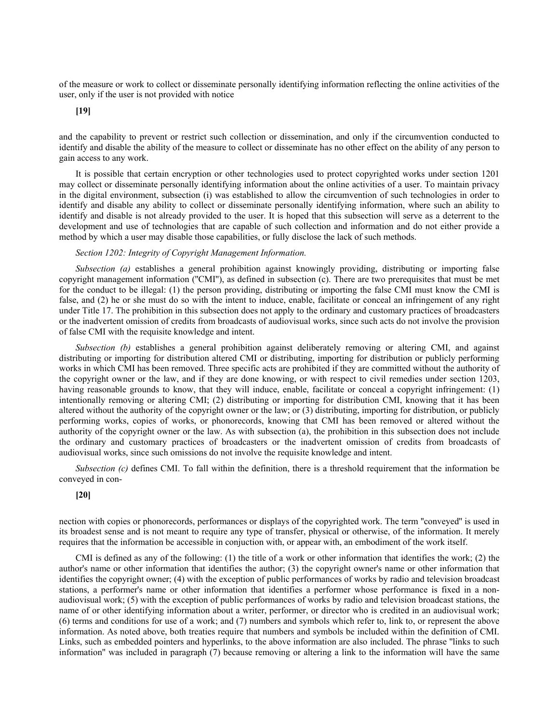of the measure or work to collect or disseminate personally identifying information reflecting the online activities of the user, only if the user is not provided with notice

**[19]**

and the capability to prevent or restrict such collection or dissemination, and only if the circumvention conducted to identify and disable the ability of the measure to collect or disseminate has no other effect on the ability of any person to gain access to any work.

It is possible that certain encryption or other technologies used to protect copyrighted works under section 1201 may collect or disseminate personally identifying information about the online activities of a user. To maintain privacy in the digital environment, subsection (i) was established to allow the circumvention of such technologies in order to identify and disable any ability to collect or disseminate personally identifying information, where such an ability to identify and disable is not already provided to the user. It is hoped that this subsection will serve as a deterrent to the development and use of technologies that are capable of such collection and information and do not either provide a method by which a user may disable those capabilities, or fully disclose the lack of such methods.

### *Section 1202: Integrity of Copyright Management Information.*

*Subsection (a)* establishes a general prohibition against knowingly providing, distributing or importing false copyright management information (''CMI''), as defined in subsection (c). There are two prerequisites that must be met for the conduct to be illegal: (1) the person providing, distributing or importing the false CMI must know the CMI is false, and (2) he or she must do so with the intent to induce, enable, facilitate or conceal an infringement of any right under Title 17. The prohibition in this subsection does not apply to the ordinary and customary practices of broadcasters or the inadvertent omission of credits from broadcasts of audiovisual works, since such acts do not involve the provision of false CMI with the requisite knowledge and intent.

*Subsection (b)* establishes a general prohibition against deliberately removing or altering CMI, and against distributing or importing for distribution altered CMI or distributing, importing for distribution or publicly performing works in which CMI has been removed. Three specific acts are prohibited if they are committed without the authority of the copyright owner or the law, and if they are done knowing, or with respect to civil remedies under section 1203, having reasonable grounds to know, that they will induce, enable, facilitate or conceal a copyright infringement: (1) intentionally removing or altering CMI; (2) distributing or importing for distribution CMI, knowing that it has been altered without the authority of the copyright owner or the law; or (3) distributing, importing for distribution, or publicly performing works, copies of works, or phonorecords, knowing that CMI has been removed or altered without the authority of the copyright owner or the law. As with subsection (a), the prohibition in this subsection does not include the ordinary and customary practices of broadcasters or the inadvertent omission of credits from broadcasts of audiovisual works, since such omissions do not involve the requisite knowledge and intent.

*Subsection (c)* defines CMI. To fall within the definition, there is a threshold requirement that the information be conveyed in con-

# **[20]**

nection with copies or phonorecords, performances or displays of the copyrighted work. The term ''conveyed'' is used in its broadest sense and is not meant to require any type of transfer, physical or otherwise, of the information. It merely requires that the information be accessible in conjuction with, or appear with, an embodiment of the work itself.

CMI is defined as any of the following: (1) the title of a work or other information that identifies the work; (2) the author's name or other information that identifies the author; (3) the copyright owner's name or other information that identifies the copyright owner; (4) with the exception of public performances of works by radio and television broadcast stations, a performer's name or other information that identifies a performer whose performance is fixed in a nonaudiovisual work; (5) with the exception of public performances of works by radio and television broadcast stations, the name of or other identifying information about a writer, performer, or director who is credited in an audiovisual work; (6) terms and conditions for use of a work; and (7) numbers and symbols which refer to, link to, or represent the above information. As noted above, both treaties require that numbers and symbols be included within the definition of CMI. Links, such as embedded pointers and hyperlinks, to the above information are also included. The phrase ''links to such information'' was included in paragraph (7) because removing or altering a link to the information will have the same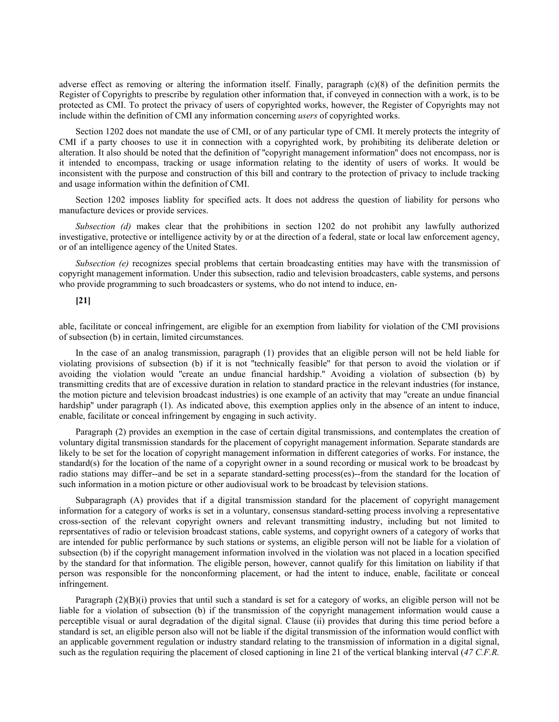adverse effect as removing or altering the information itself. Finally, paragraph (c)(8) of the definition permits the Register of Copyrights to prescribe by regulation other information that, if conveyed in connection with a work, is to be protected as CMI. To protect the privacy of users of copyrighted works, however, the Register of Copyrights may not include within the definition of CMI any information concerning *users* of copyrighted works.

Section 1202 does not mandate the use of CMI, or of any particular type of CMI. It merely protects the integrity of CMI if a party chooses to use it in connection with a copyrighted work, by prohibiting its deliberate deletion or alteration. It also should be noted that the definition of ''copyright management information'' does not encompass, nor is it intended to encompass, tracking or usage information relating to the identity of users of works. It would be inconsistent with the purpose and construction of this bill and contrary to the protection of privacy to include tracking and usage information within the definition of CMI.

Section 1202 imposes liablity for specified acts. It does not address the question of liability for persons who manufacture devices or provide services.

*Subsection (d)* makes clear that the prohibitions in section 1202 do not prohibit any lawfully authorized investigative, protective or intelligence activity by or at the direction of a federal, state or local law enforcement agency, or of an intelligence agency of the United States.

*Subsection (e)* recognizes special problems that certain broadcasting entities may have with the transmission of copyright management information. Under this subsection, radio and television broadcasters, cable systems, and persons who provide programming to such broadcasters or systems, who do not intend to induce, en-

# **[21]**

able, facilitate or conceal infringement, are eligible for an exemption from liability for violation of the CMI provisions of subsection (b) in certain, limited circumstances.

In the case of an analog transmission, paragraph (1) provides that an eligible person will not be held liable for violating provisions of subsection (b) if it is not ''technically feasible'' for that person to avoid the violation or if avoiding the violation would ''create an undue financial hardship.'' Avoiding a violation of subsection (b) by transmitting credits that are of excessive duration in relation to standard practice in the relevant industries (for instance, the motion picture and television broadcast industries) is one example of an activity that may ''create an undue financial hardship" under paragraph (1). As indicated above, this exemption applies only in the absence of an intent to induce, enable, facilitate or conceal infringement by engaging in such activity.

Paragraph (2) provides an exemption in the case of certain digital transmissions, and contemplates the creation of voluntary digital transmission standards for the placement of copyright management information. Separate standards are likely to be set for the location of copyright management information in different categories of works. For instance, the standard(s) for the location of the name of a copyright owner in a sound recording or musical work to be broadcast by radio stations may differ--and be set in a separate standard-setting process(es)--from the standard for the location of such information in a motion picture or other audiovisual work to be broadcast by television stations.

Subparagraph (A) provides that if a digital transmission standard for the placement of copyright management information for a category of works is set in a voluntary, consensus standard-setting process involving a representative cross-section of the relevant copyright owners and relevant transmitting industry, including but not limited to reprsentatives of radio or television broadcast stations, cable systems, and copyright owners of a category of works that are intended for public performance by such stations or systems, an eligible person will not be liable for a violation of subsection (b) if the copyright management information involved in the violation was not placed in a location specified by the standard for that information. The eligible person, however, cannot qualify for this limitation on liability if that person was responsible for the nonconforming placement, or had the intent to induce, enable, facilitate or conceal infringement.

Paragraph (2)(B)(i) provies that until such a standard is set for a category of works, an eligible person will not be liable for a violation of subsection (b) if the transmission of the copyright management information would cause a perceptible visual or aural degradation of the digital signal. Clause (ii) provides that during this time period before a standard is set, an eligible person also will not be liable if the digital transmission of the information would conflict with an applicable government regulation or industry standard relating to the transmission of information in a digital signal, such as the regulation requiring the placement of closed captioning in line 21 of the vertical blanking interval (*47 C.F.R.*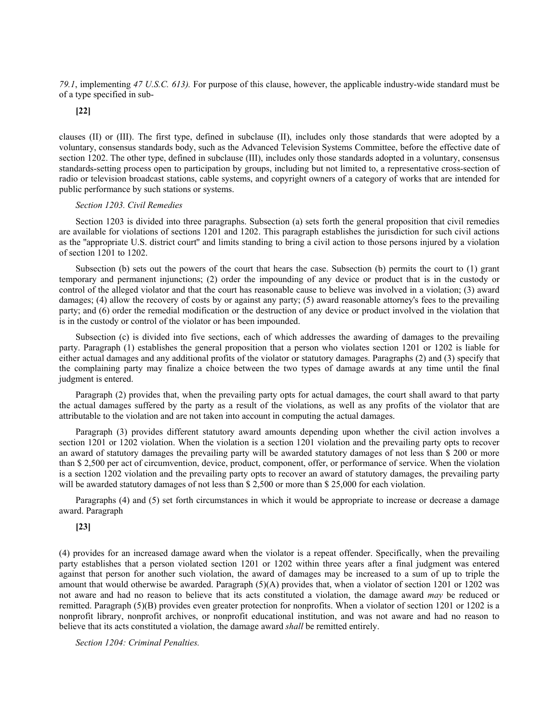*79.1*, implementing *47 U.S.C. 613).* For purpose of this clause, however, the applicable industry-wide standard must be of a type specified in sub-

# **[22]**

clauses (II) or (III). The first type, defined in subclause (II), includes only those standards that were adopted by a voluntary, consensus standards body, such as the Advanced Television Systems Committee, before the effective date of section 1202. The other type, defined in subclause (III), includes only those standards adopted in a voluntary, consensus standards-setting process open to participation by groups, including but not limited to, a representative cross-section of radio or television broadcast stations, cable systems, and copyright owners of a category of works that are intended for public performance by such stations or systems.

# *Section 1203. Civil Remedies*

Section 1203 is divided into three paragraphs. Subsection (a) sets forth the general proposition that civil remedies are available for violations of sections 1201 and 1202. This paragraph establishes the jurisdiction for such civil actions as the ''appropriate U.S. district court'' and limits standing to bring a civil action to those persons injured by a violation of section 1201 to 1202.

Subsection (b) sets out the powers of the court that hears the case. Subsection (b) permits the court to (1) grant temporary and permanent injunctions; (2) order the impounding of any device or product that is in the custody or control of the alleged violator and that the court has reasonable cause to believe was involved in a violation; (3) award damages; (4) allow the recovery of costs by or against any party; (5) award reasonable attorney's fees to the prevailing party; and (6) order the remedial modification or the destruction of any device or product involved in the violation that is in the custody or control of the violator or has been impounded.

Subsection (c) is divided into five sections, each of which addresses the awarding of damages to the prevailing party. Paragraph (1) establishes the general proposition that a person who violates section 1201 or 1202 is liable for either actual damages and any additional profits of the violator or statutory damages. Paragraphs (2) and (3) specify that the complaining party may finalize a choice between the two types of damage awards at any time until the final judgment is entered.

Paragraph (2) provides that, when the prevailing party opts for actual damages, the court shall award to that party the actual damages suffered by the party as a result of the violations, as well as any profits of the violator that are attributable to the violation and are not taken into account in computing the actual damages.

Paragraph (3) provides different statutory award amounts depending upon whether the civil action involves a section 1201 or 1202 violation. When the violation is a section 1201 violation and the prevailing party opts to recover an award of statutory damages the prevailing party will be awarded statutory damages of not less than \$ 200 or more than \$ 2,500 per act of circumvention, device, product, component, offer, or performance of service. When the violation is a section 1202 violation and the prevailing party opts to recover an award of statutory damages, the prevailing party will be awarded statutory damages of not less than \$ 2,500 or more than \$ 25,000 for each violation.

Paragraphs (4) and (5) set forth circumstances in which it would be appropriate to increase or decrease a damage award. Paragraph

# **[23]**

(4) provides for an increased damage award when the violator is a repeat offender. Specifically, when the prevailing party establishes that a person violated section 1201 or 1202 within three years after a final judgment was entered against that person for another such violation, the award of damages may be increased to a sum of up to triple the amount that would otherwise be awarded. Paragraph (5)(A) provides that, when a violator of section 1201 or 1202 was not aware and had no reason to believe that its acts constituted a violation, the damage award *may* be reduced or remitted. Paragraph (5)(B) provides even greater protection for nonprofits. When a violator of section 1201 or 1202 is a nonprofit library, nonprofit archives, or nonprofit educational institution, and was not aware and had no reason to believe that its acts constituted a violation, the damage award *shall* be remitted entirely.

*Section 1204: Criminal Penalties.*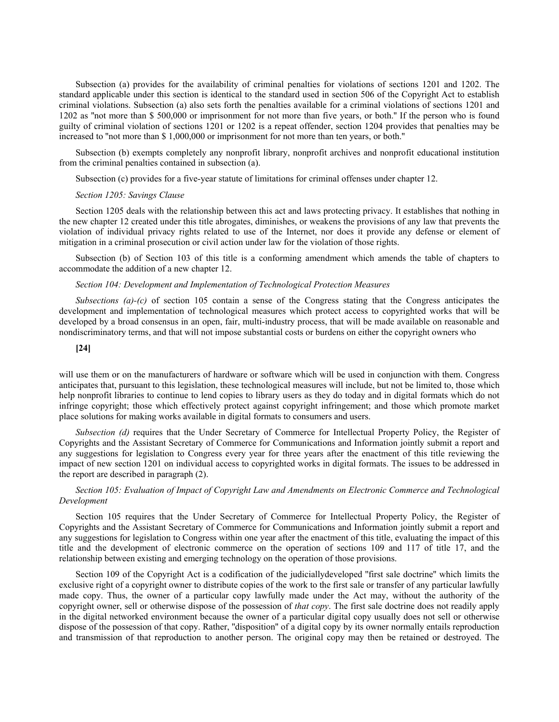Subsection (a) provides for the availability of criminal penalties for violations of sections 1201 and 1202. The standard applicable under this section is identical to the standard used in section 506 of the Copyright Act to establish criminal violations. Subsection (a) also sets forth the penalties available for a criminal violations of sections 1201 and 1202 as ''not more than \$ 500,000 or imprisonment for not more than five years, or both.'' If the person who is found guilty of criminal violation of sections 1201 or 1202 is a repeat offender, section 1204 provides that penalties may be increased to ''not more than \$ 1,000,000 or imprisonment for not more than ten years, or both.''

Subsection (b) exempts completely any nonprofit library, nonprofit archives and nonprofit educational institution from the criminal penalties contained in subsection (a).

Subsection (c) provides for a five-year statute of limitations for criminal offenses under chapter 12.

# *Section 1205: Savings Clause*

Section 1205 deals with the relationship between this act and laws protecting privacy. It establishes that nothing in the new chapter 12 created under this title abrogates, diminishes, or weakens the provisions of any law that prevents the violation of individual privacy rights related to use of the Internet, nor does it provide any defense or element of mitigation in a criminal prosecution or civil action under law for the violation of those rights.

Subsection (b) of Section 103 of this title is a conforming amendment which amends the table of chapters to accommodate the addition of a new chapter 12.

## *Section 104: Development and Implementation of Technological Protection Measures*

*Subsections (a)-(c)* of section 105 contain a sense of the Congress stating that the Congress anticipates the development and implementation of technological measures which protect access to copyrighted works that will be developed by a broad consensus in an open, fair, multi-industry process, that will be made available on reasonable and nondiscriminatory terms, and that will not impose substantial costs or burdens on either the copyright owners who

### **[24]**

will use them or on the manufacturers of hardware or software which will be used in conjunction with them. Congress anticipates that, pursuant to this legislation, these technological measures will include, but not be limited to, those which help nonprofit libraries to continue to lend copies to library users as they do today and in digital formats which do not infringe copyright; those which effectively protect against copyright infringement; and those which promote market place solutions for making works available in digital formats to consumers and users.

*Subsection (d)* requires that the Under Secretary of Commerce for Intellectual Property Policy, the Register of Copyrights and the Assistant Secretary of Commerce for Communications and Information jointly submit a report and any suggestions for legislation to Congress every year for three years after the enactment of this title reviewing the impact of new section 1201 on individual access to copyrighted works in digital formats. The issues to be addressed in the report are described in paragraph (2).

## *Section 105: Evaluation of Impact of Copyright Law and Amendments on Electronic Commerce and Technological Development*

Section 105 requires that the Under Secretary of Commerce for Intellectual Property Policy, the Register of Copyrights and the Assistant Secretary of Commerce for Communications and Information jointly submit a report and any suggestions for legislation to Congress within one year after the enactment of this title, evaluating the impact of this title and the development of electronic commerce on the operation of sections 109 and 117 of title 17, and the relationship between existing and emerging technology on the operation of those provisions.

Section 109 of the Copyright Act is a codification of the judiciallydeveloped ''first sale doctrine'' which limits the exclusive right of a copyright owner to distribute copies of the work to the first sale or transfer of any particular lawfully made copy. Thus, the owner of a particular copy lawfully made under the Act may, without the authority of the copyright owner, sell or otherwise dispose of the possession of *that copy*. The first sale doctrine does not readily apply in the digital networked environment because the owner of a particular digital copy usually does not sell or otherwise dispose of the possession of that copy. Rather, ''disposition'' of a digital copy by its owner normally entails reproduction and transmission of that reproduction to another person. The original copy may then be retained or destroyed. The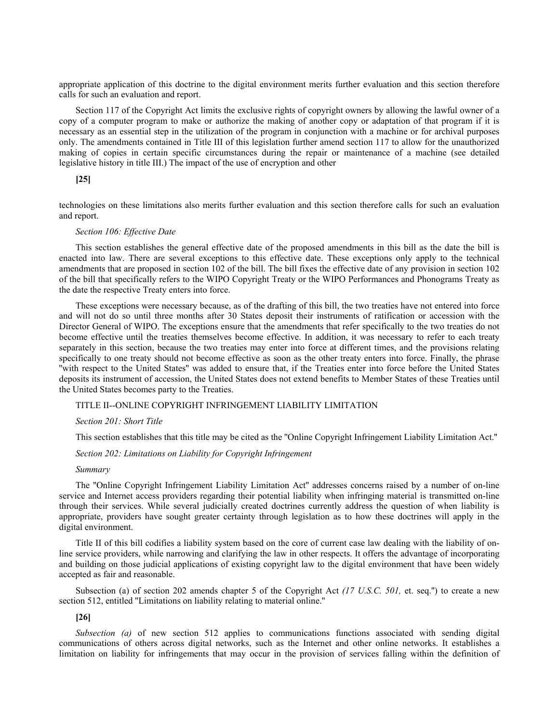appropriate application of this doctrine to the digital environment merits further evaluation and this section therefore calls for such an evaluation and report.

Section 117 of the Copyright Act limits the exclusive rights of copyright owners by allowing the lawful owner of a copy of a computer program to make or authorize the making of another copy or adaptation of that program if it is necessary as an essential step in the utilization of the program in conjunction with a machine or for archival purposes only. The amendments contained in Title III of this legislation further amend section 117 to allow for the unauthorized making of copies in certain specific circumstances during the repair or maintenance of a machine (see detailed legislative history in title III.) The impact of the use of encryption and other

### **[25]**

technologies on these limitations also merits further evaluation and this section therefore calls for such an evaluation and report.

## *Section 106: Effective Date*

This section establishes the general effective date of the proposed amendments in this bill as the date the bill is enacted into law. There are several exceptions to this effective date. These exceptions only apply to the technical amendments that are proposed in section 102 of the bill. The bill fixes the effective date of any provision in section 102 of the bill that specifically refers to the WIPO Copyright Treaty or the WIPO Performances and Phonograms Treaty as the date the respective Treaty enters into force.

These exceptions were necessary because, as of the drafting of this bill, the two treaties have not entered into force and will not do so until three months after 30 States deposit their instruments of ratification or accession with the Director General of WIPO. The exceptions ensure that the amendments that refer specifically to the two treaties do not become effective until the treaties themselves become effective. In addition, it was necessary to refer to each treaty separately in this section, because the two treaties may enter into force at different times, and the provisions relating specifically to one treaty should not become effective as soon as the other treaty enters into force. Finally, the phrase ''with respect to the United States'' was added to ensure that, if the Treaties enter into force before the United States deposits its instrument of accession, the United States does not extend benefits to Member States of these Treaties until the United States becomes party to the Treaties.

## TITLE II--ONLINE COPYRIGHT INFRINGEMENT LIABILITY LIMITATION

#### *Section 201: Short Title*

This section establishes that this title may be cited as the ''Online Copyright Infringement Liability Limitation Act.''

### *Section 202: Limitations on Liability for Copyright Infringement*

#### *Summary*

The ''Online Copyright Infringement Liability Limitation Act'' addresses concerns raised by a number of on-line service and Internet access providers regarding their potential liability when infringing material is transmitted on-line through their services. While several judicially created doctrines currently address the question of when liability is appropriate, providers have sought greater certainty through legislation as to how these doctrines will apply in the digital environment.

Title II of this bill codifies a liability system based on the core of current case law dealing with the liability of online service providers, while narrowing and clarifying the law in other respects. It offers the advantage of incorporating and building on those judicial applications of existing copyright law to the digital environment that have been widely accepted as fair and reasonable.

Subsection (a) of section 202 amends chapter 5 of the Copyright Act *(17 U.S.C. 501,* et. seq.'') to create a new section 512, entitled "Limitations on liability relating to material online."

# **[26]**

*Subsection (a)* of new section 512 applies to communications functions associated with sending digital communications of others across digital networks, such as the Internet and other online networks. It establishes a limitation on liability for infringements that may occur in the provision of services falling within the definition of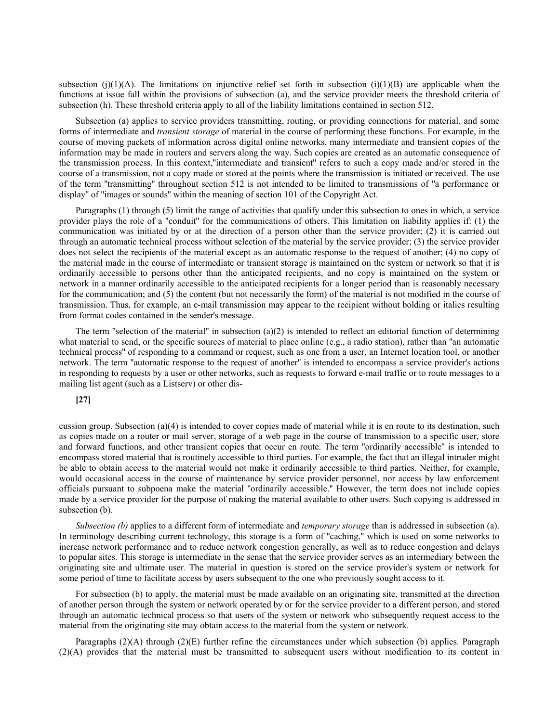subsection (j)(1)(A). The limitations on injunctive relief set forth in subsection (j)(1)(B) are applicable when the functions at issue fall within the provisions of subsection (a), and the service provider meets the threshold criteria of subsection (h). These threshold criteria apply to all of the liability limitations contained in section 512.

Subsection (a) applies to service providers transmitting, routing, or providing connections for material, and some forms of intermediate and *transient storage* of material in the course of performing these functions. For example, in the course of moving packets of information across digital online networks, many intermediate and transient copies of the information may be made in routers and servers along the way. Such copies are created as an automatic consequence of the transmission process. In this context,''intermediate and transient'' refers to such a copy made and/or stored in the course of a transmission, not a copy made or stored at the points where the transmission is initiated or received. The use of the term ''transmitting'' throughout section 512 is not intended to be limited to transmissions of ''a performance or display'' of ''images or sounds'' within the meaning of section 101 of the Copyright Act.

Paragraphs (1) through (5) limit the range of activities that qualify under this subsection to ones in which, a service provider plays the role of a ''conduit'' for the communications of others. This limitation on liability applies if: (1) the communication was initiated by or at the direction of a person other than the service provider; (2) it is carried out through an automatic technical process without selection of the material by the service provider; (3) the service provider does not select the recipients of the material except as an automatic response to the request of another; (4) no copy of the material made in the course of intermediate or transient storage is maintained on the system or network so that it is ordinarily accessible to persons other than the anticipated recipients, and no copy is maintained on the system or network in a manner ordinarily accessible to the anticipated recipients for a longer period than is reasonably necessary for the communication; and (5) the content (but not necessarily the form) of the material is not modified in the course of transmission. Thus, for example, an e-mail transmission may appear to the recipient without bolding or italics resulting from format codes contained in the sender's message.

The term "selection of the material" in subsection  $(a)(2)$  is intended to reflect an editorial function of determining what material to send, or the specific sources of material to place online (e.g., a radio station), rather than "an automatic technical process'' of responding to a command or request, such as one from a user, an Internet location tool, or another network. The term ''automatic response to the request of another'' is intended to encompass a service provider's actions in responding to requests by a user or other networks, such as requests to forward e-mail traffic or to route messages to a mailing list agent (such as a Listserv) or other dis-

## **[27]**

cussion group. Subsection  $(a)(4)$  is intended to cover copies made of material while it is en route to its destination, such as copies made on a router or mail server, storage of a web page in the course of transmission to a specific user, store and forward functions, and other transient copies that occur en route. The term ''ordinarily accessible'' is intended to encompass stored material that is routinely accessible to third parties. For example, the fact that an illegal intruder might be able to obtain access to the material would not make it ordinarily accessible to third parties. Neither, for example, would occasional access in the course of maintenance by service provider personnel, nor access by law enforcement officials pursuant to subpoena make the material ''ordinarily accessible.'' However, the term does not include copies made by a service provider for the purpose of making the material available to other users. Such copying is addressed in subsection (b).

*Subsection (b)* applies to a different form of intermediate and *temporary storage* than is addressed in subsection (a). In terminology describing current technology, this storage is a form of ''caching,'' which is used on some networks to increase network performance and to reduce network congestion generally, as well as to reduce congestion and delays to popular sites. This storage is intermediate in the sense that the service provider serves as an intermediary between the originating site and ultimate user. The material in question is stored on the service provider's system or network for some period of time to facilitate access by users subsequent to the one who previously sought access to it.

For subsection (b) to apply, the material must be made available on an originating site, transmitted at the direction of another person through the system or network operated by or for the service provider to a different person, and stored through an automatic technical process so that users of the system or network who subsequently request access to the material from the originating site may obtain access to the material from the system or network.

Paragraphs (2)(A) through (2)(E) further refine the circumstances under which subsection (b) applies. Paragraph (2)(A) provides that the material must be transmitted to subsequent users without modification to its content in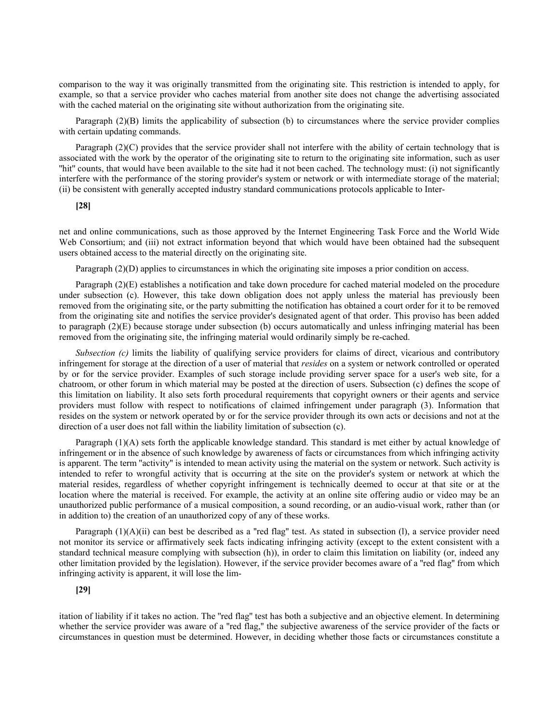comparison to the way it was originally transmitted from the originating site. This restriction is intended to apply, for example, so that a service provider who caches material from another site does not change the advertising associated with the cached material on the originating site without authorization from the originating site.

Paragraph (2)(B) limits the applicability of subsection (b) to circumstances where the service provider complies with certain updating commands.

Paragraph (2)(C) provides that the service provider shall not interfere with the ability of certain technology that is associated with the work by the operator of the originating site to return to the originating site information, such as user "hit" counts, that would have been available to the site had it not been cached. The technology must: (i) not significantly interfere with the performance of the storing provider's system or network or with intermediate storage of the material; (ii) be consistent with generally accepted industry standard communications protocols applicable to Inter-

### **[28]**

net and online communications, such as those approved by the Internet Engineering Task Force and the World Wide Web Consortium; and (iii) not extract information beyond that which would have been obtained had the subsequent users obtained access to the material directly on the originating site.

Paragraph (2)(D) applies to circumstances in which the originating site imposes a prior condition on access.

Paragraph (2)(E) establishes a notification and take down procedure for cached material modeled on the procedure under subsection (c). However, this take down obligation does not apply unless the material has previously been removed from the originating site, or the party submitting the notification has obtained a court order for it to be removed from the originating site and notifies the service provider's designated agent of that order. This proviso has been added to paragraph (2)(E) because storage under subsection (b) occurs automatically and unless infringing material has been removed from the originating site, the infringing material would ordinarily simply be re-cached.

*Subsection (c)* limits the liability of qualifying service providers for claims of direct, vicarious and contributory infringement for storage at the direction of a user of material that *resides* on a system or network controlled or operated by or for the service provider. Examples of such storage include providing server space for a user's web site, for a chatroom, or other forum in which material may be posted at the direction of users. Subsection (c) defines the scope of this limitation on liability. It also sets forth procedural requirements that copyright owners or their agents and service providers must follow with respect to notifications of claimed infringement under paragraph (3). Information that resides on the system or network operated by or for the service provider through its own acts or decisions and not at the direction of a user does not fall within the liability limitation of subsection (c).

Paragraph (1)(A) sets forth the applicable knowledge standard. This standard is met either by actual knowledge of infringement or in the absence of such knowledge by awareness of facts or circumstances from which infringing activity is apparent. The term "activity" is intended to mean activity using the material on the system or network. Such activity is intended to refer to wrongful activity that is occurring at the site on the provider's system or network at which the material resides, regardless of whether copyright infringement is technically deemed to occur at that site or at the location where the material is received. For example, the activity at an online site offering audio or video may be an unauthorized public performance of a musical composition, a sound recording, or an audio-visual work, rather than (or in addition to) the creation of an unauthorized copy of any of these works.

Paragraph (1)(A)(ii) can best be described as a "red flag" test. As stated in subsection (1), a service provider need not monitor its service or affirmatively seek facts indicating infringing activity (except to the extent consistent with a standard technical measure complying with subsection (h)), in order to claim this limitation on liability (or, indeed any other limitation provided by the legislation). However, if the service provider becomes aware of a ''red flag'' from which infringing activity is apparent, it will lose the lim-

#### **[29]**

itation of liability if it takes no action. The ''red flag'' test has both a subjective and an objective element. In determining whether the service provider was aware of a "red flag," the subjective awareness of the service provider of the facts or circumstances in question must be determined. However, in deciding whether those facts or circumstances constitute a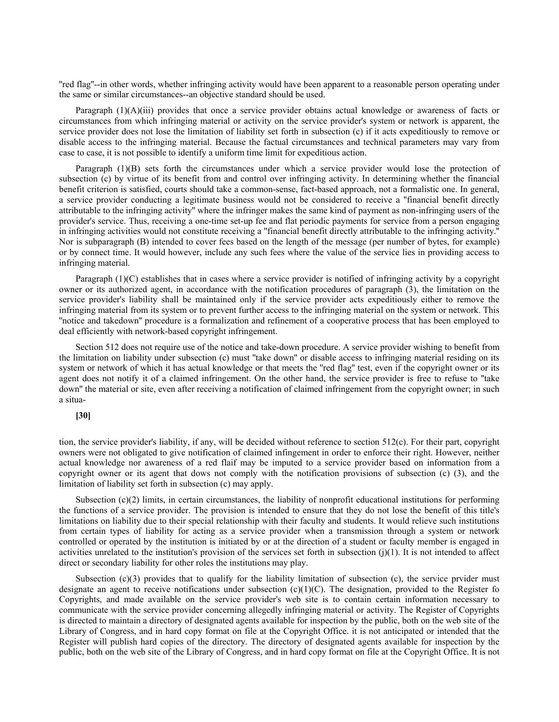''red flag''--in other words, whether infringing activity would have been apparent to a reasonable person operating under the same or similar circumstances--an objective standard should be used.

Paragraph (1)(A)(iii) provides that once a service provider obtains actual knowledge or awareness of facts or circumstances from which infringing material or activity on the service provider's system or network is apparent, the service provider does not lose the limitation of liability set forth in subsection (c) if it acts expeditiously to remove or disable access to the infringing material. Because the factual circumstances and technical parameters may vary from case to case, it is not possible to identify a uniform time limit for expeditious action.

Paragraph (1)(B) sets forth the circumstances under which a service provider would lose the protection of subsection (c) by virtue of its benefit from and control over infringing activity. In determining whether the financial benefit criterion is satisfied, courts should take a common-sense, fact-based approach, not a formalistic one. In general, a service provider conducting a legitimate business would not be considered to receive a ''financial benefit directly attributable to the infringing activity'' where the infringer makes the same kind of payment as non-infringing users of the provider's service. Thus, receiving a one-time set-up fee and flat periodic payments for service from a person engaging in infringing activities would not constitute receiving a ''financial benefit directly attributable to the infringing activity.'' Nor is subparagraph (B) intended to cover fees based on the length of the message (per number of bytes, for example) or by connect time. It would however, include any such fees where the value of the service lies in providing access to infringing material.

Paragraph (1)(C) establishes that in cases where a service provider is notified of infringing activity by a copyright owner or its authorized agent, in accordance with the notification procedures of paragraph (3), the limitation on the service provider's liability shall be maintained only if the service provider acts expeditiously either to remove the infringing material from its system or to prevent further access to the infringing material on the system or network. This ''notice and takedown'' procedure is a formalization and refinement of a cooperative process that has been employed to deal efficiently with network-based copyright infringement.

Section 512 does not require use of the notice and take-down procedure. A service provider wishing to benefit from the limitation on liability under subsection (c) must ''take down'' or disable access to infringing material residing on its system or network of which it has actual knowledge or that meets the "red flag" test, even if the copyright owner or its agent does not notify it of a claimed infringement. On the other hand, the service provider is free to refuse to ''take down'' the material or site, even after receiving a notification of claimed infringement from the copyright owner; in such a situa-

### **[30]**

tion, the service provider's liability, if any, will be decided without reference to section 512(c). For their part, copyright owners were not obligated to give notification of claimed infingement in order to enforce their right. However, neither actual knowledge nor awareness of a red flaif may be imputed to a service provider based on information from a copyright owner or its agent that dows not comply with the notification provisions of subsection (c) (3), and the limitation of liability set forth in subsection (c) may apply.

Subsection  $(c)(2)$  limits, in certain circumstances, the liability of nonprofit educational institutions for performing the functions of a service provider. The provision is intended to ensure that they do not lose the benefit of this title's limitations on liability due to their special relationship with their faculty and students. It would relieve such institutions from certain types of liability for acting as a service provider when a transmission through a system or network controlled or operated by the institution is initiated by or at the direction of a student or faculty member is engaged in activities unrelated to the institution's provision of the services set forth in subsection  $(j)(1)$ . It is not intended to affect direct or secondary liability for other roles the institutions may play.

Subsection  $(c)(3)$  provides that to qualify for the liability limitation of subsection  $(c)$ , the service prvider must designate an agent to receive notifications under subsection  $(c)(1)(C)$ . The designation, provided to the Register fo Copyrights, and made available on the service provider's web site is to contain certain information necessary to communicate with the service provider concerning allegedly infringing material or activity. The Register of Copyrights is directed to maintain a directory of designated agents available for inspection by the public, both on the web site of the Library of Congress, and in hard copy format on file at the Copyright Office. it is not anticipated or intended that the Register will publish hard copies of the directory. The directory of designated agents available for inspection by the public, both on the web site of the Library of Congress, and in hard copy format on file at the Copyright Office. It is not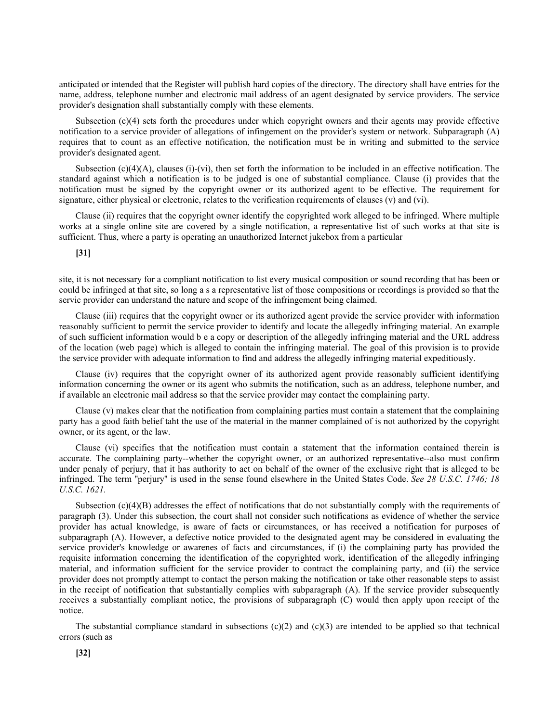anticipated or intended that the Register will publish hard copies of the directory. The directory shall have entries for the name, address, telephone number and electronic mail address of an agent designated by service providers. The service provider's designation shall substantially comply with these elements.

Subsection  $(c)(4)$  sets forth the procedures under which copyright owners and their agents may provide effective notification to a service provider of allegations of infingement on the provider's system or network. Subparagraph (A) requires that to count as an effective notification, the notification must be in writing and submitted to the service provider's designated agent.

Subsection  $(c)(4)(A)$ , clauses (i)-(vi), then set forth the information to be included in an effective notification. The standard against which a notification is to be judged is one of substantial compliance. Clause (i) provides that the notification must be signed by the copyright owner or its authorized agent to be effective. The requirement for signature, either physical or electronic, relates to the verification requirements of clauses (v) and (vi).

Clause (ii) requires that the copyright owner identify the copyrighted work alleged to be infringed. Where multiple works at a single online site are covered by a single notification, a representative list of such works at that site is sufficient. Thus, where a party is operating an unauthorized Internet jukebox from a particular

**[31]**

site, it is not necessary for a compliant notification to list every musical composition or sound recording that has been or could be infringed at that site, so long a s a representative list of those compositions or recordings is provided so that the servic provider can understand the nature and scope of the infringement being claimed.

Clause (iii) requires that the copyright owner or its authorized agent provide the service provider with information reasonably sufficient to permit the service provider to identify and locate the allegedly infringing material. An example of such sufficient information would b e a copy or description of the allegedly infringing material and the URL address of the location (web page) which is alleged to contain the infringing material. The goal of this provision is to provide the service provider with adequate information to find and address the allegedly infringing material expeditiously.

Clause (iv) requires that the copyright owner of its authorized agent provide reasonably sufficient identifying information concerning the owner or its agent who submits the notification, such as an address, telephone number, and if available an electronic mail address so that the service provider may contact the complaining party.

Clause (v) makes clear that the notification from complaining parties must contain a statement that the complaining party has a good faith belief taht the use of the material in the manner complained of is not authorized by the copyright owner, or its agent, or the law.

Clause (vi) specifies that the notification must contain a statement that the information contained therein is accurate. The complaining party--whether the copyright owner, or an authorized representative--also must confirm under penaly of perjury, that it has authority to act on behalf of the owner of the exclusive right that is alleged to be infringed. The term ''perjury'' is used in the sense found elsewhere in the United States Code. *See 28 U.S.C. 1746; 18 U.S.C. 1621.*

Subsection  $(c)(4)(B)$  addresses the effect of notifications that do not substantially comply with the requirements of paragraph (3). Under this subsection, the court shall not consider such notifications as evidence of whether the service provider has actual knowledge, is aware of facts or circumstances, or has received a notification for purposes of subparagraph (A). However, a defective notice provided to the designated agent may be considered in evaluating the service provider's knowledge or awarenes of facts and circumstances, if (i) the complaining party has provided the requisite information concerning the identification of the copyrighted work, identification of the allegedly infringing material, and information sufficient for the service provider to contract the complaining party, and (ii) the service provider does not promptly attempt to contact the person making the notification or take other reasonable steps to assist in the receipt of notification that substantially complies with subparagraph (A). If the service provider subsequently receives a substantially compliant notice, the provisions of subparagraph (C) would then apply upon receipt of the notice.

The substantial compliance standard in subsections  $(c)(2)$  and  $(c)(3)$  are intended to be applied so that technical errors (such as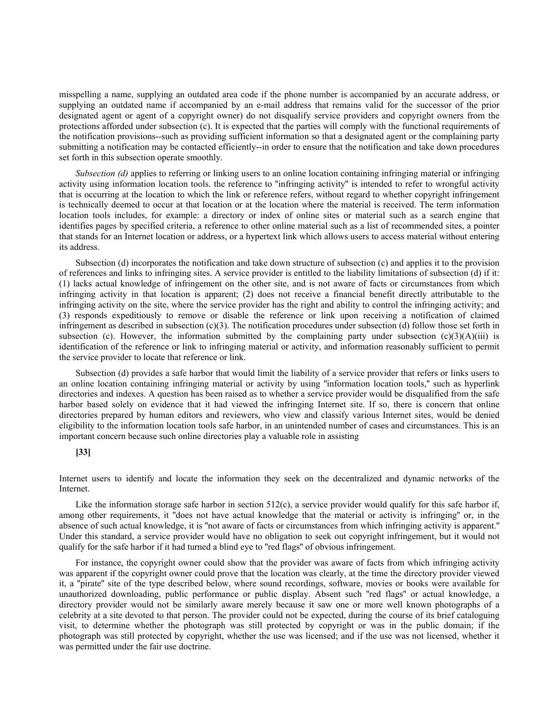misspelling a name, supplying an outdated area code if the phone number is accompanied by an accurate address, or supplying an outdated name if accompanied by an e-mail address that remains valid for the successor of the prior designated agent or agent of a copyright owner) do not disqualify service providers and copyright owners from the protections afforded under subsection (c). It is expected that the parties will comply with the functional requirements of the notification provisions--such as providing sufficient information so that a designated agent or the complaining party submitting a notification may be contacted efficiently--in order to ensure that the notification and take down procedures set forth in this subsection operate smoothly.

*Subsection (d)* applies to referring or linking users to an online location containing infringing material or infringing activity using information location tools. the reference to ''infringing activity'' is intended to refer to wrongful activity that is occurring at the location to which the link or reference refers, without regard to whether copyright infringement is technically deemed to occur at that location or at the location where the material is received. The term information location tools includes, for example: a directory or index of online sites or material such as a search engine that identifies pages by specified criteria, a reference to other online material such as a list of recommended sites, a pointer that stands for an Internet location or address, or a hypertext link which allows users to access material without entering its address.

Subsection (d) incorporates the notification and take down structure of subsection (c) and applies it to the provision of references and links to infringing sites. A service provider is entitled to the liability limitations of subsection (d) if it: (1) lacks actual knowledge of infringement on the other site, and is not aware of facts or circumstances from which infringing activity in that location is apparent; (2) does not receive a financial benefit directly attributable to the infringing activity on the site, where the service provider has the right and ability to control the infringing activity; and (3) responds expeditiously to remove or disable the reference or link upon receiving a notification of claimed infringement as described in subsection (c)(3). The notification procedures under subsection (d) follow those set forth in subsection (c). However, the information submitted by the complaining party under subsection  $(c)(3)(A)(iii)$  is identification of the reference or link to infringing material or activity, and information reasonably sufficient to permit the service provider to locate that reference or link.

Subsection (d) provides a safe harbor that would limit the liability of a service provider that refers or links users to an online location containing infringing material or activity by using ''information location tools,'' such as hyperlink directories and indexes. A question has been raised as to whether a service provider would be disqualified from the safe harbor based solely on evidence that it had viewed the infringing Internet site. If so, there is concern that online directories prepared by human editors and reviewers, who view and classify various Internet sites, would be denied eligibility to the information location tools safe harbor, in an unintended number of cases and circumstances. This is an important concern because such online directories play a valuable role in assisting

# **[33]**

Internet users to identify and locate the information they seek on the decentralized and dynamic networks of the **Internet** 

Like the information storage safe harbor in section  $512(c)$ , a service provider would qualify for this safe harbor if, among other requirements, it ''does not have actual knowledge that the material or activity is infringing'' or, in the absence of such actual knowledge, it is ''not aware of facts or circumstances from which infringing activity is apparent.'' Under this standard, a service provider would have no obligation to seek out copyright infringement, but it would not qualify for the safe harbor if it had turned a blind eye to ''red flags'' of obvious infringement.

For instance, the copyright owner could show that the provider was aware of facts from which infringing activity was apparent if the copyright owner could prove that the location was clearly, at the time the directory provider viewed it, a ''pirate'' site of the type described below, where sound recordings, software, movies or books were available for unauthorized downloading, public performance or public display. Absent such ''red flags'' or actual knowledge, a directory provider would not be similarly aware merely because it saw one or more well known photographs of a celebrity at a site devoted to that person. The provider could not be expected, during the course of its brief cataloguing visit, to determine whether the photograph was still protected by copyright or was in the public domain; if the photograph was still protected by copyright, whether the use was licensed; and if the use was not licensed, whether it was permitted under the fair use doctrine.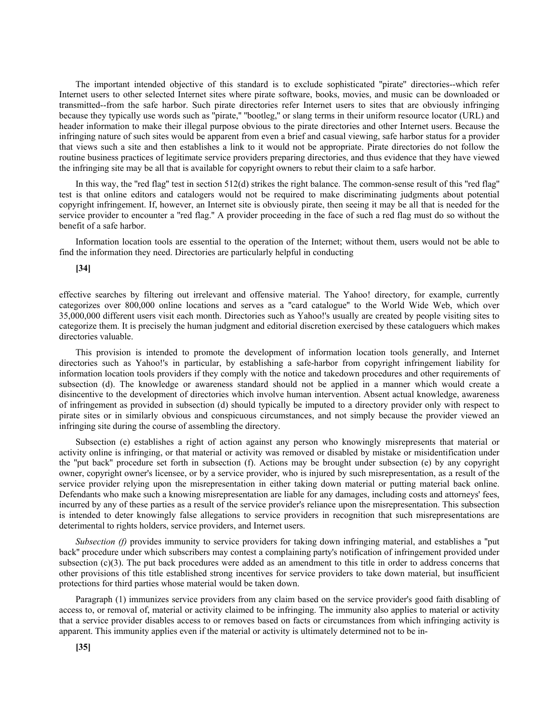The important intended objective of this standard is to exclude sophisticated ''pirate'' directories--which refer Internet users to other selected Internet sites where pirate software, books, movies, and music can be downloaded or transmitted--from the safe harbor. Such pirate directories refer Internet users to sites that are obviously infringing because they typically use words such as ''pirate,'' ''bootleg,'' or slang terms in their uniform resource locator (URL) and header information to make their illegal purpose obvious to the pirate directories and other Internet users. Because the infringing nature of such sites would be apparent from even a brief and casual viewing, safe harbor status for a provider that views such a site and then establishes a link to it would not be appropriate. Pirate directories do not follow the routine business practices of legitimate service providers preparing directories, and thus evidence that they have viewed the infringing site may be all that is available for copyright owners to rebut their claim to a safe harbor.

In this way, the "red flag" test in section  $512(d)$  strikes the right balance. The common-sense result of this "red flag" test is that online editors and catalogers would not be required to make discriminating judgments about potential copyright infringement. If, however, an Internet site is obviously pirate, then seeing it may be all that is needed for the service provider to encounter a ''red flag.'' A provider proceeding in the face of such a red flag must do so without the benefit of a safe harbor.

Information location tools are essential to the operation of the Internet; without them, users would not be able to find the information they need. Directories are particularly helpful in conducting

#### **[34]**

effective searches by filtering out irrelevant and offensive material. The Yahoo! directory, for example, currently categorizes over 800,000 online locations and serves as a ''card catalogue'' to the World Wide Web, which over 35,000,000 different users visit each month. Directories such as Yahoo!'s usually are created by people visiting sites to categorize them. It is precisely the human judgment and editorial discretion exercised by these cataloguers which makes directories valuable.

This provision is intended to promote the development of information location tools generally, and Internet directories such as Yahoo!'s in particular, by establishing a safe-harbor from copyright infringement liability for information location tools providers if they comply with the notice and takedown procedures and other requirements of subsection (d). The knowledge or awareness standard should not be applied in a manner which would create a disincentive to the development of directories which involve human intervention. Absent actual knowledge, awareness of infringement as provided in subsection (d) should typically be imputed to a directory provider only with respect to pirate sites or in similarly obvious and conspicuous circumstances, and not simply because the provider viewed an infringing site during the course of assembling the directory.

Subsection (e) establishes a right of action against any person who knowingly misrepresents that material or activity online is infringing, or that material or activity was removed or disabled by mistake or misidentification under the ''put back'' procedure set forth in subsection (f). Actions may be brought under subsection (e) by any copyright owner, copyright owner's licensee, or by a service provider, who is injured by such misrepresentation, as a result of the service provider relying upon the misrepresentation in either taking down material or putting material back online. Defendants who make such a knowing misrepresentation are liable for any damages, including costs and attorneys' fees, incurred by any of these parties as a result of the service provider's reliance upon the misrepresentation. This subsection is intended to deter knowingly false allegations to service providers in recognition that such misrepresentations are deterimental to rights holders, service providers, and Internet users.

*Subsection (f)* provides immunity to service providers for taking down infringing material, and establishes a ''put back'' procedure under which subscribers may contest a complaining party's notification of infringement provided under subsection (c)(3). The put back procedures were added as an amendment to this title in order to address concerns that other provisions of this title established strong incentives for service providers to take down material, but insufficient protections for third parties whose material would be taken down.

Paragraph (1) immunizes service providers from any claim based on the service provider's good faith disabling of access to, or removal of, material or activity claimed to be infringing. The immunity also applies to material or activity that a service provider disables access to or removes based on facts or circumstances from which infringing activity is apparent. This immunity applies even if the material or activity is ultimately determined not to be in-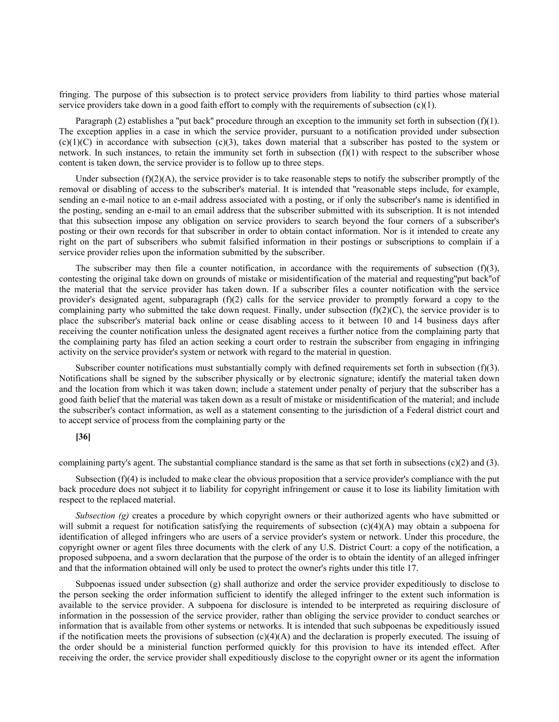fringing. The purpose of this subsection is to protect service providers from liability to third parties whose material service providers take down in a good faith effort to comply with the requirements of subsection  $(c)(1)$ .

Paragraph (2) establishes a "put back" procedure through an exception to the immunity set forth in subsection (f)(1). The exception applies in a case in which the service provider, pursuant to a notification provided under subsection  $(c)(1)(C)$  in accordance with subsection  $(c)(3)$ , takes down material that a subscriber has posted to the system or network. In such instances, to retain the immunity set forth in subsection  $(f)(1)$  with respect to the subscriber whose content is taken down, the service provider is to follow up to three steps.

Under subsection  $(f)(2)(A)$ , the service provider is to take reasonable steps to notify the subscriber promptly of the removal or disabling of access to the subscriber's material. It is intended that ''reasonable steps include, for example, sending an e-mail notice to an e-mail address associated with a posting, or if only the subscriber's name is identified in the posting, sending an e-mail to an email address that the subscriber submitted with its subscription. It is not intended that this subsection impose any obligation on service providers to search beyond the four corners of a subscriber's posting or their own records for that subscriber in order to obtain contact information. Nor is it intended to create any right on the part of subscribers who submit falsified information in their postings or subscriptions to complain if a service provider relies upon the information submitted by the subscriber.

The subscriber may then file a counter notification, in accordance with the requirements of subsection  $(f)(3)$ , contesting the original take down on grounds of mistake or misidentification of the material and requesting''put back''of the material that the service provider has taken down. If a subscriber files a counter notification with the service provider's designated agent, subparagraph (f)(2) calls for the service provider to promptly forward a copy to the complaining party who submitted the take down request. Finally, under subsection  $(f)(2)(C)$ , the service provider is to place the subscriber's material back online or cease disabling access to it between 10 and 14 business days after receiving the counter notification unless the designated agent receives a further notice from the complaining party that the complaining party has filed an action seeking a court order to restrain the subscriber from engaging in infringing activity on the service provider's system or network with regard to the material in question.

Subscriber counter notifications must substantially comply with defined requirements set forth in subsection (f)(3). Notifications shall be signed by the subscriber physically or by electronic signature; identify the material taken down and the location from which it was taken down; include a statement under penalty of perjury that the subscriber has a good faith belief that the material was taken down as a result of mistake or misidentification of the material; and include the subscriber's contact information, as well as a statement consenting to the jurisdiction of a Federal district court and to accept service of process from the complaining party or the

# **[36]**

complaining party's agent. The substantial compliance standard is the same as that set forth in subsections  $(c)(2)$  and  $(3)$ .

Subsection (f)(4) is included to make clear the obvious proposition that a service provider's compliance with the put back procedure does not subject it to liability for copyright infringement or cause it to lose its liability limitation with respect to the replaced material.

*Subsection (g)* creates a procedure by which copyright owners or their authorized agents who have submitted or will submit a request for notification satisfying the requirements of subsection  $(c)(4)(A)$  may obtain a subpoena for identification of alleged infringers who are users of a service provider's system or network. Under this procedure, the copyright owner or agent files three documents with the clerk of any U.S. District Court: a copy of the notification, a proposed subpoena, and a sworn declaration that the purpose of the order is to obtain the identity of an alleged infringer and that the information obtained will only be used to protect the owner's rights under this title 17.

Subpoenas issued under subsection (g) shall authorize and order the service provider expeditiously to disclose to the person seeking the order information sufficient to identify the alleged infringer to the extent such information is available to the service provider. A subpoena for disclosure is intended to be interpreted as requiring disclosure of information in the possession of the service provider, rather than obliging the service provider to conduct searches or information that is available from other systems or networks. It is intended that such subpoenas be expeditiously issued if the notification meets the provisions of subsection  $(c)(4)(A)$  and the declaration is properly executed. The issuing of the order should be a ministerial function performed quickly for this provision to have its intended effect. After receiving the order, the service provider shall expeditiously disclose to the copyright owner or its agent the information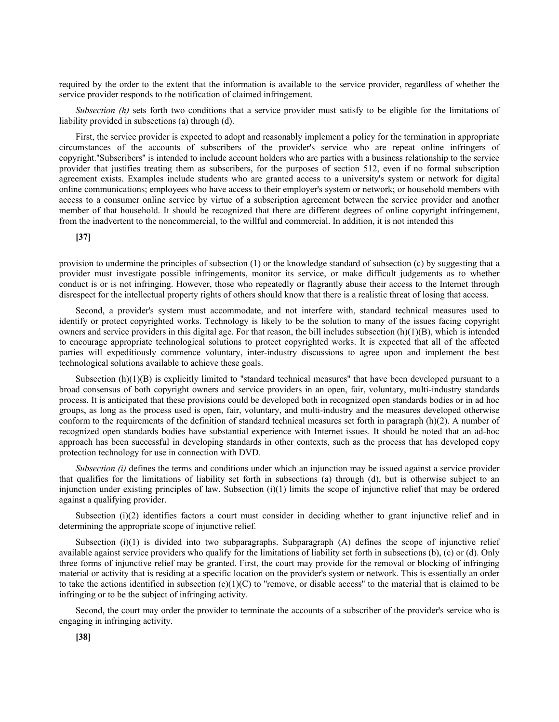required by the order to the extent that the information is available to the service provider, regardless of whether the service provider responds to the notification of claimed infringement.

*Subsection (h)* sets forth two conditions that a service provider must satisfy to be eligible for the limitations of liability provided in subsections (a) through (d).

First, the service provider is expected to adopt and reasonably implement a policy for the termination in appropriate circumstances of the accounts of subscribers of the provider's service who are repeat online infringers of copyright.''Subscribers'' is intended to include account holders who are parties with a business relationship to the service provider that justifies treating them as subscribers, for the purposes of section 512, even if no formal subscription agreement exists. Examples include students who are granted access to a university's system or network for digital online communications; employees who have access to their employer's system or network; or household members with access to a consumer online service by virtue of a subscription agreement between the service provider and another member of that household. It should be recognized that there are different degrees of online copyright infringement, from the inadvertent to the noncommercial, to the willful and commercial. In addition, it is not intended this

**[37]**

provision to undermine the principles of subsection (1) or the knowledge standard of subsection (c) by suggesting that a provider must investigate possible infringements, monitor its service, or make difficult judgements as to whether conduct is or is not infringing. However, those who repeatedly or flagrantly abuse their access to the Internet through disrespect for the intellectual property rights of others should know that there is a realistic threat of losing that access.

Second, a provider's system must accommodate, and not interfere with, standard technical measures used to identify or protect copyrighted works. Technology is likely to be the solution to many of the issues facing copyright owners and service providers in this digital age. For that reason, the bill includes subsection  $(h)(1)(B)$ , which is intended to encourage appropriate technological solutions to protect copyrighted works. It is expected that all of the affected parties will expeditiously commence voluntary, inter-industry discussions to agree upon and implement the best technological solutions available to achieve these goals.

Subsection  $(h)(1)(B)$  is explicitly limited to "standard technical measures" that have been developed pursuant to a broad consensus of both copyright owners and service providers in an open, fair, voluntary, multi-industry standards process. It is anticipated that these provisions could be developed both in recognized open standards bodies or in ad hoc groups, as long as the process used is open, fair, voluntary, and multi-industry and the measures developed otherwise conform to the requirements of the definition of standard technical measures set forth in paragraph (h)(2). A number of recognized open standards bodies have substantial experience with Internet issues. It should be noted that an ad-hoc approach has been successful in developing standards in other contexts, such as the process that has developed copy protection technology for use in connection with DVD.

*Subsection (i)* defines the terms and conditions under which an injunction may be issued against a service provider that qualifies for the limitations of liability set forth in subsections (a) through (d), but is otherwise subject to an injunction under existing principles of law. Subsection  $(i)(1)$  limits the scope of injunctive relief that may be ordered against a qualifying provider.

Subsection (i)(2) identifies factors a court must consider in deciding whether to grant injunctive relief and in determining the appropriate scope of injunctive relief.

Subsection  $(i)(1)$  is divided into two subparagraphs. Subparagraph  $(A)$  defines the scope of injunctive relief available against service providers who qualify for the limitations of liability set forth in subsections (b), (c) or (d). Only three forms of injunctive relief may be granted. First, the court may provide for the removal or blocking of infringing material or activity that is residing at a specific location on the provider's system or network. This is essentially an order to take the actions identified in subsection  $(c)(1)(C)$  to "remove, or disable access" to the material that is claimed to be infringing or to be the subject of infringing activity.

Second, the court may order the provider to terminate the accounts of a subscriber of the provider's service who is engaging in infringing activity.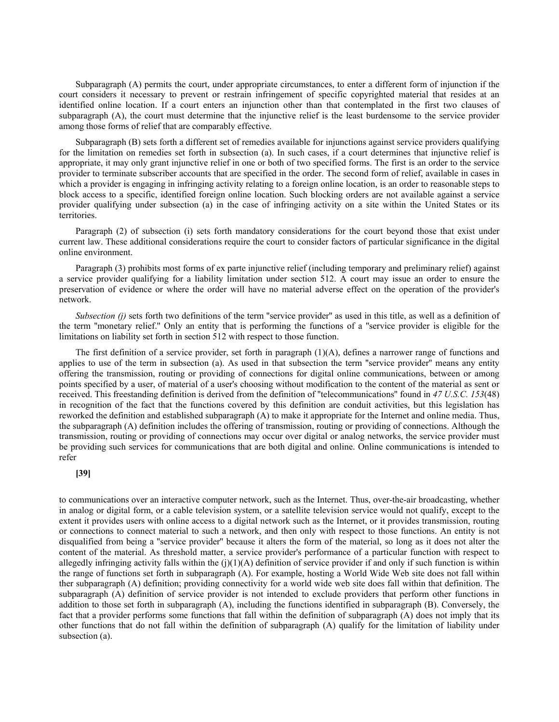Subparagraph (A) permits the court, under appropriate circumstances, to enter a different form of injunction if the court considers it necessary to prevent or restrain infringement of specific copyrighted material that resides at an identified online location. If a court enters an injunction other than that contemplated in the first two clauses of subparagraph (A), the court must determine that the injunctive relief is the least burdensome to the service provider among those forms of relief that are comparably effective.

Subparagraph (B) sets forth a different set of remedies available for injunctions against service providers qualifying for the limitation on remedies set forth in subsection (a). In such cases, if a court determines that injunctive relief is appropriate, it may only grant injunctive relief in one or both of two specified forms. The first is an order to the service provider to terminate subscriber accounts that are specified in the order. The second form of relief, available in cases in which a provider is engaging in infringing activity relating to a foreign online location, is an order to reasonable steps to block access to a specific, identified foreign online location. Such blocking orders are not available against a service provider qualifying under subsection (a) in the case of infringing activity on a site within the United States or its territories.

Paragraph (2) of subsection (i) sets forth mandatory considerations for the court beyond those that exist under current law. These additional considerations require the court to consider factors of particular significance in the digital online environment.

Paragraph (3) prohibits most forms of ex parte injunctive relief (including temporary and preliminary relief) against a service provider qualifying for a liability limitation under section 512. A court may issue an order to ensure the preservation of evidence or where the order will have no material adverse effect on the operation of the provider's network.

*Subsection (j)* sets forth two definitions of the term "service provider" as used in this title, as well as a definition of the term ''monetary relief.'' Only an entity that is performing the functions of a ''service provider is eligible for the limitations on liability set forth in section 512 with respect to those function.

The first definition of a service provider, set forth in paragraph (1)(A), defines a narrower range of functions and applies to use of the term in subsection (a). As used in that subsection the term ''service provider'' means any entity offering the transmission, routing or providing of connections for digital online communications, between or among points specified by a user, of material of a user's choosing without modification to the content of the material as sent or received. This freestanding definition is derived from the definition of ''telecommunications'' found in *47 U.S.C. 153*(48) in recognition of the fact that the functions covered by this definition are conduit activities, but this legislation has reworked the definition and established subparagraph (A) to make it appropriate for the Internet and online media. Thus, the subparagraph (A) definition includes the offering of transmission, routing or providing of connections. Although the transmission, routing or providing of connections may occur over digital or analog networks, the service provider must be providing such services for communications that are both digital and online. Online communications is intended to refer

#### **[39]**

to communications over an interactive computer network, such as the Internet. Thus, over-the-air broadcasting, whether in analog or digital form, or a cable television system, or a satellite television service would not qualify, except to the extent it provides users with online access to a digital network such as the Internet, or it provides transmission, routing or connections to connect material to such a network, and then only with respect to those functions. An entity is not disqualified from being a ''service provider'' because it alters the form of the material, so long as it does not alter the content of the material. As threshold matter, a service provider's performance of a particular function with respect to allegedly infringing activity falls within the  $(i)(1)(A)$  definition of service provider if and only if such function is within the range of functions set forth in subparagraph (A). For example, hosting a World Wide Web site does not fall within ther subparagraph (A) definition; providing connectivity for a world wide web site does fall within that definition. The subparagraph (A) definition of service provider is not intended to exclude providers that perform other functions in addition to those set forth in subparagraph (A), including the functions identified in subparagraph (B). Conversely, the fact that a provider performs some functions that fall within the definition of subparagraph (A) does not imply that its other functions that do not fall within the definition of subparagraph (A) qualify for the limitation of liability under subsection (a).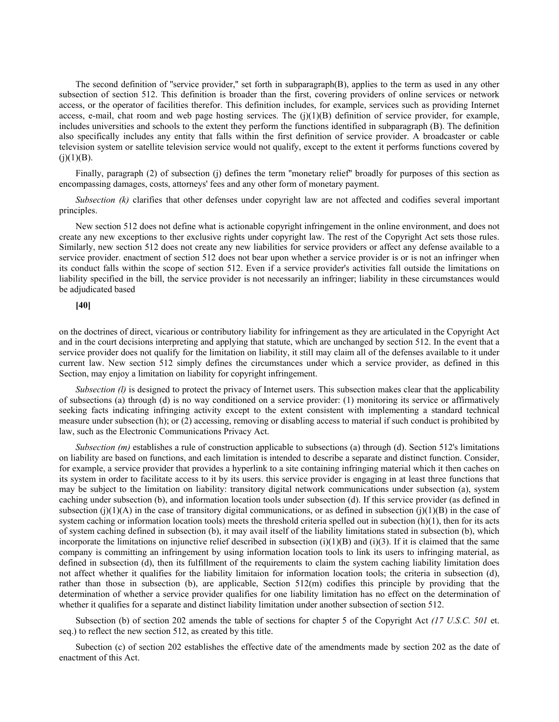The second definition of ''service provider,'' set forth in subparagraph(B), applies to the term as used in any other subsection of section 512. This definition is broader than the first, covering providers of online services or network access, or the operator of facilities therefor. This definition includes, for example, services such as providing Internet access, e-mail, chat room and web page hosting services. The  $(j)(1)(B)$  definition of service provider, for example, includes universities and schools to the extent they perform the functions identified in subparagraph (B). The definition also specifically includes any entity that falls within the first definition of service provider. A broadcaster or cable television system or satellite television service would not qualify, except to the extent it performs functions covered by  $(i)(1)(B)$ .

Finally, paragraph (2) of subsection (j) defines the term ''monetary relief'' broadly for purposes of this section as encompassing damages, costs, attorneys' fees and any other form of monetary payment.

*Subsection (k)* clarifies that other defenses under copyright law are not affected and codifies several important principles.

New section 512 does not define what is actionable copyright infringement in the online environment, and does not create any new exceptions to ther exclusive rights under copyright law. The rest of the Copyright Act sets those rules. Similarly, new section 512 does not create any new liabilities for service providers or affect any defense available to a service provider. enactment of section 512 does not bear upon whether a service provider is or is not an infringer when its conduct falls within the scope of section 512. Even if a service provider's activities fall outside the limitations on liability specified in the bill, the service provider is not necessarily an infringer; liability in these circumstances would be adjudicated based

# **[40]**

on the doctrines of direct, vicarious or contributory liability for infringement as they are articulated in the Copyright Act and in the court decisions interpreting and applying that statute, which are unchanged by section 512. In the event that a service provider does not qualify for the limitation on liability, it still may claim all of the defenses available to it under current law. New section 512 simply defines the circumstances under which a service provider, as defined in this Section, may enjoy a limitation on liability for copyright infringement.

*Subsection (l)* is designed to protect the privacy of Internet users. This subsection makes clear that the applicability of subsections (a) through (d) is no way conditioned on a service provider: (1) monitoring its service or affirmatively seeking facts indicating infringing activity except to the extent consistent with implementing a standard technical measure under subsection (h); or (2) accessing, removing or disabling access to material if such conduct is prohibited by law, such as the Electronic Communications Privacy Act.

*Subsection (m)* establishes a rule of construction applicable to subsections (a) through (d). Section 512's limitations on liability are based on functions, and each limitation is intended to describe a separate and distinct function. Consider, for example, a service provider that provides a hyperlink to a site containing infringing material which it then caches on its system in order to facilitate access to it by its users. this service provider is engaging in at least three functions that may be subject to the limitation on liability: transitory digital network communications under subsection (a), system caching under subsection (b), and information location tools under subsection (d). If this service provider (as defined in subsection (j)(1)(A) in the case of transitory digital communications, or as defined in subsection (j)(1)(B) in the case of system caching or information location tools) meets the threshold criteria spelled out in subection (h)(1), then for its acts of system caching defined in subsection (b), it may avail itself of the liability limitations stated in subsection (b), which incorporate the limitations on injunctive relief described in subsection  $(i)(1)(B)$  and  $(i)(3)$ . If it is claimed that the same company is committing an infringement by using information location tools to link its users to infringing material, as defined in subsection (d), then its fulfillment of the requirements to claim the system caching liability limitation does not affect whether it qualifies for the liability limitaion for information location tools; the criteria in subsection (d), rather than those in subsection (b), are applicable, Section 512(m) codifies this principle by providing that the determination of whether a service provider qualifies for one liability limitation has no effect on the determination of whether it qualifies for a separate and distinct liability limitation under another subsection of section 512.

Subsection (b) of section 202 amends the table of sections for chapter 5 of the Copyright Act *(17 U.S.C. 501* et. seq.) to reflect the new section 512, as created by this title.

Subection (c) of section 202 establishes the effective date of the amendments made by section 202 as the date of enactment of this Act.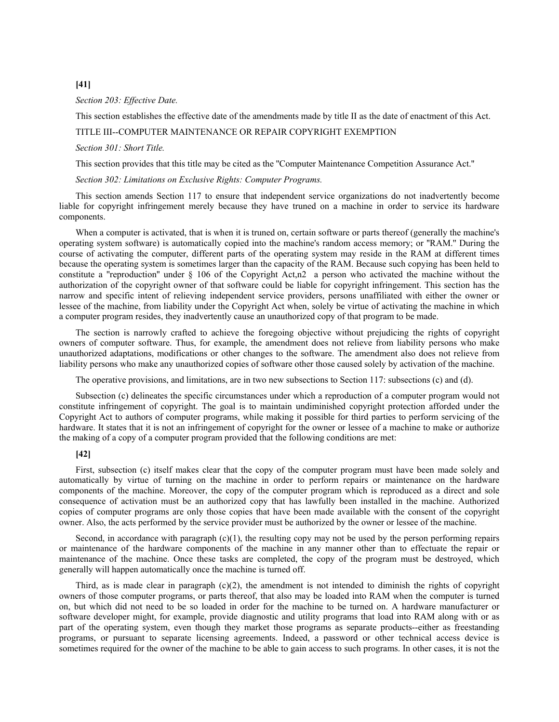# **[41]**

*Section 203: Effective Date.*

This section establishes the effective date of the amendments made by title II as the date of enactment of this Act.

# TITLE III--COMPUTER MAINTENANCE OR REPAIR COPYRIGHT EXEMPTION

#### *Section 301: Short Title.*

This section provides that this title may be cited as the ''Computer Maintenance Competition Assurance Act.''

### *Section 302: Limitations on Exclusive Rights: Computer Programs.*

This section amends Section 117 to ensure that independent service organizations do not inadvertently become liable for copyright infringement merely because they have truned on a machine in order to service its hardware components.

When a computer is activated, that is when it is truned on, certain software or parts thereof (generally the machine's operating system software) is automatically copied into the machine's random access memory; or ''RAM.'' During the course of activating the computer, different parts of the operating system may reside in the RAM at different times because the operating system is sometimes larger than the capacity of the RAM. Because such copying has been held to constitute a "reproduction" under § 106 of the Copyright Act,n2 a person who activated the machine without the authorization of the copyright owner of that software could be liable for copyright infringement. This section has the narrow and specific intent of relieving independent service providers, persons unaffiliated with either the owner or lessee of the machine, from liability under the Copyright Act when, solely be virtue of activating the machine in which a computer program resides, they inadvertently cause an unauthorized copy of that program to be made.

The section is narrowly crafted to achieve the foregoing objective without prejudicing the rights of copyright owners of computer software. Thus, for example, the amendment does not relieve from liability persons who make unauthorized adaptations, modifications or other changes to the software. The amendment also does not relieve from liability persons who make any unauthorized copies of software other those caused solely by activation of the machine.

The operative provisions, and limitations, are in two new subsections to Section 117: subsections (c) and (d).

Subsection (c) delineates the specific circumstances under which a reproduction of a computer program would not constitute infringement of copyright. The goal is to maintain undiminished copyright protection afforded under the Copyright Act to authors of computer programs, while making it possible for third parties to perform servicing of the hardware. It states that it is not an infringement of copyright for the owner or lessee of a machine to make or authorize the making of a copy of a computer program provided that the following conditions are met:

#### **[42]**

First, subsection (c) itself makes clear that the copy of the computer program must have been made solely and automatically by virtue of turning on the machine in order to perform repairs or maintenance on the hardware components of the machine. Moreover, the copy of the computer program which is reproduced as a direct and sole consequence of activation must be an authorized copy that has lawfully been installed in the machine. Authorized copies of computer programs are only those copies that have been made available with the consent of the copyright owner. Also, the acts performed by the service provider must be authorized by the owner or lessee of the machine.

Second, in accordance with paragraph  $(c)(1)$ , the resulting copy may not be used by the person performing repairs or maintenance of the hardware components of the machine in any manner other than to effectuate the repair or maintenance of the machine. Once these tasks are completed, the copy of the program must be destroyed, which generally will happen automatically once the machine is turned off.

Third, as is made clear in paragraph  $(c)(2)$ , the amendment is not intended to diminish the rights of copyright owners of those computer programs, or parts thereof, that also may be loaded into RAM when the computer is turned on, but which did not need to be so loaded in order for the machine to be turned on. A hardware manufacturer or software developer might, for example, provide diagnostic and utility programs that load into RAM along with or as part of the operating system, even though they market those programs as separate products--either as freestanding programs, or pursuant to separate licensing agreements. Indeed, a password or other technical access device is sometimes required for the owner of the machine to be able to gain access to such programs. In other cases, it is not the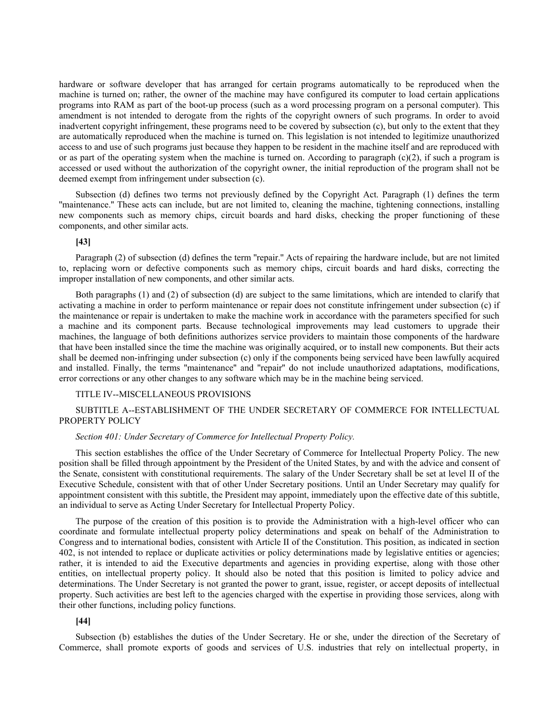hardware or software developer that has arranged for certain programs automatically to be reproduced when the machine is turned on; rather, the owner of the machine may have configured its computer to load certain applications programs into RAM as part of the boot-up process (such as a word processing program on a personal computer). This amendment is not intended to derogate from the rights of the copyright owners of such programs. In order to avoid inadvertent copyright infringement, these programs need to be covered by subsection (c), but only to the extent that they are automatically reproduced when the machine is turned on. This legislation is not intended to legitimize unauthorized access to and use of such programs just because they happen to be resident in the machine itself and are reproduced with or as part of the operating system when the machine is turned on. According to paragraph  $(c)(2)$ , if such a program is accessed or used without the authorization of the copyright owner, the initial reproduction of the program shall not be deemed exempt from infringement under subsection (c).

Subsection (d) defines two terms not previously defined by the Copyright Act. Paragraph (1) defines the term ''maintenance.'' These acts can include, but are not limited to, cleaning the machine, tightening connections, installing new components such as memory chips, circuit boards and hard disks, checking the proper functioning of these components, and other similar acts.

# **[43]**

Paragraph (2) of subsection (d) defines the term "repair." Acts of repairing the hardware include, but are not limited to, replacing worn or defective components such as memory chips, circuit boards and hard disks, correcting the improper installation of new components, and other similar acts.

Both paragraphs (1) and (2) of subsection (d) are subject to the same limitations, which are intended to clarify that activating a machine in order to perform maintenance or repair does not constitute infringement under subsection (c) if the maintenance or repair is undertaken to make the machine work in accordance with the parameters specified for such a machine and its component parts. Because technological improvements may lead customers to upgrade their machines, the language of both definitions authorizes service providers to maintain those components of the hardware that have been installed since the time the machine was originally acquired, or to install new components. But their acts shall be deemed non-infringing under subsection (c) only if the components being serviced have been lawfully acquired and installed. Finally, the terms ''maintenance'' and ''repair'' do not include unauthorized adaptations, modifications, error corrections or any other changes to any software which may be in the machine being serviced.

## TITLE IV--MISCELLANEOUS PROVISIONS

# SUBTITLE A--ESTABLISHMENT OF THE UNDER SECRETARY OF COMMERCE FOR INTELLECTUAL PROPERTY POLICY

# *Section 401: Under Secretary of Commerce for Intellectual Property Policy.*

This section establishes the office of the Under Secretary of Commerce for Intellectual Property Policy. The new position shall be filled through appointment by the President of the United States, by and with the advice and consent of the Senate, consistent with constitutional requirements. The salary of the Under Secretary shall be set at level II of the Executive Schedule, consistent with that of other Under Secretary positions. Until an Under Secretary may qualify for appointment consistent with this subtitle, the President may appoint, immediately upon the effective date of this subtitle, an individual to serve as Acting Under Secretary for Intellectual Property Policy.

The purpose of the creation of this position is to provide the Administration with a high-level officer who can coordinate and formulate intellectual property policy determinations and speak on behalf of the Administration to Congress and to international bodies, consistent with Article II of the Constitution. This position, as indicated in section 402, is not intended to replace or duplicate activities or policy determinations made by legislative entities or agencies; rather, it is intended to aid the Executive departments and agencies in providing expertise, along with those other entities, on intellectual property policy. It should also be noted that this position is limited to policy advice and determinations. The Under Secretary is not granted the power to grant, issue, register, or accept deposits of intellectual property. Such activities are best left to the agencies charged with the expertise in providing those services, along with their other functions, including policy functions.

# **[44]**

Subsection (b) establishes the duties of the Under Secretary. He or she, under the direction of the Secretary of Commerce, shall promote exports of goods and services of U.S. industries that rely on intellectual property, in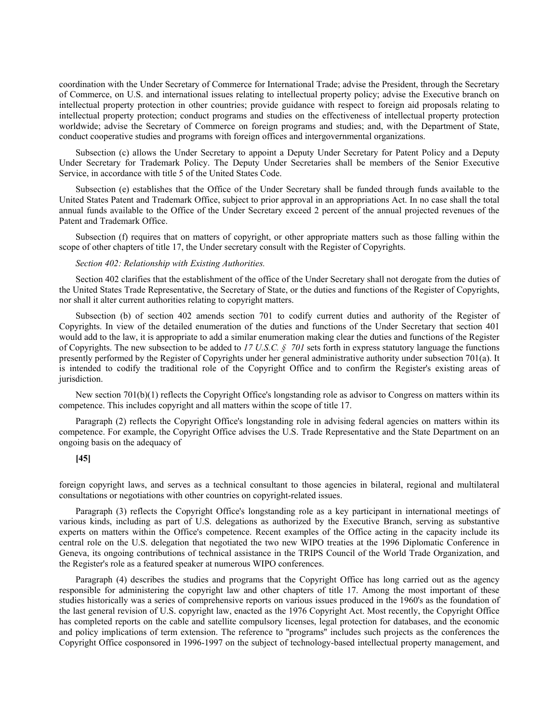coordination with the Under Secretary of Commerce for International Trade; advise the President, through the Secretary of Commerce, on U.S. and international issues relating to intellectual property policy; advise the Executive branch on intellectual property protection in other countries; provide guidance with respect to foreign aid proposals relating to intellectual property protection; conduct programs and studies on the effectiveness of intellectual property protection worldwide; advise the Secretary of Commerce on foreign programs and studies; and, with the Department of State, conduct cooperative studies and programs with foreign offices and intergovernmental organizations.

Subsection (c) allows the Under Secretary to appoint a Deputy Under Secretary for Patent Policy and a Deputy Under Secretary for Trademark Policy. The Deputy Under Secretaries shall be members of the Senior Executive Service, in accordance with title 5 of the United States Code.

Subsection (e) establishes that the Office of the Under Secretary shall be funded through funds available to the United States Patent and Trademark Office, subject to prior approval in an appropriations Act. In no case shall the total annual funds available to the Office of the Under Secretary exceed 2 percent of the annual projected revenues of the Patent and Trademark Office.

Subsection (f) requires that on matters of copyright, or other appropriate matters such as those falling within the scope of other chapters of title 17, the Under secretary consult with the Register of Copyrights.

## *Section 402: Relationship with Existing Authorities.*

Section 402 clarifies that the establishment of the office of the Under Secretary shall not derogate from the duties of the United States Trade Representative, the Secretary of State, or the duties and functions of the Register of Copyrights, nor shall it alter current authorities relating to copyright matters.

Subsection (b) of section 402 amends section 701 to codify current duties and authority of the Register of Copyrights. In view of the detailed enumeration of the duties and functions of the Under Secretary that section 401 would add to the law, it is appropriate to add a similar enumeration making clear the duties and functions of the Register of Copyrights. The new subsection to be added to *17 U.S.C. § 701* sets forth in express statutory language the functions presently performed by the Register of Copyrights under her general administrative authority under subsection 701(a). It is intended to codify the traditional role of the Copyright Office and to confirm the Register's existing areas of jurisdiction.

New section 701(b)(1) reflects the Copyright Office's longstanding role as advisor to Congress on matters within its competence. This includes copyright and all matters within the scope of title 17.

Paragraph (2) reflects the Copyright Office's longstanding role in advising federal agencies on matters within its competence. For example, the Copyright Office advises the U.S. Trade Representative and the State Department on an ongoing basis on the adequacy of

# **[45]**

foreign copyright laws, and serves as a technical consultant to those agencies in bilateral, regional and multilateral consultations or negotiations with other countries on copyright-related issues.

Paragraph (3) reflects the Copyright Office's longstanding role as a key participant in international meetings of various kinds, including as part of U.S. delegations as authorized by the Executive Branch, serving as substantive experts on matters within the Office's competence. Recent examples of the Office acting in the capacity include its central role on the U.S. delegation that negotiated the two new WIPO treaties at the 1996 Diplomatic Conference in Geneva, its ongoing contributions of technical assistance in the TRIPS Council of the World Trade Organization, and the Register's role as a featured speaker at numerous WIPO conferences.

Paragraph (4) describes the studies and programs that the Copyright Office has long carried out as the agency responsible for administering the copyright law and other chapters of title 17. Among the most important of these studies historically was a series of comprehensive reports on various issues produced in the 1960's as the foundation of the last general revision of U.S. copyright law, enacted as the 1976 Copyright Act. Most recently, the Copyright Office has completed reports on the cable and satellite compulsory licenses, legal protection for databases, and the economic and policy implications of term extension. The reference to ''programs'' includes such projects as the conferences the Copyright Office cosponsored in 1996-1997 on the subject of technology-based intellectual property management, and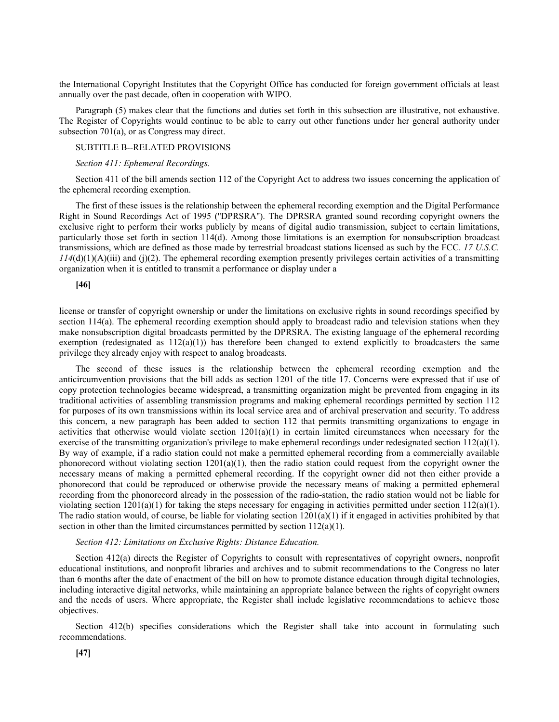the International Copyright Institutes that the Copyright Office has conducted for foreign government officials at least annually over the past decade, often in cooperation with WIPO.

Paragraph (5) makes clear that the functions and duties set forth in this subsection are illustrative, not exhaustive. The Register of Copyrights would continue to be able to carry out other functions under her general authority under subsection 701(a), or as Congress may direct.

### SUBTITLE B--RELATED PROVISIONS

#### *Section 411: Ephemeral Recordings.*

Section 411 of the bill amends section 112 of the Copyright Act to address two issues concerning the application of the ephemeral recording exemption.

The first of these issues is the relationship between the ephemeral recording exemption and the Digital Performance Right in Sound Recordings Act of 1995 (''DPRSRA''). The DPRSRA granted sound recording copyright owners the exclusive right to perform their works publicly by means of digital audio transmission, subject to certain limitations, particularly those set forth in section 114(d). Among those limitations is an exemption for nonsubscription broadcast transmissions, which are defined as those made by terrestrial broadcast stations licensed as such by the FCC. *17 U.S.C.*   $114(d)(1)(A)(iii)$  and (j)(2). The ephemeral recording exemption presently privileges certain activities of a transmitting organization when it is entitled to transmit a performance or display under a

# **[46]**

license or transfer of copyright ownership or under the limitations on exclusive rights in sound recordings specified by section 114(a). The ephemeral recording exemption should apply to broadcast radio and television stations when they make nonsubscription digital broadcasts permitted by the DPRSRA. The existing language of the ephemeral recording exemption (redesignated as  $112(a)(1)$ ) has therefore been changed to extend explicitly to broadcasters the same privilege they already enjoy with respect to analog broadcasts.

The second of these issues is the relationship between the ephemeral recording exemption and the anticircumvention provisions that the bill adds as section 1201 of the title 17. Concerns were expressed that if use of copy protection technologies became widespread, a transmitting organization might be prevented from engaging in its traditional activities of assembling transmission programs and making ephemeral recordings permitted by section 112 for purposes of its own transmissions within its local service area and of archival preservation and security. To address this concern, a new paragraph has been added to section 112 that permits transmitting organizations to engage in activities that otherwise would violate section  $1201(a)(1)$  in certain limited circumstances when necessary for the exercise of the transmitting organization's privilege to make ephemeral recordings under redesignated section  $112(a)(1)$ . By way of example, if a radio station could not make a permitted ephemeral recording from a commercially available phonorecord without violating section 1201(a)(1), then the radio station could request from the copyright owner the necessary means of making a permitted ephemeral recording. If the copyright owner did not then either provide a phonorecord that could be reproduced or otherwise provide the necessary means of making a permitted ephemeral recording from the phonorecord already in the possession of the radio-station, the radio station would not be liable for violating section  $1201(a)(1)$  for taking the steps necessary for engaging in activities permitted under section  $112(a)(1)$ . The radio station would, of course, be liable for violating section  $1201(a)(1)$  if it engaged in activities prohibited by that section in other than the limited circumstances permitted by section 112(a)(1).

### *Section 412: Limitations on Exclusive Rights: Distance Education.*

Section 412(a) directs the Register of Copyrights to consult with representatives of copyright owners, nonprofit educational institutions, and nonprofit libraries and archives and to submit recommendations to the Congress no later than 6 months after the date of enactment of the bill on how to promote distance education through digital technologies, including interactive digital networks, while maintaining an appropriate balance between the rights of copyright owners and the needs of users. Where appropriate, the Register shall include legislative recommendations to achieve those objectives.

Section 412(b) specifies considerations which the Register shall take into account in formulating such recommendations.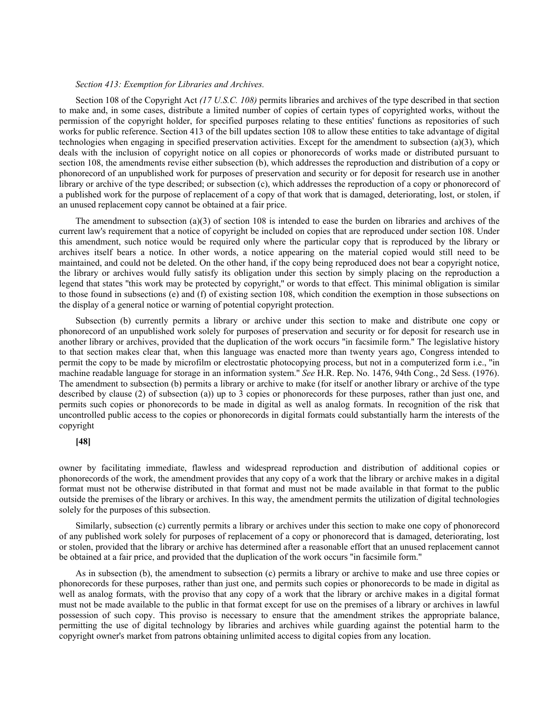### *Section 413: Exemption for Libraries and Archives.*

Section 108 of the Copyright Act *(17 U.S.C. 108)* permits libraries and archives of the type described in that section to make and, in some cases, distribute a limited number of copies of certain types of copyrighted works, without the permission of the copyright holder, for specified purposes relating to these entities' functions as repositories of such works for public reference. Section 413 of the bill updates section 108 to allow these entities to take advantage of digital technologies when engaging in specified preservation activities. Except for the amendment to subsection (a)(3), which deals with the inclusion of copyright notice on all copies or phonorecords of works made or distributed pursuant to section 108, the amendments revise either subsection (b), which addresses the reproduction and distribution of a copy or phonorecord of an unpublished work for purposes of preservation and security or for deposit for research use in another library or archive of the type described; or subsection (c), which addresses the reproduction of a copy or phonorecord of a published work for the purpose of replacement of a copy of that work that is damaged, deteriorating, lost, or stolen, if an unused replacement copy cannot be obtained at a fair price.

The amendment to subsection (a)(3) of section 108 is intended to ease the burden on libraries and archives of the current law's requirement that a notice of copyright be included on copies that are reproduced under section 108. Under this amendment, such notice would be required only where the particular copy that is reproduced by the library or archives itself bears a notice. In other words, a notice appearing on the material copied would still need to be maintained, and could not be deleted. On the other hand, if the copy being reproduced does not bear a copyright notice, the library or archives would fully satisfy its obligation under this section by simply placing on the reproduction a legend that states ''this work may be protected by copyright,'' or words to that effect. This minimal obligation is similar to those found in subsections (e) and (f) of existing section 108, which condition the exemption in those subsections on the display of a general notice or warning of potential copyright protection.

Subsection (b) currently permits a library or archive under this section to make and distribute one copy or phonorecord of an unpublished work solely for purposes of preservation and security or for deposit for research use in another library or archives, provided that the duplication of the work occurs ''in facsimile form.'' The legislative history to that section makes clear that, when this language was enacted more than twenty years ago, Congress intended to permit the copy to be made by microfilm or electrostatic photocopying process, but not in a computerized form i.e., ''in machine readable language for storage in an information system.'' *See* H.R. Rep. No. 1476, 94th Cong., 2d Sess. (1976). The amendment to subsection (b) permits a library or archive to make (for itself or another library or archive of the type described by clause (2) of subsection (a)) up to 3 copies or phonorecords for these purposes, rather than just one, and permits such copies or phonorecords to be made in digital as well as analog formats. In recognition of the risk that uncontrolled public access to the copies or phonorecords in digital formats could substantially harm the interests of the copyright

# **[48]**

owner by facilitating immediate, flawless and widespread reproduction and distribution of additional copies or phonorecords of the work, the amendment provides that any copy of a work that the library or archive makes in a digital format must not be otherwise distributed in that format and must not be made available in that format to the public outside the premises of the library or archives. In this way, the amendment permits the utilization of digital technologies solely for the purposes of this subsection.

Similarly, subsection (c) currently permits a library or archives under this section to make one copy of phonorecord of any published work solely for purposes of replacement of a copy or phonorecord that is damaged, deteriorating, lost or stolen, provided that the library or archive has determined after a reasonable effort that an unused replacement cannot be obtained at a fair price, and provided that the duplication of the work occurs ''in facsimile form.''

As in subsection (b), the amendment to subsection (c) permits a library or archive to make and use three copies or phonorecords for these purposes, rather than just one, and permits such copies or phonorecords to be made in digital as well as analog formats, with the proviso that any copy of a work that the library or archive makes in a digital format must not be made available to the public in that format except for use on the premises of a library or archives in lawful possession of such copy. This proviso is necessary to ensure that the amendment strikes the appropriate balance, permitting the use of digital technology by libraries and archives while guarding against the potential harm to the copyright owner's market from patrons obtaining unlimited access to digital copies from any location.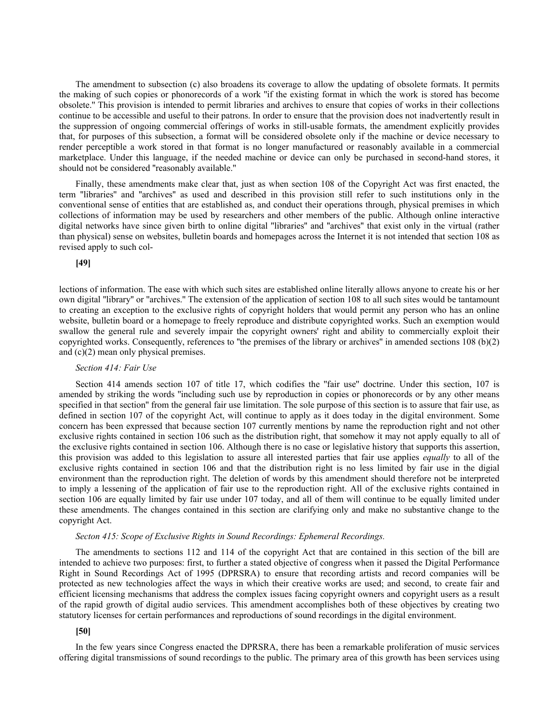The amendment to subsection (c) also broadens its coverage to allow the updating of obsolete formats. It permits the making of such copies or phonorecords of a work ''if the existing format in which the work is stored has become obsolete.'' This provision is intended to permit libraries and archives to ensure that copies of works in their collections continue to be accessible and useful to their patrons. In order to ensure that the provision does not inadvertently result in the suppression of ongoing commercial offerings of works in still-usable formats, the amendment explicitly provides that, for purposes of this subsection, a format will be considered obsolete only if the machine or device necessary to render perceptible a work stored in that format is no longer manufactured or reasonably available in a commercial marketplace. Under this language, if the needed machine or device can only be purchased in second-hand stores, it should not be considered ''reasonably available.''

Finally, these amendments make clear that, just as when section 108 of the Copyright Act was first enacted, the term ''libraries'' and ''archives'' as used and described in this provision still refer to such institutions only in the conventional sense of entities that are established as, and conduct their operations through, physical premises in which collections of information may be used by researchers and other members of the public. Although online interactive digital networks have since given birth to online digital ''libraries'' and ''archives'' that exist only in the virtual (rather than physical) sense on websites, bulletin boards and homepages across the Internet it is not intended that section 108 as revised apply to such col-

#### **[49]**

lections of information. The ease with which such sites are established online literally allows anyone to create his or her own digital ''library'' or ''archives.'' The extension of the application of section 108 to all such sites would be tantamount to creating an exception to the exclusive rights of copyright holders that would permit any person who has an online website, bulletin board or a homepage to freely reproduce and distribute copyrighted works. Such an exemption would swallow the general rule and severely impair the copyright owners' right and ability to commercially exploit their copyrighted works. Consequently, references to ''the premises of the library or archives'' in amended sections 108 (b)(2) and (c)(2) mean only physical premises.

#### *Section 414: Fair Use*

Section 414 amends section 107 of title 17, which codifies the "fair use" doctrine. Under this section, 107 is amended by striking the words ''including such use by reproduction in copies or phonorecords or by any other means specified in that section'' from the general fair use limitation. The sole purpose of this section is to assure that fair use, as defined in section 107 of the copyright Act, will continue to apply as it does today in the digital environment. Some concern has been expressed that because section 107 currently mentions by name the reproduction right and not other exclusive rights contained in section 106 such as the distribution right, that somehow it may not apply equally to all of the exclusive rights contained in section 106. Although there is no case or legislative history that supports this assertion, this provision was added to this legislation to assure all interested parties that fair use applies *equally* to all of the exclusive rights contained in section 106 and that the distribution right is no less limited by fair use in the digial environment than the reproduction right. The deletion of words by this amendment should therefore not be interpreted to imply a lessening of the application of fair use to the reproduction right. All of the exclusive rights contained in section 106 are equally limited by fair use under 107 today, and all of them will continue to be equally limited under these amendments. The changes contained in this section are clarifying only and make no substantive change to the copyright Act.

#### *Secton 415: Scope of Exclusive Rights in Sound Recordings: Ephemeral Recordings.*

The amendments to sections 112 and 114 of the copyright Act that are contained in this section of the bill are intended to achieve two purposes: first, to further a stated objective of congress when it passed the Digital Performance Right in Sound Recordings Act of 1995 (DPRSRA) to ensure that recording artists and record companies will be protected as new technologies affect the ways in which their creative works are used; and second, to create fair and efficient licensing mechanisms that address the complex issues facing copyright owners and copyright users as a result of the rapid growth of digital audio services. This amendment accomplishes both of these objectives by creating two statutory licenses for certain performances and reproductions of sound recordings in the digital environment.

# **[50]**

In the few years since Congress enacted the DPRSRA, there has been a remarkable proliferation of music services offering digital transmissions of sound recordings to the public. The primary area of this growth has been services using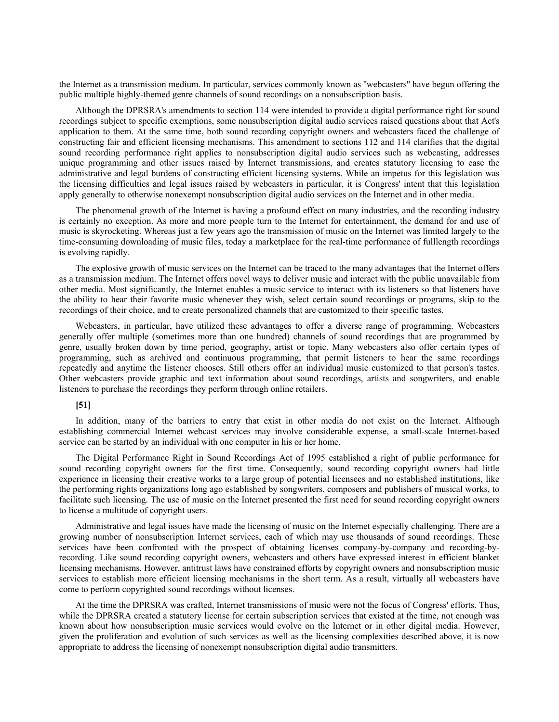the Internet as a transmission medium. In particular, services commonly known as ''webcasters'' have begun offering the public multiple highly-themed genre channels of sound recordings on a nonsubscription basis.

Although the DPRSRA's amendments to section 114 were intended to provide a digital performance right for sound recordings subject to specific exemptions, some nonsubscription digital audio services raised questions about that Act's application to them. At the same time, both sound recording copyright owners and webcasters faced the challenge of constructing fair and efficient licensing mechanisms. This amendment to sections 112 and 114 clarifies that the digital sound recording performance right applies to nonsubscription digital audio services such as webcasting, addresses unique programming and other issues raised by Internet transmissions, and creates statutory licensing to ease the administrative and legal burdens of constructing efficient licensing systems. While an impetus for this legislation was the licensing difficulties and legal issues raised by webcasters in particular, it is Congress' intent that this legislation apply generally to otherwise nonexempt nonsubscription digital audio services on the Internet and in other media.

The phenomenal growth of the Internet is having a profound effect on many industries, and the recording industry is certainly no exception. As more and more people turn to the Internet for entertainment, the demand for and use of music is skyrocketing. Whereas just a few years ago the transmission of music on the Internet was limited largely to the time-consuming downloading of music files, today a marketplace for the real-time performance of fulllength recordings is evolving rapidly.

The explosive growth of music services on the Internet can be traced to the many advantages that the Internet offers as a transmission medium. The Internet offers novel ways to deliver music and interact with the public unavailable from other media. Most significantly, the Internet enables a music service to interact with its listeners so that listeners have the ability to hear their favorite music whenever they wish, select certain sound recordings or programs, skip to the recordings of their choice, and to create personalized channels that are customized to their specific tastes.

Webcasters, in particular, have utilized these advantages to offer a diverse range of programming. Webcasters generally offer multiple (sometimes more than one hundred) channels of sound recordings that are programmed by genre, usually broken down by time period, geography, artist or topic. Many webcasters also offer certain types of programming, such as archived and continuous programming, that permit listeners to hear the same recordings repeatedly and anytime the listener chooses. Still others offer an individual music customized to that person's tastes. Other webcasters provide graphic and text information about sound recordings, artists and songwriters, and enable listeners to purchase the recordings they perform through online retailers.

# **[51]**

In addition, many of the barriers to entry that exist in other media do not exist on the Internet. Although establishing commercial Internet webcast services may involve considerable expense, a small-scale Internet-based service can be started by an individual with one computer in his or her home.

The Digital Performance Right in Sound Recordings Act of 1995 established a right of public performance for sound recording copyright owners for the first time. Consequently, sound recording copyright owners had little experience in licensing their creative works to a large group of potential licensees and no established institutions, like the performing rights organizations long ago established by songwriters, composers and publishers of musical works, to facilitate such licensing. The use of music on the Internet presented the first need for sound recording copyright owners to license a multitude of copyright users.

Administrative and legal issues have made the licensing of music on the Internet especially challenging. There are a growing number of nonsubscription Internet services, each of which may use thousands of sound recordings. These services have been confronted with the prospect of obtaining licenses company-by-company and recording-byrecording. Like sound recording copyright owners, webcasters and others have expressed interest in efficient blanket licensing mechanisms. However, antitrust laws have constrained efforts by copyright owners and nonsubscription music services to establish more efficient licensing mechanisms in the short term. As a result, virtually all webcasters have come to perform copyrighted sound recordings without licenses.

At the time the DPRSRA was crafted, Internet transmissions of music were not the focus of Congress' efforts. Thus, while the DPRSRA created a statutory license for certain subscription services that existed at the time, not enough was known about how nonsubscription music services would evolve on the Internet or in other digital media. However, given the proliferation and evolution of such services as well as the licensing complexities described above, it is now appropriate to address the licensing of nonexempt nonsubscription digital audio transmitters.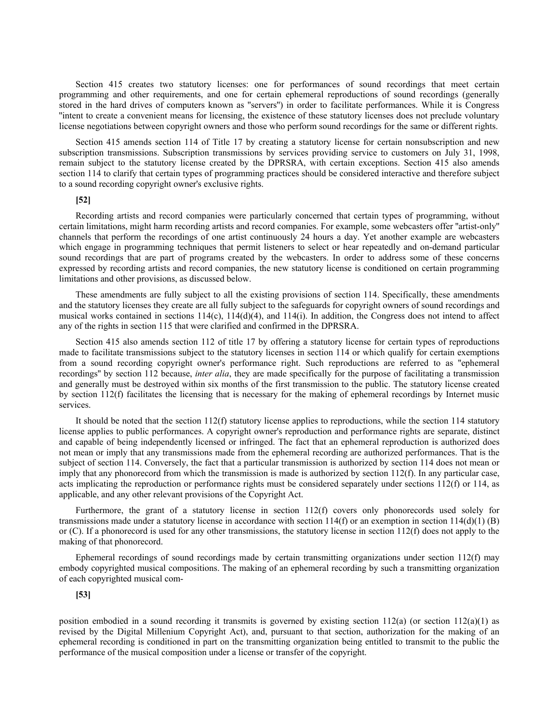Section 415 creates two statutory licenses: one for performances of sound recordings that meet certain programming and other requirements, and one for certain ephemeral reproductions of sound recordings (generally stored in the hard drives of computers known as ''servers'') in order to facilitate performances. While it is Congress ''intent to create a convenient means for licensing, the existence of these statutory licenses does not preclude voluntary license negotiations between copyright owners and those who perform sound recordings for the same or different rights.

Section 415 amends section 114 of Title 17 by creating a statutory license for certain nonsubscription and new subscription transmissions. Subscription transmissions by services providing service to customers on July 31, 1998, remain subject to the statutory license created by the DPRSRA, with certain exceptions. Section 415 also amends section 114 to clarify that certain types of programming practices should be considered interactive and therefore subject to a sound recording copyright owner's exclusive rights.

## **[52]**

Recording artists and record companies were particularly concerned that certain types of programming, without certain limitations, might harm recording artists and record companies. For example, some webcasters offer ''artist-only'' channels that perform the recordings of one artist continuously 24 hours a day. Yet another example are webcasters which engage in programming techniques that permit listeners to select or hear repeatedly and on-demand particular sound recordings that are part of programs created by the webcasters. In order to address some of these concerns expressed by recording artists and record companies, the new statutory license is conditioned on certain programming limitations and other provisions, as discussed below.

These amendments are fully subject to all the existing provisions of section 114. Specifically, these amendments and the statutory licenses they create are all fully subject to the safeguards for copyright owners of sound recordings and musical works contained in sections  $114(c)$ ,  $114(d)(4)$ , and  $114(i)$ . In addition, the Congress does not intend to affect any of the rights in section 115 that were clarified and confirmed in the DPRSRA.

Section 415 also amends section 112 of title 17 by offering a statutory license for certain types of reproductions made to facilitate transmissions subject to the statutory licenses in section 114 or which qualify for certain exemptions from a sound recording copyright owner's performance right. Such reproductions are referred to as ''ephemeral recordings'' by section 112 because, *inter alia*, they are made specifically for the purpose of facilitating a transmission and generally must be destroyed within six months of the first transmission to the public. The statutory license created by section 112(f) facilitates the licensing that is necessary for the making of ephemeral recordings by Internet music services.

It should be noted that the section 112(f) statutory license applies to reproductions, while the section 114 statutory license applies to public performances. A copyright owner's reproduction and performance rights are separate, distinct and capable of being independently licensed or infringed. The fact that an ephemeral reproduction is authorized does not mean or imply that any transmissions made from the ephemeral recording are authorized performances. That is the subject of section 114. Conversely, the fact that a particular transmission is authorized by section 114 does not mean or imply that any phonorecord from which the transmission is made is authorized by section 112(f). In any particular case, acts implicating the reproduction or performance rights must be considered separately under sections 112(f) or 114, as applicable, and any other relevant provisions of the Copyright Act.

Furthermore, the grant of a statutory license in section 112(f) covers only phonorecords used solely for transmissions made under a statutory license in accordance with section 114(f) or an exemption in section 114(d)(1) (B) or (C). If a phonorecord is used for any other transmissions, the statutory license in section  $112(f)$  does not apply to the making of that phonorecord.

Ephemeral recordings of sound recordings made by certain transmitting organizations under section  $112(f)$  may embody copyrighted musical compositions. The making of an ephemeral recording by such a transmitting organization of each copyrighted musical com-

## **[53]**

position embodied in a sound recording it transmits is governed by existing section  $112(a)$  (or section  $112(a)(1)$  as revised by the Digital Millenium Copyright Act), and, pursuant to that section, authorization for the making of an ephemeral recording is conditioned in part on the transmitting organization being entitled to transmit to the public the performance of the musical composition under a license or transfer of the copyright.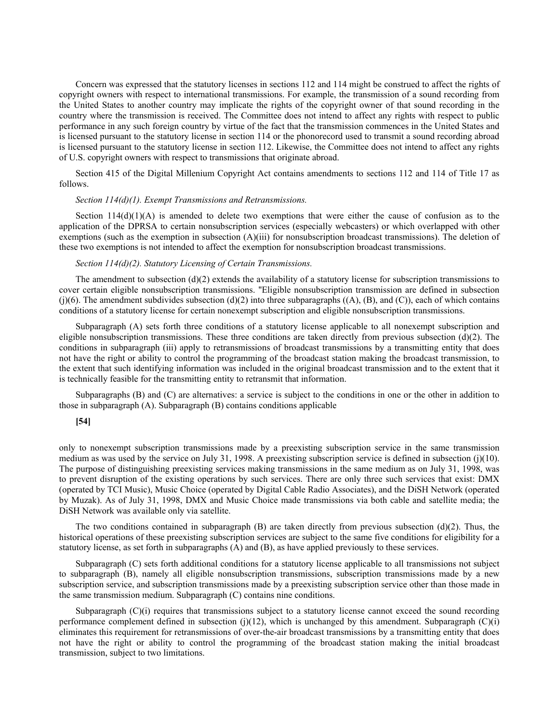Concern was expressed that the statutory licenses in sections 112 and 114 might be construed to affect the rights of copyright owners with respect to international transmissions. For example, the transmission of a sound recording from the United States to another country may implicate the rights of the copyright owner of that sound recording in the country where the transmission is received. The Committee does not intend to affect any rights with respect to public performance in any such foreign country by virtue of the fact that the transmission commences in the United States and is licensed pursuant to the statutory license in section 114 or the phonorecord used to transmit a sound recording abroad is licensed pursuant to the statutory license in section 112. Likewise, the Committee does not intend to affect any rights of U.S. copyright owners with respect to transmissions that originate abroad.

Section 415 of the Digital Millenium Copyright Act contains amendments to sections 112 and 114 of Title 17 as follows.

### *Section 114(d)(1). Exempt Transmissions and Retransmissions.*

Section  $114(d)(1)(A)$  is amended to delete two exemptions that were either the cause of confusion as to the application of the DPRSA to certain nonsubscription services (especially webcasters) or which overlapped with other exemptions (such as the exemption in subsection (A)(iii) for nonsubscription broadcast transmissions). The deletion of these two exemptions is not intended to affect the exemption for nonsubscription broadcast transmissions.

#### *Section 114(d)(2). Statutory Licensing of Certain Transmissions.*

The amendment to subsection  $(d)(2)$  extends the availability of a statutory license for subscription transmissions to cover certain eligible nonsubscription transmissions. ''Eligible nonsubscription transmission are defined in subsection (j)(6). The amendment subdivides subsection (d)(2) into three subparagraphs ((A), (B), and (C)), each of which contains conditions of a statutory license for certain nonexempt subscription and eligible nonsubscription transmissions.

Subparagraph (A) sets forth three conditions of a statutory license applicable to all nonexempt subscription and eligible nonsubscription transmissions. These three conditions are taken directly from previous subsection  $(d)(2)$ . The conditions in subparagraph (iii) apply to retransmissions of broadcast transmissions by a transmitting entity that does not have the right or ability to control the programming of the broadcast station making the broadcast transmission, to the extent that such identifying information was included in the original broadcast transmission and to the extent that it is technically feasible for the transmitting entity to retransmit that information.

Subparagraphs (B) and (C) are alternatives: a service is subject to the conditions in one or the other in addition to those in subparagraph (A). Subparagraph (B) contains conditions applicable

# **[54]**

only to nonexempt subscription transmissions made by a preexisting subscription service in the same transmission medium as was used by the service on July 31, 1998. A preexisting subscription service is defined in subsection (j)(10). The purpose of distinguishing preexisting services making transmissions in the same medium as on July 31, 1998, was to prevent disruption of the existing operations by such services. There are only three such services that exist: DMX (operated by TCI Music), Music Choice (operated by Digital Cable Radio Associates), and the DiSH Network (operated by Muzak). As of July 31, 1998, DMX and Music Choice made transmissions via both cable and satellite media; the DiSH Network was available only via satellite.

The two conditions contained in subparagraph  $(B)$  are taken directly from previous subsection  $(d)(2)$ . Thus, the historical operations of these preexisting subscription services are subject to the same five conditions for eligibility for a statutory license, as set forth in subparagraphs (A) and (B), as have applied previously to these services.

Subparagraph (C) sets forth additional conditions for a statutory license applicable to all transmissions not subject to subparagraph (B), namely all eligible nonsubscription transmissions, subscription transmissions made by a new subscription service, and subscription transmissions made by a preexisting subscription service other than those made in the same transmission medium. Subparagraph (C) contains nine conditions.

Subparagraph  $(C)(i)$  requires that transmissions subject to a statutory license cannot exceed the sound recording performance complement defined in subsection (j)(12), which is unchanged by this amendment. Subparagraph  $(C)(i)$ eliminates this requirement for retransmissions of over-the-air broadcast transmissions by a transmitting entity that does not have the right or ability to control the programming of the broadcast station making the initial broadcast transmission, subject to two limitations.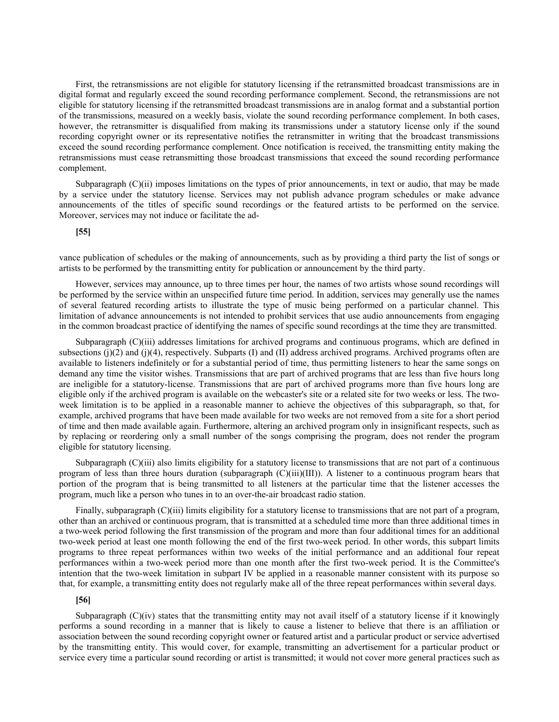First, the retransmissions are not eligible for statutory licensing if the retransmitted broadcast transmissions are in digital format and regularly exceed the sound recording performance complement. Second, the retransmissions are not eligible for statutory licensing if the retransmitted broadcast transmissions are in analog format and a substantial portion of the transmissions, measured on a weekly basis, violate the sound recording performance complement. In both cases, however, the retransmitter is disqualified from making its transmissions under a statutory license only if the sound recording copyright owner or its representative notifies the retransmitter in writing that the broadcast transmissions exceed the sound recording performance complement. Once notification is received, the transmitting entity making the retransmissions must cease retransmitting those broadcast transmissions that exceed the sound recording performance complement.

Subparagraph  $(C)(ii)$  imposes limitations on the types of prior announcements, in text or audio, that may be made by a service under the statutory license. Services may not publish advance program schedules or make advance announcements of the titles of specific sound recordings or the featured artists to be performed on the service. Moreover, services may not induce or facilitate the ad-

#### **[55]**

vance publication of schedules or the making of announcements, such as by providing a third party the list of songs or artists to be performed by the transmitting entity for publication or announcement by the third party.

However, services may announce, up to three times per hour, the names of two artists whose sound recordings will be performed by the service within an unspecified future time period. In addition, services may generally use the names of several featured recording artists to illustrate the type of music being performed on a particular channel. This limitation of advance announcements is not intended to prohibit services that use audio announcements from engaging in the common broadcast practice of identifying the names of specific sound recordings at the time they are transmitted.

Subparagraph (C)(iii) addresses limitations for archived programs and continuous programs, which are defined in subsections  $(j)(2)$  and  $(j)(4)$ , respectively. Subparts (I) and (II) address archived programs. Archived programs often are available to listeners indefinitely or for a substantial period of time, thus permitting listeners to hear the same songs on demand any time the visitor wishes. Transmissions that are part of archived programs that are less than five hours long are ineligible for a statutory-license. Transmissions that are part of archived programs more than five hours long are eligible only if the archived program is available on the webcaster's site or a related site for two weeks or less. The twoweek limitation is to be applied in a reasonable manner to achieve the objectives of this subparagraph, so that, for example, archived programs that have been made available for two weeks are not removed from a site for a short period of time and then made available again. Furthermore, altering an archived program only in insignificant respects, such as by replacing or reordering only a small number of the songs comprising the program, does not render the program eligible for statutory licensing.

Subparagraph  $(C)(iii)$  also limits eligibility for a statutory license to transmissions that are not part of a continuous program of less than three hours duration (subparagraph  $(C)(iii)(III)$ ). A listener to a continuous program hears that portion of the program that is being transmitted to all listeners at the particular time that the listener accesses the program, much like a person who tunes in to an over-the-air broadcast radio station.

Finally, subparagraph (C)(iii) limits eligibility for a statutory license to transmissions that are not part of a program, other than an archived or continuous program, that is transmitted at a scheduled time more than three additional times in a two-week period following the first transmission of the program and more than four additional times for an additional two-week period at least one month following the end of the first two-week period. In other words, this subpart limits programs to three repeat performances within two weeks of the initial performance and an additional four repeat performances within a two-week period more than one month after the first two-week period. It is the Committee's intention that the two-week limitation in subpart IV be applied in a reasonable manner consistent with its purpose so that, for example, a transmitting entity does not regularly make all of the three repeat performances within several days.

#### **[56]**

Subparagraph  $(C)(iv)$  states that the transmitting entity may not avail itself of a statutory license if it knowingly performs a sound recording in a manner that is likely to cause a listener to believe that there is an affiliation or association between the sound recording copyright owner or featured artist and a particular product or service advertised by the transmitting entity. This would cover, for example, transmitting an advertisement for a particular product or service every time a particular sound recording or artist is transmitted; it would not cover more general practices such as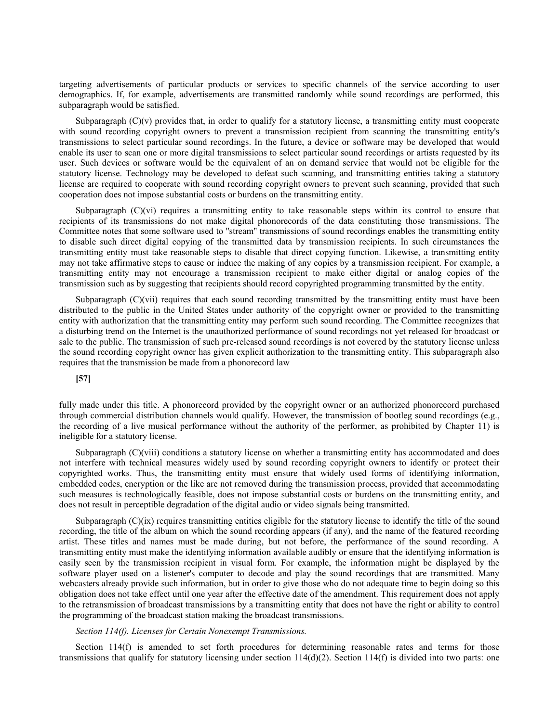targeting advertisements of particular products or services to specific channels of the service according to user demographics. If, for example, advertisements are transmitted randomly while sound recordings are performed, this subparagraph would be satisfied.

Subparagraph  $(C)(v)$  provides that, in order to qualify for a statutory license, a transmitting entity must cooperate with sound recording copyright owners to prevent a transmission recipient from scanning the transmitting entity's transmissions to select particular sound recordings. In the future, a device or software may be developed that would enable its user to scan one or more digital transmissions to select particular sound recordings or artists requested by its user. Such devices or software would be the equivalent of an on demand service that would not be eligible for the statutory license. Technology may be developed to defeat such scanning, and transmitting entities taking a statutory license are required to cooperate with sound recording copyright owners to prevent such scanning, provided that such cooperation does not impose substantial costs or burdens on the transmitting entity.

Subparagraph  $(C)(vi)$  requires a transmitting entity to take reasonable steps within its control to ensure that recipients of its transmissions do not make digital phonorecords of the data constituting those transmissions. The Committee notes that some software used to ''stream'' transmissions of sound recordings enables the transmitting entity to disable such direct digital copying of the transmitted data by transmission recipients. In such circumstances the transmitting entity must take reasonable steps to disable that direct copying function. Likewise, a transmitting entity may not take affirmative steps to cause or induce the making of any copies by a transmission recipient. For example, a transmitting entity may not encourage a transmission recipient to make either digital or analog copies of the transmission such as by suggesting that recipients should record copyrighted programming transmitted by the entity.

Subparagraph (C)(vii) requires that each sound recording transmitted by the transmitting entity must have been distributed to the public in the United States under authority of the copyright owner or provided to the transmitting entity with authorization that the transmitting entity may perform such sound recording. The Committee recognizes that a disturbing trend on the Internet is the unauthorized performance of sound recordings not yet released for broadcast or sale to the public. The transmission of such pre-released sound recordings is not covered by the statutory license unless the sound recording copyright owner has given explicit authorization to the transmitting entity. This subparagraph also requires that the transmission be made from a phonorecord law

#### **[57]**

fully made under this title. A phonorecord provided by the copyright owner or an authorized phonorecord purchased through commercial distribution channels would qualify. However, the transmission of bootleg sound recordings (e.g., the recording of a live musical performance without the authority of the performer, as prohibited by Chapter 11) is ineligible for a statutory license.

Subparagraph  $(C)(viii)$  conditions a statutory license on whether a transmitting entity has accommodated and does not interfere with technical measures widely used by sound recording copyright owners to identify or protect their copyrighted works. Thus, the transmitting entity must ensure that widely used forms of identifying information, embedded codes, encryption or the like are not removed during the transmission process, provided that accommodating such measures is technologically feasible, does not impose substantial costs or burdens on the transmitting entity, and does not result in perceptible degradation of the digital audio or video signals being transmitted.

Subparagraph  $(C)(ix)$  requires transmitting entities eligible for the statutory license to identify the title of the sound recording, the title of the album on which the sound recording appears (if any), and the name of the featured recording artist. These titles and names must be made during, but not before, the performance of the sound recording. A transmitting entity must make the identifying information available audibly or ensure that the identifying information is easily seen by the transmission recipient in visual form. For example, the information might be displayed by the software player used on a listener's computer to decode and play the sound recordings that are transmitted. Many webcasters already provide such information, but in order to give those who do not adequate time to begin doing so this obligation does not take effect until one year after the effective date of the amendment. This requirement does not apply to the retransmission of broadcast transmissions by a transmitting entity that does not have the right or ability to control the programming of the broadcast station making the broadcast transmissions.

## *Section 114(f). Licenses for Certain Nonexempt Transmissions.*

Section 114(f) is amended to set forth procedures for determining reasonable rates and terms for those transmissions that qualify for statutory licensing under section  $114(d)(2)$ . Section  $114(f)$  is divided into two parts: one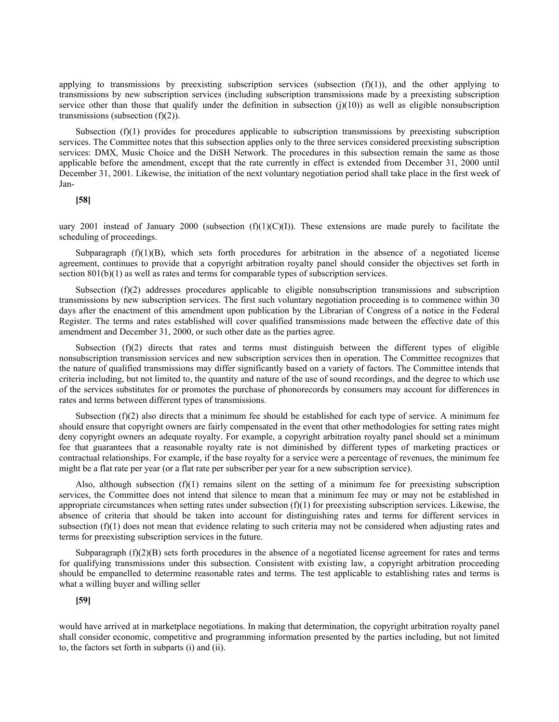applying to transmissions by preexisting subscription services (subsection  $(f)(1)$ ), and the other applying to transmissions by new subscription services (including subscription transmissions made by a preexisting subscription service other than those that qualify under the definition in subsection  $(j)(10)$ ) as well as eligible nonsubscription transmissions (subsection  $(f)(2)$ ).

Subsection  $(f)(1)$  provides for procedures applicable to subscription transmissions by preexisting subscription services. The Committee notes that this subsection applies only to the three services considered preexisting subscription services: DMX, Music Choice and the DiSH Network. The procedures in this subsection remain the same as those applicable before the amendment, except that the rate currently in effect is extended from December 31, 2000 until December 31, 2001. Likewise, the initiation of the next voluntary negotiation period shall take place in the first week of Jan-

## **[58]**

uary 2001 instead of January 2000 (subsection  $(f)(1)(C)(I)$ ). These extensions are made purely to facilitate the scheduling of proceedings.

Subparagraph  $(f)(1)(B)$ , which sets forth procedures for arbitration in the absence of a negotiated license agreement, continues to provide that a copyright arbitration royalty panel should consider the objectives set forth in section 801(b)(1) as well as rates and terms for comparable types of subscription services.

Subsection (f)(2) addresses procedures applicable to eligible nonsubscription transmissions and subscription transmissions by new subscription services. The first such voluntary negotiation proceeding is to commence within 30 days after the enactment of this amendment upon publication by the Librarian of Congress of a notice in the Federal Register. The terms and rates established will cover qualified transmissions made between the effective date of this amendment and December 31, 2000, or such other date as the parties agree.

Subsection  $(f)(2)$  directs that rates and terms must distinguish between the different types of eligible nonsubscription transmission services and new subscription services then in operation. The Committee recognizes that the nature of qualified transmissions may differ significantly based on a variety of factors. The Committee intends that criteria including, but not limited to, the quantity and nature of the use of sound recordings, and the degree to which use of the services substitutes for or promotes the purchase of phonorecords by consumers may account for differences in rates and terms between different types of transmissions.

Subsection  $(f)(2)$  also directs that a minimum fee should be established for each type of service. A minimum fee should ensure that copyright owners are fairly compensated in the event that other methodologies for setting rates might deny copyright owners an adequate royalty. For example, a copyright arbitration royalty panel should set a minimum fee that guarantees that a reasonable royalty rate is not diminished by different types of marketing practices or contractual relationships. For example, if the base royalty for a service were a percentage of revenues, the minimum fee might be a flat rate per year (or a flat rate per subscriber per year for a new subscription service).

Also, although subsection  $(f)(1)$  remains silent on the setting of a minimum fee for preexisting subscription services, the Committee does not intend that silence to mean that a minimum fee may or may not be established in appropriate circumstances when setting rates under subsection  $(f)(1)$  for preexisting subscription services. Likewise, the absence of criteria that should be taken into account for distinguishing rates and terms for different services in subsection  $(f)(1)$  does not mean that evidence relating to such criteria may not be considered when adjusting rates and terms for preexisting subscription services in the future.

Subparagraph  $(f)(2)(B)$  sets forth procedures in the absence of a negotiated license agreement for rates and terms for qualifying transmissions under this subsection. Consistent with existing law, a copyright arbitration proceeding should be empanelled to determine reasonable rates and terms. The test applicable to establishing rates and terms is what a willing buyer and willing seller

**[59]**

would have arrived at in marketplace negotiations. In making that determination, the copyright arbitration royalty panel shall consider economic, competitive and programming information presented by the parties including, but not limited to, the factors set forth in subparts (i) and (ii).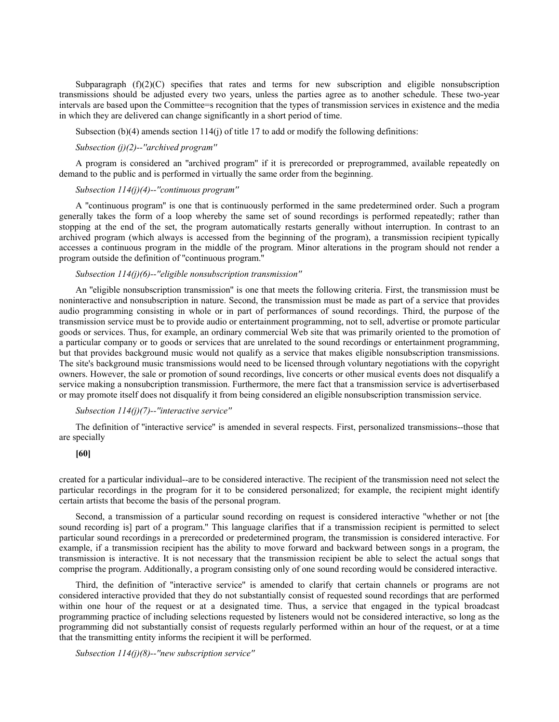Subparagraph  $(f)(2)(C)$  specifies that rates and terms for new subscription and eligible nonsubscription transmissions should be adjusted every two years, unless the parties agree as to another schedule. These two-year intervals are based upon the Committee=s recognition that the types of transmission services in existence and the media in which they are delivered can change significantly in a short period of time.

Subsection (b)(4) amends section  $114(i)$  of title 17 to add or modify the following definitions:

### *Subsection (j)(2)--''archived program''*

A program is considered an ''archived program'' if it is prerecorded or preprogrammed, available repeatedly on demand to the public and is performed in virtually the same order from the beginning.

### *Subsection 114(j)(4)--''continuous program''*

A ''continuous program'' is one that is continuously performed in the same predetermined order. Such a program generally takes the form of a loop whereby the same set of sound recordings is performed repeatedly; rather than stopping at the end of the set, the program automatically restarts generally without interruption. In contrast to an archived program (which always is accessed from the beginning of the program), a transmission recipient typically accesses a continuous program in the middle of the program. Minor alterations in the program should not render a program outside the definition of ''continuous program.''

# *Subsection 114(j)(6)--''eligible nonsubscription transmission''*

An "eligible nonsubscription transmission" is one that meets the following criteria. First, the transmission must be noninteractive and nonsubscription in nature. Second, the transmission must be made as part of a service that provides audio programming consisting in whole or in part of performances of sound recordings. Third, the purpose of the transmission service must be to provide audio or entertainment programming, not to sell, advertise or promote particular goods or services. Thus, for example, an ordinary commercial Web site that was primarily oriented to the promotion of a particular company or to goods or services that are unrelated to the sound recordings or entertainment programming, but that provides background music would not qualify as a service that makes eligible nonsubscription transmissions. The site's background music transmissions would need to be licensed through voluntary negotiations with the copyright owners. However, the sale or promotion of sound recordings, live concerts or other musical events does not disqualify a service making a nonsubcription transmission. Furthermore, the mere fact that a transmission service is advertiserbased or may promote itself does not disqualify it from being considered an eligible nonsubscription transmission service.

# *Subsection 114(j)(7)--''interactive service''*

The definition of ''interactive service'' is amended in several respects. First, personalized transmissions--those that are specially

# **[60]**

created for a particular individual--are to be considered interactive. The recipient of the transmission need not select the particular recordings in the program for it to be considered personalized; for example, the recipient might identify certain artists that become the basis of the personal program.

Second, a transmission of a particular sound recording on request is considered interactive ''whether or not [the sound recording is] part of a program." This language clarifies that if a transmission recipient is permitted to select particular sound recordings in a prerecorded or predetermined program, the transmission is considered interactive. For example, if a transmission recipient has the ability to move forward and backward between songs in a program, the transmission is interactive. It is not necessary that the transmission recipient be able to select the actual songs that comprise the program. Additionally, a program consisting only of one sound recording would be considered interactive.

Third, the definition of ''interactive service'' is amended to clarify that certain channels or programs are not considered interactive provided that they do not substantially consist of requested sound recordings that are performed within one hour of the request or at a designated time. Thus, a service that engaged in the typical broadcast programming practice of including selections requested by listeners would not be considered interactive, so long as the programming did not substantially consist of requests regularly performed within an hour of the request, or at a time that the transmitting entity informs the recipient it will be performed.

*Subsection 114(j)(8)--''new subscription service''*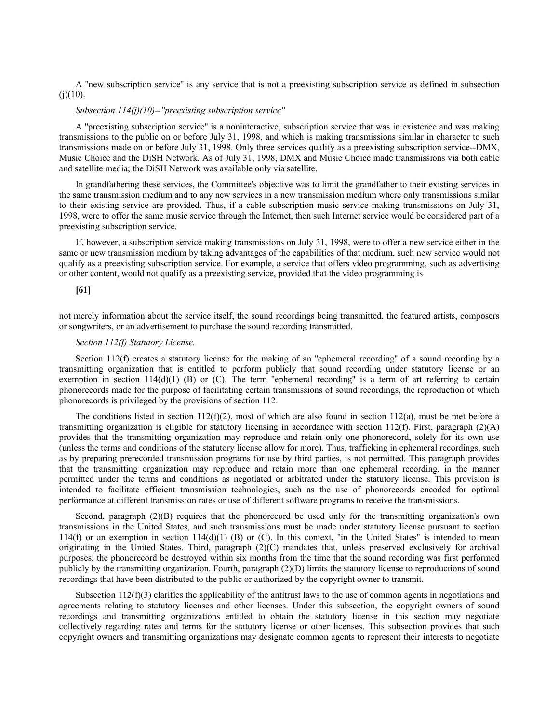A ''new subscription service'' is any service that is not a preexisting subscription service as defined in subsection  $(j)(10)$ .

#### *Subsection 114(j)(10)--''preexisting subscription service''*

A ''preexisting subscription service'' is a noninteractive, subscription service that was in existence and was making transmissions to the public on or before July 31, 1998, and which is making transmissions similar in character to such transmissions made on or before July 31, 1998. Only three services qualify as a preexisting subscription service--DMX, Music Choice and the DiSH Network. As of July 31, 1998, DMX and Music Choice made transmissions via both cable and satellite media; the DiSH Network was available only via satellite.

In grandfathering these services, the Committee's objective was to limit the grandfather to their existing services in the same transmission medium and to any new services in a new transmission medium where only transmissions similar to their existing service are provided. Thus, if a cable subscription music service making transmissions on July 31, 1998, were to offer the same music service through the Internet, then such Internet service would be considered part of a preexisting subscription service.

If, however, a subscription service making transmissions on July 31, 1998, were to offer a new service either in the same or new transmission medium by taking advantages of the capabilities of that medium, such new service would not qualify as a preexisting subscription service. For example, a service that offers video programming, such as advertising or other content, would not qualify as a preexisting service, provided that the video programming is

# **[61]**

not merely information about the service itself, the sound recordings being transmitted, the featured artists, composers or songwriters, or an advertisement to purchase the sound recording transmitted.

# *Section 112(f) Statutory License.*

Section 112(f) creates a statutory license for the making of an "ephemeral recording" of a sound recording by a transmitting organization that is entitled to perform publicly that sound recording under statutory license or an exemption in section  $114(d)(1)$  (B) or (C). The term "ephemeral recording" is a term of art referring to certain phonorecords made for the purpose of facilitating certain transmissions of sound recordings, the reproduction of which phonorecords is privileged by the provisions of section 112.

The conditions listed in section  $112(f)(2)$ , most of which are also found in section 112(a), must be met before a transmitting organization is eligible for statutory licensing in accordance with section 112(f). First, paragraph  $(2)(A)$ provides that the transmitting organization may reproduce and retain only one phonorecord, solely for its own use (unless the terms and conditions of the statutory license allow for more). Thus, trafficking in ephemeral recordings, such as by preparing prerecorded transmission programs for use by third parties, is not permitted. This paragraph provides that the transmitting organization may reproduce and retain more than one ephemeral recording, in the manner permitted under the terms and conditions as negotiated or arbitrated under the statutory license. This provision is intended to facilitate efficient transmission technologies, such as the use of phonorecords encoded for optimal performance at different transmission rates or use of different software programs to receive the transmissions.

Second, paragraph (2)(B) requires that the phonorecord be used only for the transmitting organization's own transmissions in the United States, and such transmissions must be made under statutory license pursuant to section 114(f) or an exemption in section  $114(d)(1)$  (B) or (C). In this context, "in the United States" is intended to mean originating in the United States. Third, paragraph  $(2)(C)$  mandates that, unless preserved exclusively for archival purposes, the phonorecord be destroyed within six months from the time that the sound recording was first performed publicly by the transmitting organization. Fourth, paragraph (2)(D) limits the statutory license to reproductions of sound recordings that have been distributed to the public or authorized by the copyright owner to transmit.

Subsection  $112(f)(3)$  clarifies the applicability of the antitrust laws to the use of common agents in negotiations and agreements relating to statutory licenses and other licenses. Under this subsection, the copyright owners of sound recordings and transmitting organizations entitled to obtain the statutory license in this section may negotiate collectively regarding rates and terms for the statutory license or other licenses. This subsection provides that such copyright owners and transmitting organizations may designate common agents to represent their interests to negotiate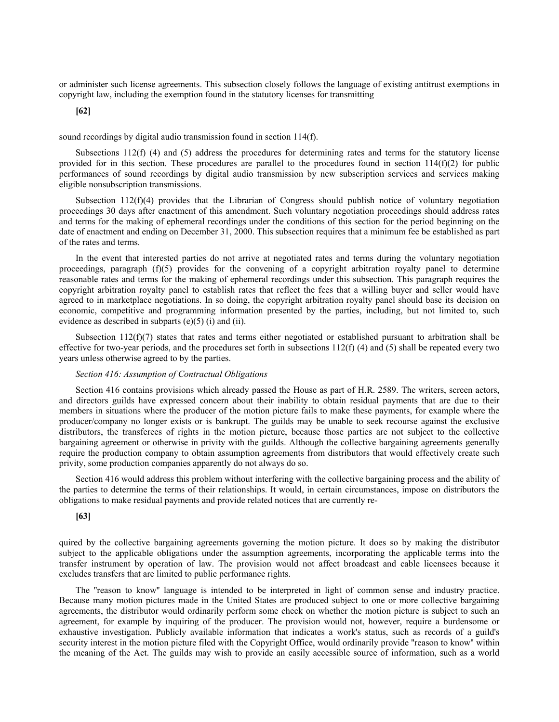or administer such license agreements. This subsection closely follows the language of existing antitrust exemptions in copyright law, including the exemption found in the statutory licenses for transmitting

**[62]**

sound recordings by digital audio transmission found in section 114(f).

Subsections 112(f) (4) and (5) address the procedures for determining rates and terms for the statutory license provided for in this section. These procedures are parallel to the procedures found in section  $114(f)(2)$  for public performances of sound recordings by digital audio transmission by new subscription services and services making eligible nonsubscription transmissions.

Subsection  $112(f)(4)$  provides that the Librarian of Congress should publish notice of voluntary negotiation proceedings 30 days after enactment of this amendment. Such voluntary negotiation proceedings should address rates and terms for the making of ephemeral recordings under the conditions of this section for the period beginning on the date of enactment and ending on December 31, 2000. This subsection requires that a minimum fee be established as part of the rates and terms.

In the event that interested parties do not arrive at negotiated rates and terms during the voluntary negotiation proceedings, paragraph  $(f)(5)$  provides for the convening of a copyright arbitration royalty panel to determine reasonable rates and terms for the making of ephemeral recordings under this subsection. This paragraph requires the copyright arbitration royalty panel to establish rates that reflect the fees that a willing buyer and seller would have agreed to in marketplace negotiations. In so doing, the copyright arbitration royalty panel should base its decision on economic, competitive and programming information presented by the parties, including, but not limited to, such evidence as described in subparts (e)(5) (i) and (ii).

Subsection  $112(f)(7)$  states that rates and terms either negotiated or established pursuant to arbitration shall be effective for two-year periods, and the procedures set forth in subsections  $112(f)$  (4) and (5) shall be repeated every two years unless otherwise agreed to by the parties.

#### *Section 416: Assumption of Contractual Obligations*

Section 416 contains provisions which already passed the House as part of H.R. 2589. The writers, screen actors, and directors guilds have expressed concern about their inability to obtain residual payments that are due to their members in situations where the producer of the motion picture fails to make these payments, for example where the producer/company no longer exists or is bankrupt. The guilds may be unable to seek recourse against the exclusive distributors, the transferees of rights in the motion picture, because those parties are not subject to the collective bargaining agreement or otherwise in privity with the guilds. Although the collective bargaining agreements generally require the production company to obtain assumption agreements from distributors that would effectively create such privity, some production companies apparently do not always do so.

Section 416 would address this problem without interfering with the collective bargaining process and the ability of the parties to determine the terms of their relationships. It would, in certain circumstances, impose on distributors the obligations to make residual payments and provide related notices that are currently re-

**[63]**

quired by the collective bargaining agreements governing the motion picture. It does so by making the distributor subject to the applicable obligations under the assumption agreements, incorporating the applicable terms into the transfer instrument by operation of law. The provision would not affect broadcast and cable licensees because it excludes transfers that are limited to public performance rights.

The "reason to know" language is intended to be interpreted in light of common sense and industry practice. Because many motion pictures made in the United States are produced subject to one or more collective bargaining agreements, the distributor would ordinarily perform some check on whether the motion picture is subject to such an agreement, for example by inquiring of the producer. The provision would not, however, require a burdensome or exhaustive investigation. Publicly available information that indicates a work's status, such as records of a guild's security interest in the motion picture filed with the Copyright Office, would ordinarily provide ''reason to know'' within the meaning of the Act. The guilds may wish to provide an easily accessible source of information, such as a world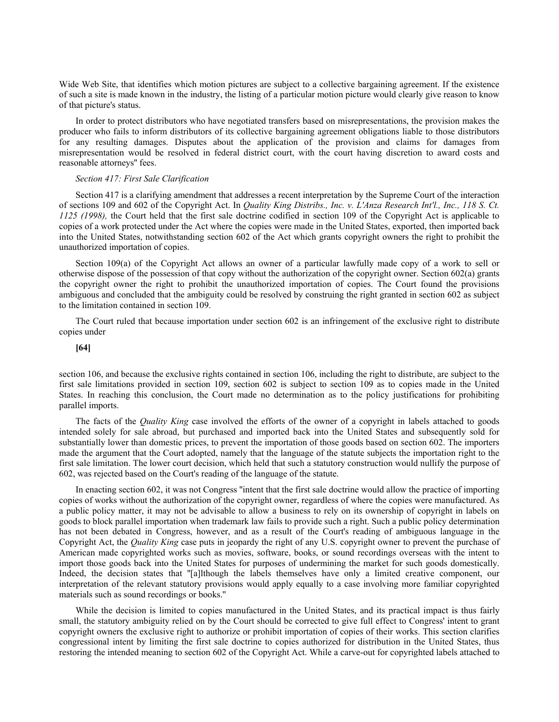Wide Web Site, that identifies which motion pictures are subject to a collective bargaining agreement. If the existence of such a site is made known in the industry, the listing of a particular motion picture would clearly give reason to know of that picture's status.

In order to protect distributors who have negotiated transfers based on misrepresentations, the provision makes the producer who fails to inform distributors of its collective bargaining agreement obligations liable to those distributors for any resulting damages. Disputes about the application of the provision and claims for damages from misrepresentation would be resolved in federal district court, with the court having discretion to award costs and reasonable attorneys'' fees.

#### *Section 417: First Sale Clarification*

Section 417 is a clarifying amendment that addresses a recent interpretation by the Supreme Court of the interaction of sections 109 and 602 of the Copyright Act. In *Quality King Distribs., Inc. v. L'Anza Research Int'l., Inc., 118 S. Ct. 1125 (1998),* the Court held that the first sale doctrine codified in section 109 of the Copyright Act is applicable to copies of a work protected under the Act where the copies were made in the United States, exported, then imported back into the United States, notwithstanding section 602 of the Act which grants copyright owners the right to prohibit the unauthorized importation of copies.

Section 109(a) of the Copyright Act allows an owner of a particular lawfully made copy of a work to sell or otherwise dispose of the possession of that copy without the authorization of the copyright owner. Section 602(a) grants the copyright owner the right to prohibit the unauthorized importation of copies. The Court found the provisions ambiguous and concluded that the ambiguity could be resolved by construing the right granted in section 602 as subject to the limitation contained in section 109.

The Court ruled that because importation under section 602 is an infringement of the exclusive right to distribute copies under

### **[64]**

section 106, and because the exclusive rights contained in section 106, including the right to distribute, are subject to the first sale limitations provided in section 109, section 602 is subject to section 109 as to copies made in the United States. In reaching this conclusion, the Court made no determination as to the policy justifications for prohibiting parallel imports.

The facts of the *Quality King* case involved the efforts of the owner of a copyright in labels attached to goods intended solely for sale abroad, but purchased and imported back into the United States and subsequently sold for substantially lower than domestic prices, to prevent the importation of those goods based on section 602. The importers made the argument that the Court adopted, namely that the language of the statute subjects the importation right to the first sale limitation. The lower court decision, which held that such a statutory construction would nullify the purpose of 602, was rejected based on the Court's reading of the language of the statute.

In enacting section 602, it was not Congress ''intent that the first sale doctrine would allow the practice of importing copies of works without the authorization of the copyright owner, regardless of where the copies were manufactured. As a public policy matter, it may not be advisable to allow a business to rely on its ownership of copyright in labels on goods to block parallel importation when trademark law fails to provide such a right. Such a public policy determination has not been debated in Congress, however, and as a result of the Court's reading of ambiguous language in the Copyright Act, the *Quality King* case puts in jeopardy the right of any U.S. copyright owner to prevent the purchase of American made copyrighted works such as movies, software, books, or sound recordings overseas with the intent to import those goods back into the United States for purposes of undermining the market for such goods domestically. Indeed, the decision states that ''[a]lthough the labels themselves have only a limited creative component, our interpretation of the relevant statutory provisions would apply equally to a case involving more familiar copyrighted materials such as sound recordings or books.''

While the decision is limited to copies manufactured in the United States, and its practical impact is thus fairly small, the statutory ambiguity relied on by the Court should be corrected to give full effect to Congress' intent to grant copyright owners the exclusive right to authorize or prohibit importation of copies of their works. This section clarifies congressional intent by limiting the first sale doctrine to copies authorized for distribution in the United States, thus restoring the intended meaning to section 602 of the Copyright Act. While a carve-out for copyrighted labels attached to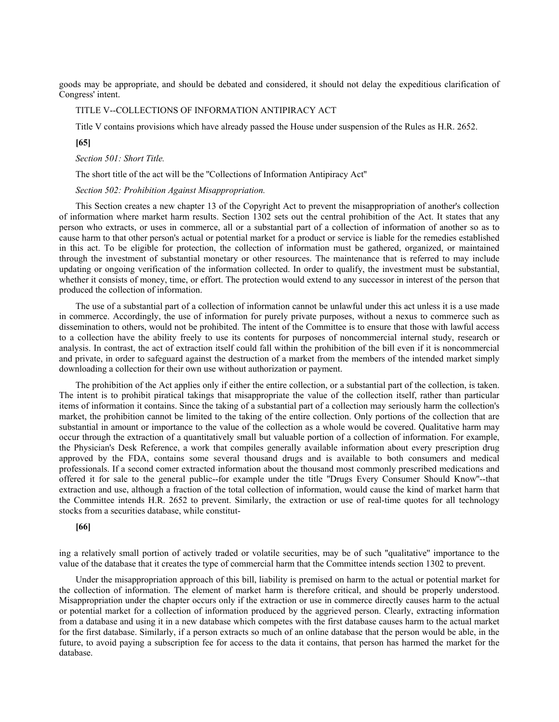goods may be appropriate, and should be debated and considered, it should not delay the expeditious clarification of Congress' intent.

## TITLE V--COLLECTIONS OF INFORMATION ANTIPIRACY ACT

Title V contains provisions which have already passed the House under suspension of the Rules as H.R. 2652.

**[65]**

*Section 501: Short Title.*

The short title of the act will be the ''Collections of Information Antipiracy Act''

### *Section 502: Prohibition Against Misappropriation.*

This Section creates a new chapter 13 of the Copyright Act to prevent the misappropriation of another's collection of information where market harm results. Section 1302 sets out the central prohibition of the Act. It states that any person who extracts, or uses in commerce, all or a substantial part of a collection of information of another so as to cause harm to that other person's actual or potential market for a product or service is liable for the remedies established in this act. To be eligible for protection, the collection of information must be gathered, organized, or maintained through the investment of substantial monetary or other resources. The maintenance that is referred to may include updating or ongoing verification of the information collected. In order to qualify, the investment must be substantial, whether it consists of money, time, or effort. The protection would extend to any successor in interest of the person that produced the collection of information.

The use of a substantial part of a collection of information cannot be unlawful under this act unless it is a use made in commerce. Accordingly, the use of information for purely private purposes, without a nexus to commerce such as dissemination to others, would not be prohibited. The intent of the Committee is to ensure that those with lawful access to a collection have the ability freely to use its contents for purposes of noncommercial internal study, research or analysis. In contrast, the act of extraction itself could fall within the prohibition of the bill even if it is noncommercial and private, in order to safeguard against the destruction of a market from the members of the intended market simply downloading a collection for their own use without authorization or payment.

The prohibition of the Act applies only if either the entire collection, or a substantial part of the collection, is taken. The intent is to prohibit piratical takings that misappropriate the value of the collection itself, rather than particular items of information it contains. Since the taking of a substantial part of a collection may seriously harm the collection's market, the prohibition cannot be limited to the taking of the entire collection. Only portions of the collection that are substantial in amount or importance to the value of the collection as a whole would be covered. Qualitative harm may occur through the extraction of a quantitatively small but valuable portion of a collection of information. For example, the Physician's Desk Reference, a work that compiles generally available information about every prescription drug approved by the FDA, contains some several thousand drugs and is available to both consumers and medical professionals. If a second comer extracted information about the thousand most commonly prescribed medications and offered it for sale to the general public--for example under the title ''Drugs Every Consumer Should Know''--that extraction and use, although a fraction of the total collection of information, would cause the kind of market harm that the Committee intends H.R. 2652 to prevent. Similarly, the extraction or use of real-time quotes for all technology stocks from a securities database, while constitut-

# **[66]**

ing a relatively small portion of actively traded or volatile securities, may be of such ''qualitative'' importance to the value of the database that it creates the type of commercial harm that the Committee intends section 1302 to prevent.

Under the misappropriation approach of this bill, liability is premised on harm to the actual or potential market for the collection of information. The element of market harm is therefore critical, and should be properly understood. Misappropriation under the chapter occurs only if the extraction or use in commerce directly causes harm to the actual or potential market for a collection of information produced by the aggrieved person. Clearly, extracting information from a database and using it in a new database which competes with the first database causes harm to the actual market for the first database. Similarly, if a person extracts so much of an online database that the person would be able, in the future, to avoid paying a subscription fee for access to the data it contains, that person has harmed the market for the database.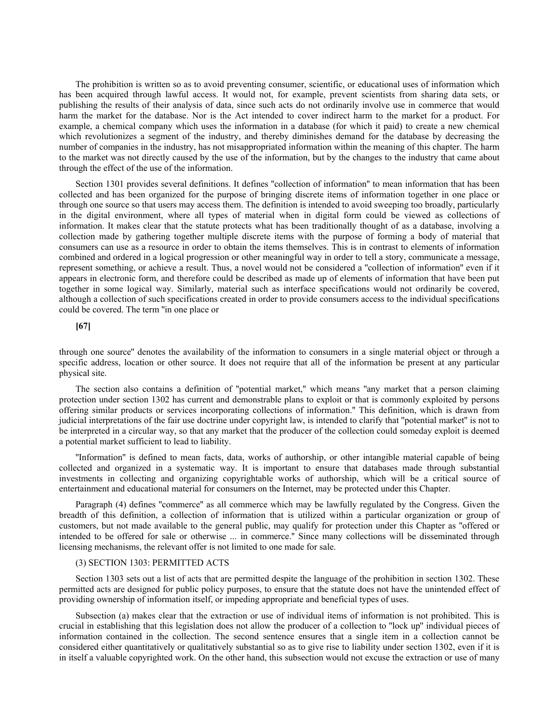The prohibition is written so as to avoid preventing consumer, scientific, or educational uses of information which has been acquired through lawful access. It would not, for example, prevent scientists from sharing data sets, or publishing the results of their analysis of data, since such acts do not ordinarily involve use in commerce that would harm the market for the database. Nor is the Act intended to cover indirect harm to the market for a product. For example, a chemical company which uses the information in a database (for which it paid) to create a new chemical which revolutionizes a segment of the industry, and thereby diminishes demand for the database by decreasing the number of companies in the industry, has not misappropriated information within the meaning of this chapter. The harm to the market was not directly caused by the use of the information, but by the changes to the industry that came about through the effect of the use of the information.

Section 1301 provides several definitions. It defines ''collection of information'' to mean information that has been collected and has been organized for the purpose of bringing discrete items of information together in one place or through one source so that users may access them. The definition is intended to avoid sweeping too broadly, particularly in the digital environment, where all types of material when in digital form could be viewed as collections of information. It makes clear that the statute protects what has been traditionally thought of as a database, involving a collection made by gathering together multiple discrete items with the purpose of forming a body of material that consumers can use as a resource in order to obtain the items themselves. This is in contrast to elements of information combined and ordered in a logical progression or other meaningful way in order to tell a story, communicate a message, represent something, or achieve a result. Thus, a novel would not be considered a ''collection of information'' even if it appears in electronic form, and therefore could be described as made up of elements of information that have been put together in some logical way. Similarly, material such as interface specifications would not ordinarily be covered, although a collection of such specifications created in order to provide consumers access to the individual specifications could be covered. The term ''in one place or

### **[67]**

through one source'' denotes the availability of the information to consumers in a single material object or through a specific address, location or other source. It does not require that all of the information be present at any particular physical site.

The section also contains a definition of ''potential market,'' which means ''any market that a person claiming protection under section 1302 has current and demonstrable plans to exploit or that is commonly exploited by persons offering similar products or services incorporating collections of information.'' This definition, which is drawn from judicial interpretations of the fair use doctrine under copyright law, is intended to clarify that ''potential market'' is not to be interpreted in a circular way, so that any market that the producer of the collection could someday exploit is deemed a potential market sufficient to lead to liability.

''Information'' is defined to mean facts, data, works of authorship, or other intangible material capable of being collected and organized in a systematic way. It is important to ensure that databases made through substantial investments in collecting and organizing copyrightable works of authorship, which will be a critical source of entertainment and educational material for consumers on the Internet, may be protected under this Chapter.

Paragraph (4) defines "commerce" as all commerce which may be lawfully regulated by the Congress. Given the breadth of this definition, a collection of information that is utilized within a particular organization or group of customers, but not made available to the general public, may qualify for protection under this Chapter as ''offered or intended to be offered for sale or otherwise ... in commerce.'' Since many collections will be disseminated through licensing mechanisms, the relevant offer is not limited to one made for sale.

## (3) SECTION 1303: PERMITTED ACTS

Section 1303 sets out a list of acts that are permitted despite the language of the prohibition in section 1302. These permitted acts are designed for public policy purposes, to ensure that the statute does not have the unintended effect of providing ownership of information itself, or impeding appropriate and beneficial types of uses.

Subsection (a) makes clear that the extraction or use of individual items of information is not prohibited. This is crucial in establishing that this legislation does not allow the producer of a collection to ''lock up'' individual pieces of information contained in the collection. The second sentence ensures that a single item in a collection cannot be considered either quantitatively or qualitatively substantial so as to give rise to liability under section 1302, even if it is in itself a valuable copyrighted work. On the other hand, this subsection would not excuse the extraction or use of many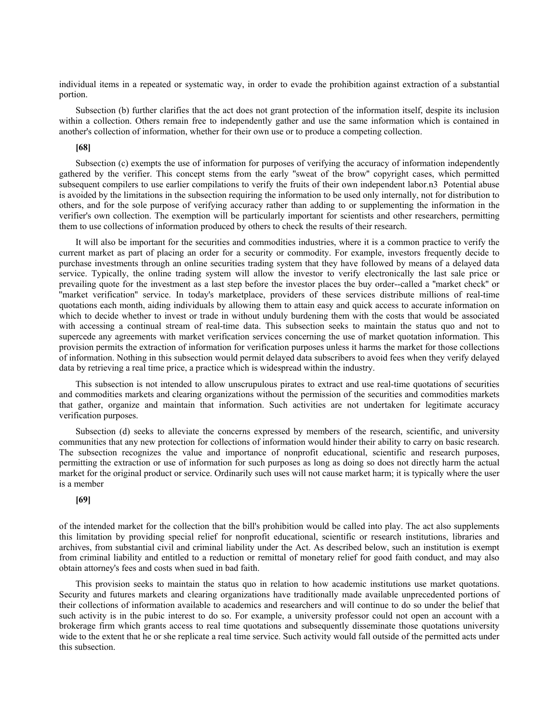individual items in a repeated or systematic way, in order to evade the prohibition against extraction of a substantial portion.

Subsection (b) further clarifies that the act does not grant protection of the information itself, despite its inclusion within a collection. Others remain free to independently gather and use the same information which is contained in another's collection of information, whether for their own use or to produce a competing collection.

#### **[68]**

Subsection (c) exempts the use of information for purposes of verifying the accuracy of information independently gathered by the verifier. This concept stems from the early ''sweat of the brow'' copyright cases, which permitted subsequent compilers to use earlier compilations to verify the fruits of their own independent labor.n3 Potential abuse is avoided by the limitations in the subsection requiring the information to be used only internally, not for distribution to others, and for the sole purpose of verifying accuracy rather than adding to or supplementing the information in the verifier's own collection. The exemption will be particularly important for scientists and other researchers, permitting them to use collections of information produced by others to check the results of their research.

It will also be important for the securities and commodities industries, where it is a common practice to verify the current market as part of placing an order for a security or commodity. For example, investors frequently decide to purchase investments through an online securities trading system that they have followed by means of a delayed data service. Typically, the online trading system will allow the investor to verify electronically the last sale price or prevailing quote for the investment as a last step before the investor places the buy order--called a ''market check'' or ''market verification'' service. In today's marketplace, providers of these services distribute millions of real-time quotations each month, aiding individuals by allowing them to attain easy and quick access to accurate information on which to decide whether to invest or trade in without unduly burdening them with the costs that would be associated with accessing a continual stream of real-time data. This subsection seeks to maintain the status quo and not to supercede any agreements with market verification services concerning the use of market quotation information. This provision permits the extraction of information for verification purposes unless it harms the market for those collections of information. Nothing in this subsection would permit delayed data subscribers to avoid fees when they verify delayed data by retrieving a real time price, a practice which is widespread within the industry.

This subsection is not intended to allow unscrupulous pirates to extract and use real-time quotations of securities and commodities markets and clearing organizations without the permission of the securities and commodities markets that gather, organize and maintain that information. Such activities are not undertaken for legitimate accuracy verification purposes.

Subsection (d) seeks to alleviate the concerns expressed by members of the research, scientific, and university communities that any new protection for collections of information would hinder their ability to carry on basic research. The subsection recognizes the value and importance of nonprofit educational, scientific and research purposes, permitting the extraction or use of information for such purposes as long as doing so does not directly harm the actual market for the original product or service. Ordinarily such uses will not cause market harm; it is typically where the user is a member

# **[69]**

of the intended market for the collection that the bill's prohibition would be called into play. The act also supplements this limitation by providing special relief for nonprofit educational, scientific or research institutions, libraries and archives, from substantial civil and criminal liability under the Act. As described below, such an institution is exempt from criminal liability and entitled to a reduction or remittal of monetary relief for good faith conduct, and may also obtain attorney's fees and costs when sued in bad faith.

This provision seeks to maintain the status quo in relation to how academic institutions use market quotations. Security and futures markets and clearing organizations have traditionally made available unprecedented portions of their collections of information available to academics and researchers and will continue to do so under the belief that such activity is in the pubic interest to do so. For example, a university professor could not open an account with a brokerage firm which grants access to real time quotations and subsequently disseminate those quotations university wide to the extent that he or she replicate a real time service. Such activity would fall outside of the permitted acts under this subsection.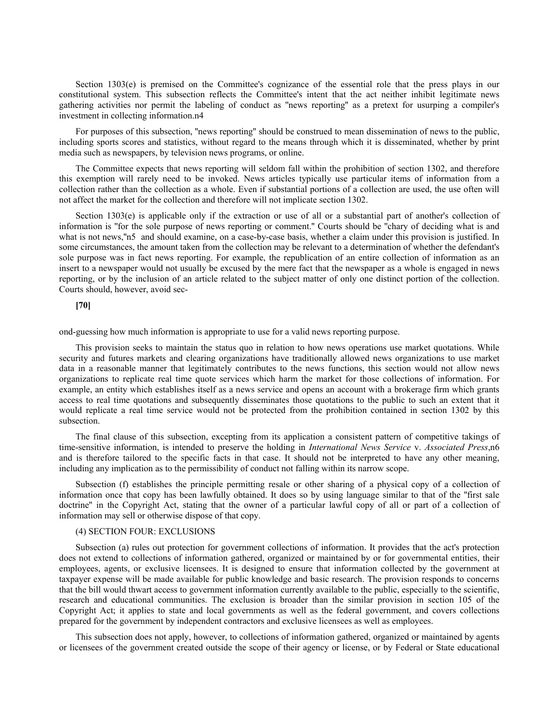Section 1303(e) is premised on the Committee's cognizance of the essential role that the press plays in our constitutional system. This subsection reflects the Committee's intent that the act neither inhibit legitimate news gathering activities nor permit the labeling of conduct as ''news reporting'' as a pretext for usurping a compiler's investment in collecting information.n4

For purposes of this subsection, ''news reporting'' should be construed to mean dissemination of news to the public, including sports scores and statistics, without regard to the means through which it is disseminated, whether by print media such as newspapers, by television news programs, or online.

The Committee expects that news reporting will seldom fall within the prohibition of section 1302, and therefore this exemption will rarely need to be invoked. News articles typically use particular items of information from a collection rather than the collection as a whole. Even if substantial portions of a collection are used, the use often will not affect the market for the collection and therefore will not implicate section 1302.

Section 1303(e) is applicable only if the extraction or use of all or a substantial part of another's collection of information is ''for the sole purpose of news reporting or comment.'' Courts should be ''chary of deciding what is and what is not news,"n5 and should examine, on a case-by-case basis, whether a claim under this provision is justified. In some circumstances, the amount taken from the collection may be relevant to a determination of whether the defendant's sole purpose was in fact news reporting. For example, the republication of an entire collection of information as an insert to a newspaper would not usually be excused by the mere fact that the newspaper as a whole is engaged in news reporting, or by the inclusion of an article related to the subject matter of only one distinct portion of the collection. Courts should, however, avoid sec-

# **[70]**

ond-guessing how much information is appropriate to use for a valid news reporting purpose.

This provision seeks to maintain the status quo in relation to how news operations use market quotations. While security and futures markets and clearing organizations have traditionally allowed news organizations to use market data in a reasonable manner that legitimately contributes to the news functions, this section would not allow news organizations to replicate real time quote services which harm the market for those collections of information. For example, an entity which establishes itself as a news service and opens an account with a brokerage firm which grants access to real time quotations and subsequently disseminates those quotations to the public to such an extent that it would replicate a real time service would not be protected from the prohibition contained in section 1302 by this subsection.

The final clause of this subsection, excepting from its application a consistent pattern of competitive takings of time-sensitive information, is intended to preserve the holding in *International News Service* v. *Associated Press*,n6 and is therefore tailored to the specific facts in that case. It should not be interpreted to have any other meaning, including any implication as to the permissibility of conduct not falling within its narrow scope.

Subsection (f) establishes the principle permitting resale or other sharing of a physical copy of a collection of information once that copy has been lawfully obtained. It does so by using language similar to that of the ''first sale doctrine'' in the Copyright Act, stating that the owner of a particular lawful copy of all or part of a collection of information may sell or otherwise dispose of that copy.

# (4) SECTION FOUR: EXCLUSIONS

Subsection (a) rules out protection for government collections of information. It provides that the act's protection does not extend to collections of information gathered, organized or maintained by or for governmental entities, their employees, agents, or exclusive licensees. It is designed to ensure that information collected by the government at taxpayer expense will be made available for public knowledge and basic research. The provision responds to concerns that the bill would thwart access to government information currently available to the public, especially to the scientific, research and educational communities. The exclusion is broader than the similar provision in section 105 of the Copyright Act; it applies to state and local governments as well as the federal government, and covers collections prepared for the government by independent contractors and exclusive licensees as well as employees.

This subsection does not apply, however, to collections of information gathered, organized or maintained by agents or licensees of the government created outside the scope of their agency or license, or by Federal or State educational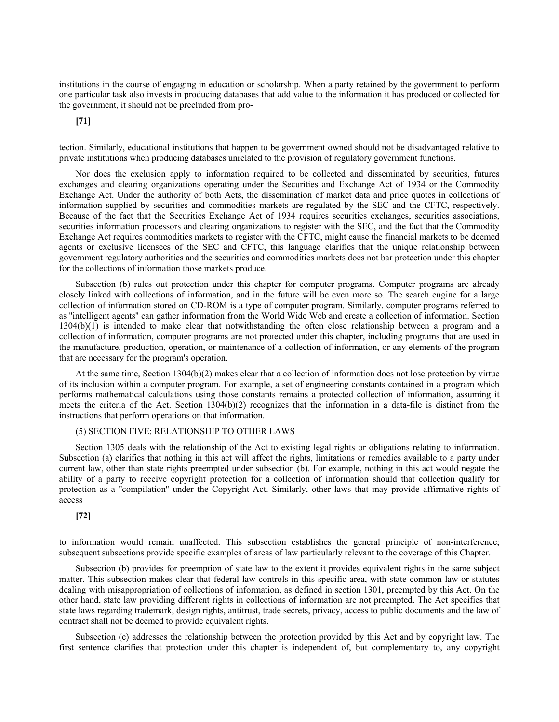institutions in the course of engaging in education or scholarship. When a party retained by the government to perform one particular task also invests in producing databases that add value to the information it has produced or collected for the government, it should not be precluded from pro-

**[71]**

tection. Similarly, educational institutions that happen to be government owned should not be disadvantaged relative to private institutions when producing databases unrelated to the provision of regulatory government functions.

Nor does the exclusion apply to information required to be collected and disseminated by securities, futures exchanges and clearing organizations operating under the Securities and Exchange Act of 1934 or the Commodity Exchange Act. Under the authority of both Acts, the dissemination of market data and price quotes in collections of information supplied by securities and commodities markets are regulated by the SEC and the CFTC, respectively. Because of the fact that the Securities Exchange Act of 1934 requires securities exchanges, securities associations, securities information processors and clearing organizations to register with the SEC, and the fact that the Commodity Exchange Act requires commodities markets to register with the CFTC, might cause the financial markets to be deemed agents or exclusive licensees of the SEC and CFTC, this language clarifies that the unique relationship between government regulatory authorities and the securities and commodities markets does not bar protection under this chapter for the collections of information those markets produce.

Subsection (b) rules out protection under this chapter for computer programs. Computer programs are already closely linked with collections of information, and in the future will be even more so. The search engine for a large collection of information stored on CD-ROM is a type of computer program. Similarly, computer programs referred to as ''intelligent agents'' can gather information from the World Wide Web and create a collection of information. Section 1304(b)(1) is intended to make clear that notwithstanding the often close relationship between a program and a collection of information, computer programs are not protected under this chapter, including programs that are used in the manufacture, production, operation, or maintenance of a collection of information, or any elements of the program that are necessary for the program's operation.

At the same time, Section 1304(b)(2) makes clear that a collection of information does not lose protection by virtue of its inclusion within a computer program. For example, a set of engineering constants contained in a program which performs mathematical calculations using those constants remains a protected collection of information, assuming it meets the criteria of the Act. Section 1304(b)(2) recognizes that the information in a data-file is distinct from the instructions that perform operations on that information.

# (5) SECTION FIVE: RELATIONSHIP TO OTHER LAWS

Section 1305 deals with the relationship of the Act to existing legal rights or obligations relating to information. Subsection (a) clarifies that nothing in this act will affect the rights, limitations or remedies available to a party under current law, other than state rights preempted under subsection (b). For example, nothing in this act would negate the ability of a party to receive copyright protection for a collection of information should that collection qualify for protection as a ''compilation'' under the Copyright Act. Similarly, other laws that may provide affirmative rights of access

**[72]**

to information would remain unaffected. This subsection establishes the general principle of non-interference; subsequent subsections provide specific examples of areas of law particularly relevant to the coverage of this Chapter.

Subsection (b) provides for preemption of state law to the extent it provides equivalent rights in the same subject matter. This subsection makes clear that federal law controls in this specific area, with state common law or statutes dealing with misappropriation of collections of information, as defined in section 1301, preempted by this Act. On the other hand, state law providing different rights in collections of information are not preempted. The Act specifies that state laws regarding trademark, design rights, antitrust, trade secrets, privacy, access to public documents and the law of contract shall not be deemed to provide equivalent rights.

Subsection (c) addresses the relationship between the protection provided by this Act and by copyright law. The first sentence clarifies that protection under this chapter is independent of, but complementary to, any copyright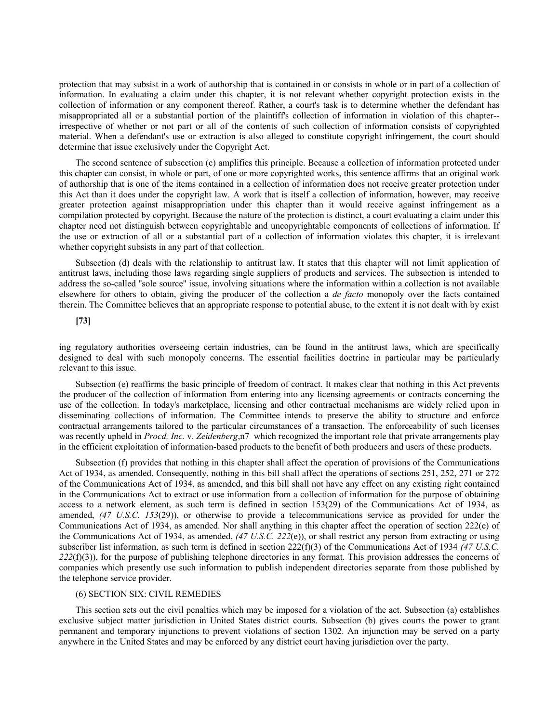protection that may subsist in a work of authorship that is contained in or consists in whole or in part of a collection of information. In evaluating a claim under this chapter, it is not relevant whether copyright protection exists in the collection of information or any component thereof. Rather, a court's task is to determine whether the defendant has misappropriated all or a substantial portion of the plaintiff's collection of information in violation of this chapter- irrespective of whether or not part or all of the contents of such collection of information consists of copyrighted material. When a defendant's use or extraction is also alleged to constitute copyright infringement, the court should determine that issue exclusively under the Copyright Act.

The second sentence of subsection (c) amplifies this principle. Because a collection of information protected under this chapter can consist, in whole or part, of one or more copyrighted works, this sentence affirms that an original work of authorship that is one of the items contained in a collection of information does not receive greater protection under this Act than it does under the copyright law. A work that is itself a collection of information, however, may receive greater protection against misappropriation under this chapter than it would receive against infringement as a compilation protected by copyright. Because the nature of the protection is distinct, a court evaluating a claim under this chapter need not distinguish between copyrightable and uncopyrightable components of collections of information. If the use or extraction of all or a substantial part of a collection of information violates this chapter, it is irrelevant whether copyright subsists in any part of that collection.

Subsection (d) deals with the relationship to antitrust law. It states that this chapter will not limit application of antitrust laws, including those laws regarding single suppliers of products and services. The subsection is intended to address the so-called ''sole source'' issue, involving situations where the information within a collection is not available elsewhere for others to obtain, giving the producer of the collection a *de facto* monopoly over the facts contained therein. The Committee believes that an appropriate response to potential abuse, to the extent it is not dealt with by exist

**[73]**

ing regulatory authorities overseeing certain industries, can be found in the antitrust laws, which are specifically designed to deal with such monopoly concerns. The essential facilities doctrine in particular may be particularly relevant to this issue.

Subsection (e) reaffirms the basic principle of freedom of contract. It makes clear that nothing in this Act prevents the producer of the collection of information from entering into any licensing agreements or contracts concerning the use of the collection. In today's marketplace, licensing and other contractual mechanisms are widely relied upon in disseminating collections of information. The Committee intends to preserve the ability to structure and enforce contractual arrangements tailored to the particular circumstances of a transaction. The enforceability of such licenses was recently upheld in *Procd, Inc.* v. *Zeidenberg*,n7 which recognized the important role that private arrangements play in the efficient exploitation of information-based products to the benefit of both producers and users of these products.

Subsection (f) provides that nothing in this chapter shall affect the operation of provisions of the Communications Act of 1934, as amended. Consequently, nothing in this bill shall affect the operations of sections 251, 252, 271 or 272 of the Communications Act of 1934, as amended, and this bill shall not have any effect on any existing right contained in the Communications Act to extract or use information from a collection of information for the purpose of obtaining access to a network element, as such term is defined in section 153(29) of the Communications Act of 1934, as amended, *(47 U.S.C. 153*(29)), or otherwise to provide a telecommunications service as provided for under the Communications Act of 1934, as amended. Nor shall anything in this chapter affect the operation of section 222(e) of the Communications Act of 1934, as amended, *(47 U.S.C. 222*(e)), or shall restrict any person from extracting or using subscriber list information, as such term is defined in section 222(f)(3) of the Communications Act of 1934 *(47 U.S.C. 222*(f)(3)), for the purpose of publishing telephone directories in any format. This provision addresses the concerns of companies which presently use such information to publish independent directories separate from those published by the telephone service provider.

## (6) SECTION SIX: CIVIL REMEDIES

This section sets out the civil penalties which may be imposed for a violation of the act. Subsection (a) establishes exclusive subject matter jurisdiction in United States district courts. Subsection (b) gives courts the power to grant permanent and temporary injunctions to prevent violations of section 1302. An injunction may be served on a party anywhere in the United States and may be enforced by any district court having jurisdiction over the party.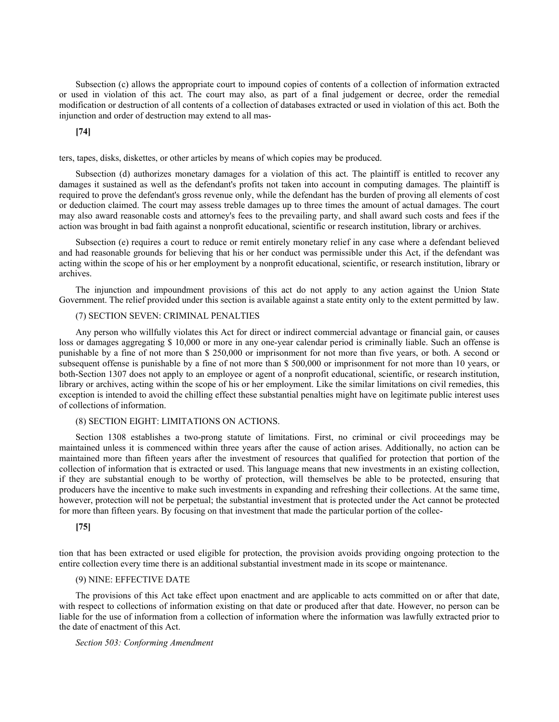Subsection (c) allows the appropriate court to impound copies of contents of a collection of information extracted or used in violation of this act. The court may also, as part of a final judgement or decree, order the remedial modification or destruction of all contents of a collection of databases extracted or used in violation of this act. Both the injunction and order of destruction may extend to all mas-

**[74]**

ters, tapes, disks, diskettes, or other articles by means of which copies may be produced.

Subsection (d) authorizes monetary damages for a violation of this act. The plaintiff is entitled to recover any damages it sustained as well as the defendant's profits not taken into account in computing damages. The plaintiff is required to prove the defendant's gross revenue only, while the defendant has the burden of proving all elements of cost or deduction claimed. The court may assess treble damages up to three times the amount of actual damages. The court may also award reasonable costs and attorney's fees to the prevailing party, and shall award such costs and fees if the action was brought in bad faith against a nonprofit educational, scientific or research institution, library or archives.

Subsection (e) requires a court to reduce or remit entirely monetary relief in any case where a defendant believed and had reasonable grounds for believing that his or her conduct was permissible under this Act, if the defendant was acting within the scope of his or her employment by a nonprofit educational, scientific, or research institution, library or archives.

The injunction and impoundment provisions of this act do not apply to any action against the Union State Government. The relief provided under this section is available against a state entity only to the extent permitted by law.

## (7) SECTION SEVEN: CRIMINAL PENALTIES

Any person who willfully violates this Act for direct or indirect commercial advantage or financial gain, or causes loss or damages aggregating \$ 10,000 or more in any one-year calendar period is criminally liable. Such an offense is punishable by a fine of not more than \$ 250,000 or imprisonment for not more than five years, or both. A second or subsequent offense is punishable by a fine of not more than \$ 500,000 or imprisonment for not more than 10 years, or both-Section 1307 does not apply to an employee or agent of a nonprofit educational, scientific, or research institution, library or archives, acting within the scope of his or her employment. Like the similar limitations on civil remedies, this exception is intended to avoid the chilling effect these substantial penalties might have on legitimate public interest uses of collections of information.

# (8) SECTION EIGHT: LIMITATIONS ON ACTIONS.

Section 1308 establishes a two-prong statute of limitations. First, no criminal or civil proceedings may be maintained unless it is commenced within three years after the cause of action arises. Additionally, no action can be maintained more than fifteen years after the investment of resources that qualified for protection that portion of the collection of information that is extracted or used. This language means that new investments in an existing collection, if they are substantial enough to be worthy of protection, will themselves be able to be protected, ensuring that producers have the incentive to make such investments in expanding and refreshing their collections. At the same time, however, protection will not be perpetual; the substantial investment that is protected under the Act cannot be protected for more than fifteen years. By focusing on that investment that made the particular portion of the collec-

# **[75]**

tion that has been extracted or used eligible for protection, the provision avoids providing ongoing protection to the entire collection every time there is an additional substantial investment made in its scope or maintenance.

#### (9) NINE: EFFECTIVE DATE

The provisions of this Act take effect upon enactment and are applicable to acts committed on or after that date, with respect to collections of information existing on that date or produced after that date. However, no person can be liable for the use of information from a collection of information where the information was lawfully extracted prior to the date of enactment of this Act.

#### *Section 503: Conforming Amendment*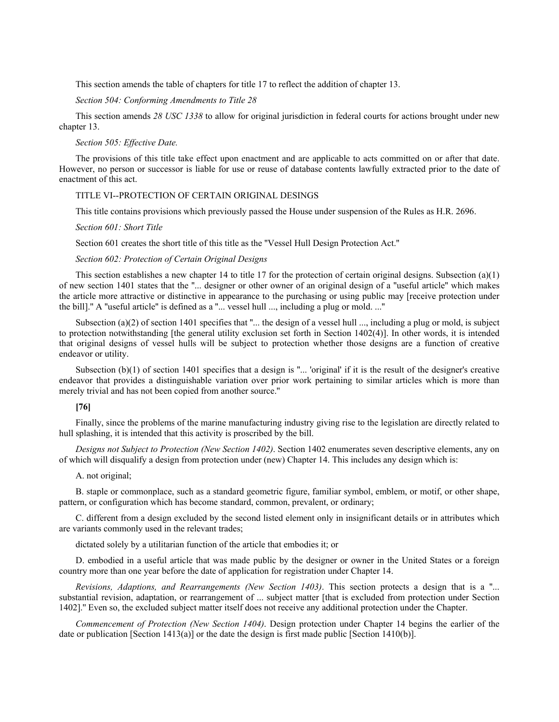This section amends the table of chapters for title 17 to reflect the addition of chapter 13.

#### *Section 504: Conforming Amendments to Title 28*

This section amends *28 USC 1338* to allow for original jurisdiction in federal courts for actions brought under new chapter 13.

#### *Section 505: Effective Date.*

The provisions of this title take effect upon enactment and are applicable to acts committed on or after that date. However, no person or successor is liable for use or reuse of database contents lawfully extracted prior to the date of enactment of this act.

### TITLE VI--PROTECTION OF CERTAIN ORIGINAL DESINGS

This title contains provisions which previously passed the House under suspension of the Rules as H.R. 2696.

#### *Section 601: Short Title*

Section 601 creates the short title of this title as the ''Vessel Hull Design Protection Act.''

## *Section 602: Protection of Certain Original Designs*

This section establishes a new chapter 14 to title 17 for the protection of certain original designs. Subsection  $(a)(1)$ of new section 1401 states that the ''... designer or other owner of an original design of a ''useful article'' which makes the article more attractive or distinctive in appearance to the purchasing or using public may [receive protection under the bill].'' A ''useful article'' is defined as a ''... vessel hull ..., including a plug or mold. ...''

Subsection (a)(2) of section 1401 specifies that "... the design of a vessel hull ..., including a plug or mold, is subject to protection notwithstanding [the general utility exclusion set forth in Section 1402(4)]. In other words, it is intended that original designs of vessel hulls will be subject to protection whether those designs are a function of creative endeavor or utility.

Subsection  $(b)(1)$  of section 1401 specifies that a design is "... 'original' if it is the result of the designer's creative endeavor that provides a distinguishable variation over prior work pertaining to similar articles which is more than merely trivial and has not been copied from another source.''

# **[76]**

Finally, since the problems of the marine manufacturing industry giving rise to the legislation are directly related to hull splashing, it is intended that this activity is proscribed by the bill.

*Designs not Subject to Protection (New Section 1402)*. Section 1402 enumerates seven descriptive elements, any on of which will disqualify a design from protection under (new) Chapter 14. This includes any design which is:

### A. not original;

B. staple or commonplace, such as a standard geometric figure, familiar symbol, emblem, or motif, or other shape, pattern, or configuration which has become standard, common, prevalent, or ordinary;

C. different from a design excluded by the second listed element only in insignificant details or in attributes which are variants commonly used in the relevant trades;

dictated solely by a utilitarian function of the article that embodies it; or

D. embodied in a useful article that was made public by the designer or owner in the United States or a foreign country more than one year before the date of application for registration under Chapter 14.

*Revisions, Adaptions, and Rearrangements (New Section 1403)*. This section protects a design that is a ''... substantial revision, adaptation, or rearrangement of ... subject matter [that is excluded from protection under Section 1402].'' Even so, the excluded subject matter itself does not receive any additional protection under the Chapter.

*Commencement of Protection (New Section 1404)*. Design protection under Chapter 14 begins the earlier of the date or publication [Section 1413(a)] or the date the design is first made public [Section 1410(b)].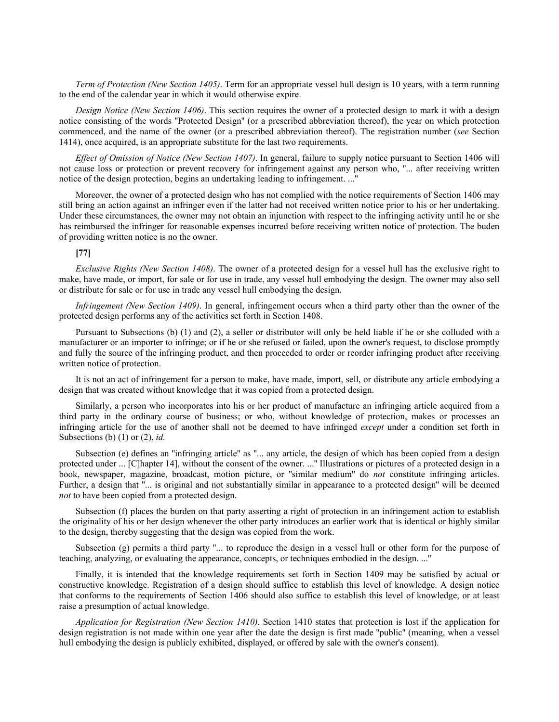*Term of Protection (New Section 1405)*. Term for an appropriate vessel hull design is 10 years, with a term running to the end of the calendar year in which it would otherwise expire.

*Design Notice (New Section 1406)*. This section requires the owner of a protected design to mark it with a design notice consisting of the words ''Protected Design'' (or a prescribed abbreviation thereof), the year on which protection commenced, and the name of the owner (or a prescribed abbreviation thereof). The registration number (*see* Section 1414), once acquired, is an appropriate substitute for the last two requirements.

*Effect of Omission of Notice (New Section 1407)*. In general, failure to supply notice pursuant to Section 1406 will not cause loss or protection or prevent recovery for infringement against any person who, ''... after receiving written notice of the design protection, begins an undertaking leading to infringement. ...''

Moreover, the owner of a protected design who has not complied with the notice requirements of Section 1406 may still bring an action against an infringer even if the latter had not received written notice prior to his or her undertaking. Under these circumstances, the owner may not obtain an injunction with respect to the infringing activity until he or she has reimbursed the infringer for reasonable expenses incurred before receiving written notice of protection. The buden of providing written notice is no the owner.

# **[77]**

*Exclusive Rights (New Section 1408)*. The owner of a protected design for a vessel hull has the exclusive right to make, have made, or import, for sale or for use in trade, any vessel hull embodying the design. The owner may also sell or distribute for sale or for use in trade any vessel hull embodying the design.

*Infringement (New Section 1409)*. In general, infringement occurs when a third party other than the owner of the protected design performs any of the activities set forth in Section 1408.

Pursuant to Subsections (b) (1) and (2), a seller or distributor will only be held liable if he or she colluded with a manufacturer or an importer to infringe; or if he or she refused or failed, upon the owner's request, to disclose promptly and fully the source of the infringing product, and then proceeded to order or reorder infringing product after receiving written notice of protection.

It is not an act of infringement for a person to make, have made, import, sell, or distribute any article embodying a design that was created without knowledge that it was copied from a protected design.

Similarly, a person who incorporates into his or her product of manufacture an infringing article acquired from a third party in the ordinary course of business; or who, without knowledge of protection, makes or processes an infringing article for the use of another shall not be deemed to have infringed *except* under a condition set forth in Subsections (b) (1) or (2), *id.*

Subsection (e) defines an ''infringing article'' as ''... any article, the design of which has been copied from a design protected under ... [C]hapter 14], without the consent of the owner. ...'' Illustrations or pictures of a protected design in a book, newspaper, magazine, broadcast, motion picture, or ''similar medium'' do *not* constitute infringing articles. Further, a design that ''... is original and not substantially similar in appearance to a protected design'' will be deemed *not* to have been copied from a protected design.

Subsection (f) places the burden on that party asserting a right of protection in an infringement action to establish the originality of his or her design whenever the other party introduces an earlier work that is identical or highly similar to the design, thereby suggesting that the design was copied from the work.

Subsection (g) permits a third party ''... to reproduce the design in a vessel hull or other form for the purpose of teaching, analyzing, or evaluating the appearance, concepts, or techniques embodied in the design. ...''

Finally, it is intended that the knowledge requirements set forth in Section 1409 may be satisfied by actual or constructive knowledge. Registration of a design should suffice to establish this level of knowledge. A design notice that conforms to the requirements of Section 1406 should also suffice to establish this level of knowledge, or at least raise a presumption of actual knowledge.

*Application for Registration (New Section 1410)*. Section 1410 states that protection is lost if the application for design registration is not made within one year after the date the design is first made ''public'' (meaning, when a vessel hull embodying the design is publicly exhibited, displayed, or offered by sale with the owner's consent).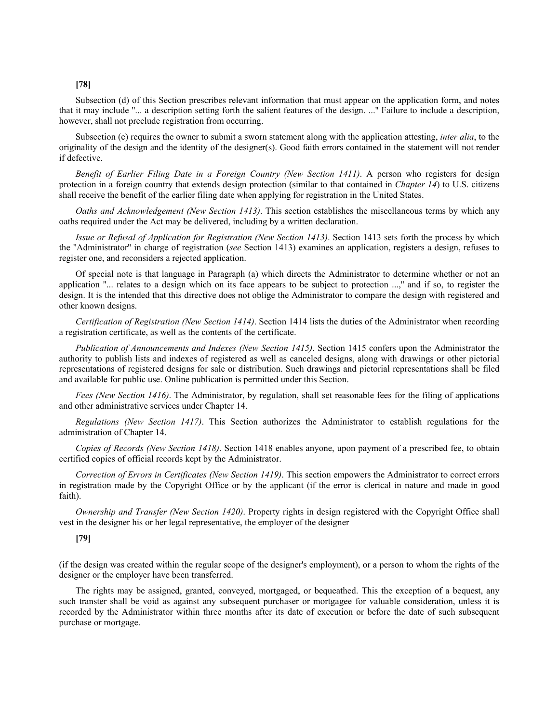# **[78]**

Subsection (d) of this Section prescribes relevant information that must appear on the application form, and notes that it may include ''... a description setting forth the salient features of the design. ...'' Failure to include a description, however, shall not preclude registration from occurring.

Subsection (e) requires the owner to submit a sworn statement along with the application attesting, *inter alia*, to the originality of the design and the identity of the designer(s). Good faith errors contained in the statement will not render if defective.

*Benefit of Earlier Filing Date in a Foreign Country (New Section 1411)*. A person who registers for design protection in a foreign country that extends design protection (similar to that contained in *Chapter 14*) to U.S. citizens shall receive the benefit of the earlier filing date when applying for registration in the United States.

*Oaths and Acknowledgement (New Section 1413)*. This section establishes the miscellaneous terms by which any oaths required under the Act may be delivered, including by a written declaration.

*Issue or Refusal of Application for Registration (New Section 1413)*. Section 1413 sets forth the process by which the ''Administrator'' in charge of registration (*see* Section 1413) examines an application, registers a design, refuses to register one, and reconsiders a rejected application.

Of special note is that language in Paragraph (a) which directs the Administrator to determine whether or not an application ''... relates to a design which on its face appears to be subject to protection ...,'' and if so, to register the design. It is the intended that this directive does not oblige the Administrator to compare the design with registered and other known designs.

*Certification of Registration (New Section 1414)*. Section 1414 lists the duties of the Administrator when recording a registration certificate, as well as the contents of the certificate.

*Publication of Announcements and Indexes (New Section 1415)*. Section 1415 confers upon the Administrator the authority to publish lists and indexes of registered as well as canceled designs, along with drawings or other pictorial representations of registered designs for sale or distribution. Such drawings and pictorial representations shall be filed and available for public use. Online publication is permitted under this Section.

*Fees (New Section 1416)*. The Administrator, by regulation, shall set reasonable fees for the filing of applications and other administrative services under Chapter 14.

*Regulations (New Section 1417)*. This Section authorizes the Administrator to establish regulations for the administration of Chapter 14.

*Copies of Records (New Section 1418)*. Section 1418 enables anyone, upon payment of a prescribed fee, to obtain certified copies of official records kept by the Administrator.

*Correction of Errors in Certificates (New Section 1419)*. This section empowers the Administrator to correct errors in registration made by the Copyright Office or by the applicant (if the error is clerical in nature and made in good faith).

*Ownership and Transfer (New Section 1420)*. Property rights in design registered with the Copyright Office shall vest in the designer his or her legal representative, the employer of the designer

### **[79]**

(if the design was created within the regular scope of the designer's employment), or a person to whom the rights of the designer or the employer have been transferred.

The rights may be assigned, granted, conveyed, mortgaged, or bequeathed. This the exception of a bequest, any such transter shall be void as against any subsequent purchaser or mortgagee for valuable consideration, unless it is recorded by the Administrator within three months after its date of execution or before the date of such subsequent purchase or mortgage.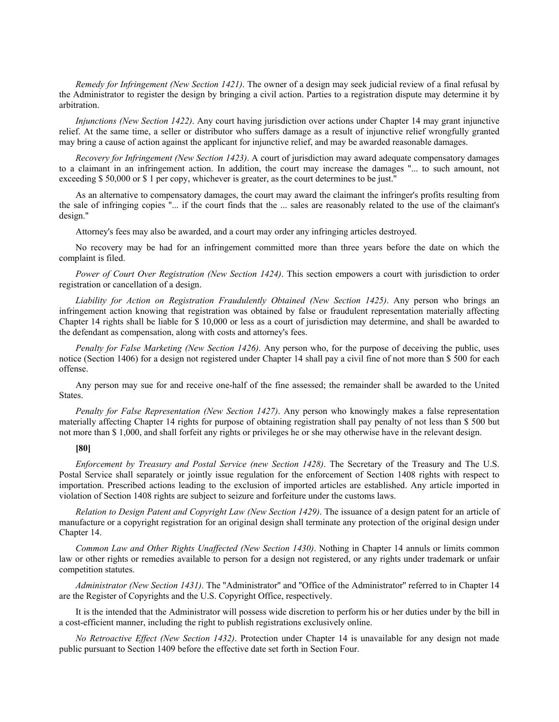*Remedy for Infringement (New Section 1421)*. The owner of a design may seek judicial review of a final refusal by the Administrator to register the design by bringing a civil action. Parties to a registration dispute may determine it by arbitration.

*Injunctions (New Section 1422)*. Any court having jurisdiction over actions under Chapter 14 may grant injunctive relief. At the same time, a seller or distributor who suffers damage as a result of injunctive relief wrongfully granted may bring a cause of action against the applicant for injunctive relief, and may be awarded reasonable damages.

*Recovery for Infringement (New Section 1423)*. A court of jurisdiction may award adequate compensatory damages to a claimant in an infringement action. In addition, the court may increase the damages ''... to such amount, not exceeding \$ 50,000 or \$ 1 per copy, whichever is greater, as the court determines to be just.''

As an alternative to compensatory damages, the court may award the claimant the infringer's profits resulting from the sale of infringing copies ''... if the court finds that the ... sales are reasonably related to the use of the claimant's design.''

Attorney's fees may also be awarded, and a court may order any infringing articles destroyed.

No recovery may be had for an infringement committed more than three years before the date on which the complaint is filed.

*Power of Court Over Registration (New Section 1424)*. This section empowers a court with jurisdiction to order registration or cancellation of a design.

*Liability for Action on Registration Fraudulently Obtained (New Section 1425)*. Any person who brings an infringement action knowing that registration was obtained by false or fraudulent representation materially affecting Chapter 14 rights shall be liable for \$ 10,000 or less as a court of jurisdiction may determine, and shall be awarded to the defendant as compensation, along with costs and attorney's fees.

*Penalty for False Marketing (New Section 1426)*. Any person who, for the purpose of deceiving the public, uses notice (Section 1406) for a design not registered under Chapter 14 shall pay a civil fine of not more than \$ 500 for each offense.

Any person may sue for and receive one-half of the fine assessed; the remainder shall be awarded to the United States.

*Penalty for False Representation (New Section 1427)*. Any person who knowingly makes a false representation materially affecting Chapter 14 rights for purpose of obtaining registration shall pay penalty of not less than \$ 500 but not more than \$ 1,000, and shall forfeit any rights or privileges he or she may otherwise have in the relevant design.

### **[80]**

*Enforcement by Treasury and Postal Service (new Section 1428)*. The Secretary of the Treasury and The U.S. Postal Service shall separately or jointly issue regulation for the enforcement of Section 1408 rights with respect to importation. Prescribed actions leading to the exclusion of imported articles are established. Any article imported in violation of Section 1408 rights are subject to seizure and forfeiture under the customs laws.

*Relation to Design Patent and Copyright Law (New Section 1429)*. The issuance of a design patent for an article of manufacture or a copyright registration for an original design shall terminate any protection of the original design under Chapter 14.

*Common Law and Other Rights Unaffected (New Section 1430)*. Nothing in Chapter 14 annuls or limits common law or other rights or remedies available to person for a design not registered, or any rights under trademark or unfair competition statutes.

*Administrator (New Section 1431)*. The ''Administrator'' and ''Office of the Administrator'' referred to in Chapter 14 are the Register of Copyrights and the U.S. Copyright Office, respectively.

It is the intended that the Administrator will possess wide discretion to perform his or her duties under by the bill in a cost-efficient manner, including the right to publish registrations exclusively online.

*No Retroactive Effect (New Section 1432)*. Protection under Chapter 14 is unavailable for any design not made public pursuant to Section 1409 before the effective date set forth in Section Four.